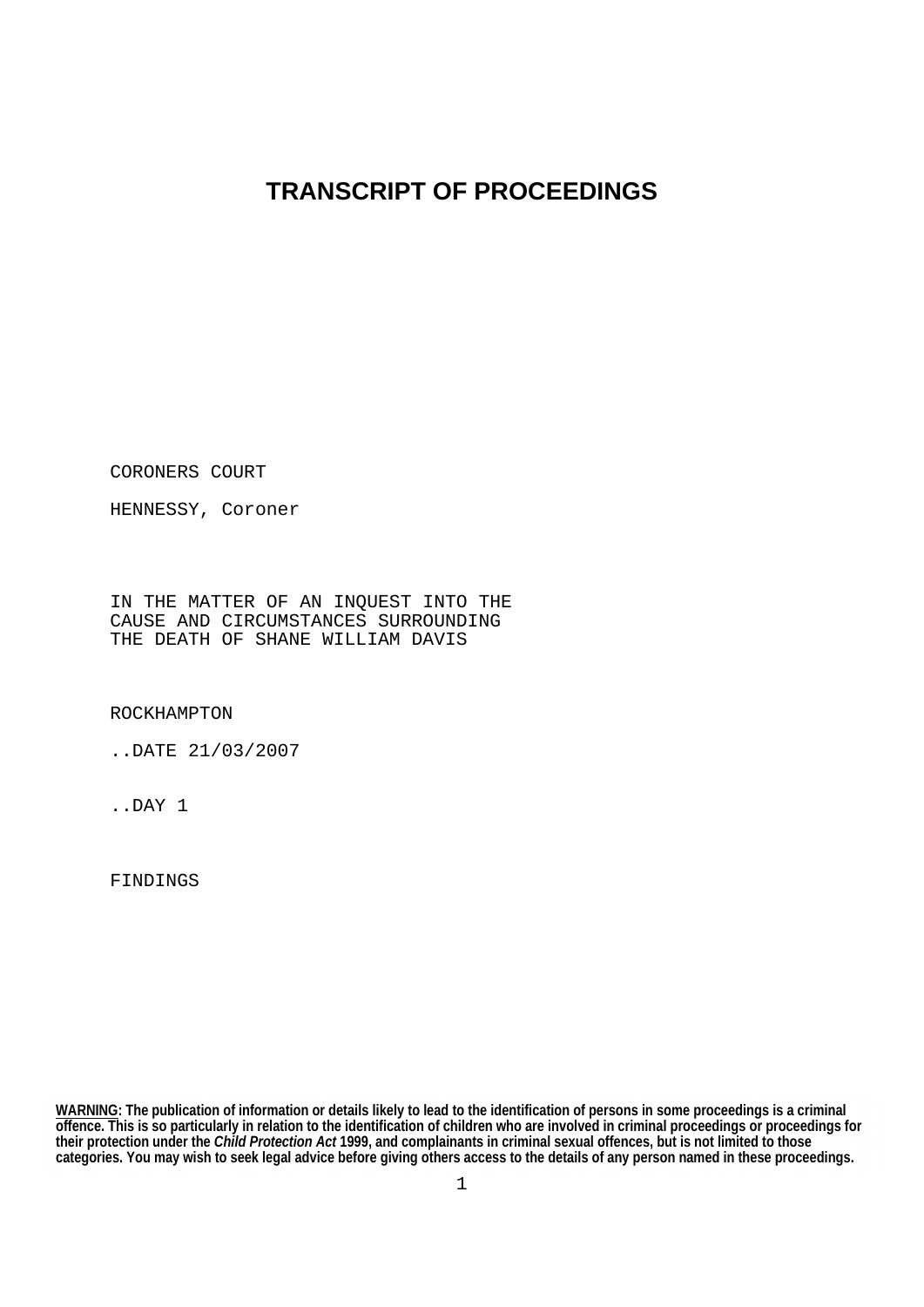## **TRANSCRIPT OF PROCEEDINGS**

CORONERS COURT

HENNESSY, Coroner

IN THE MATTER OF AN INQUEST INTO THE CAUSE AND CIRCUMSTANCES SURROUNDING THE DEATH OF SHANE WILLIAM DAVIS

ROCKHAMPTON

..DATE 21/03/2007

..DAY 1

FINDINGS

**WARNING: The publication of information or details likely to lead to the identification of persons in some proceedings is a criminal offence. This is so particularly in relation to the identification of children who are involved in criminal proceedings or proceedings for their protection under the** *Child Protection Act* **1999, and complainants in criminal sexual offences, but is not limited to those categories. You may wish to seek legal advice before giving others access to the details of any person named in these proceedings.**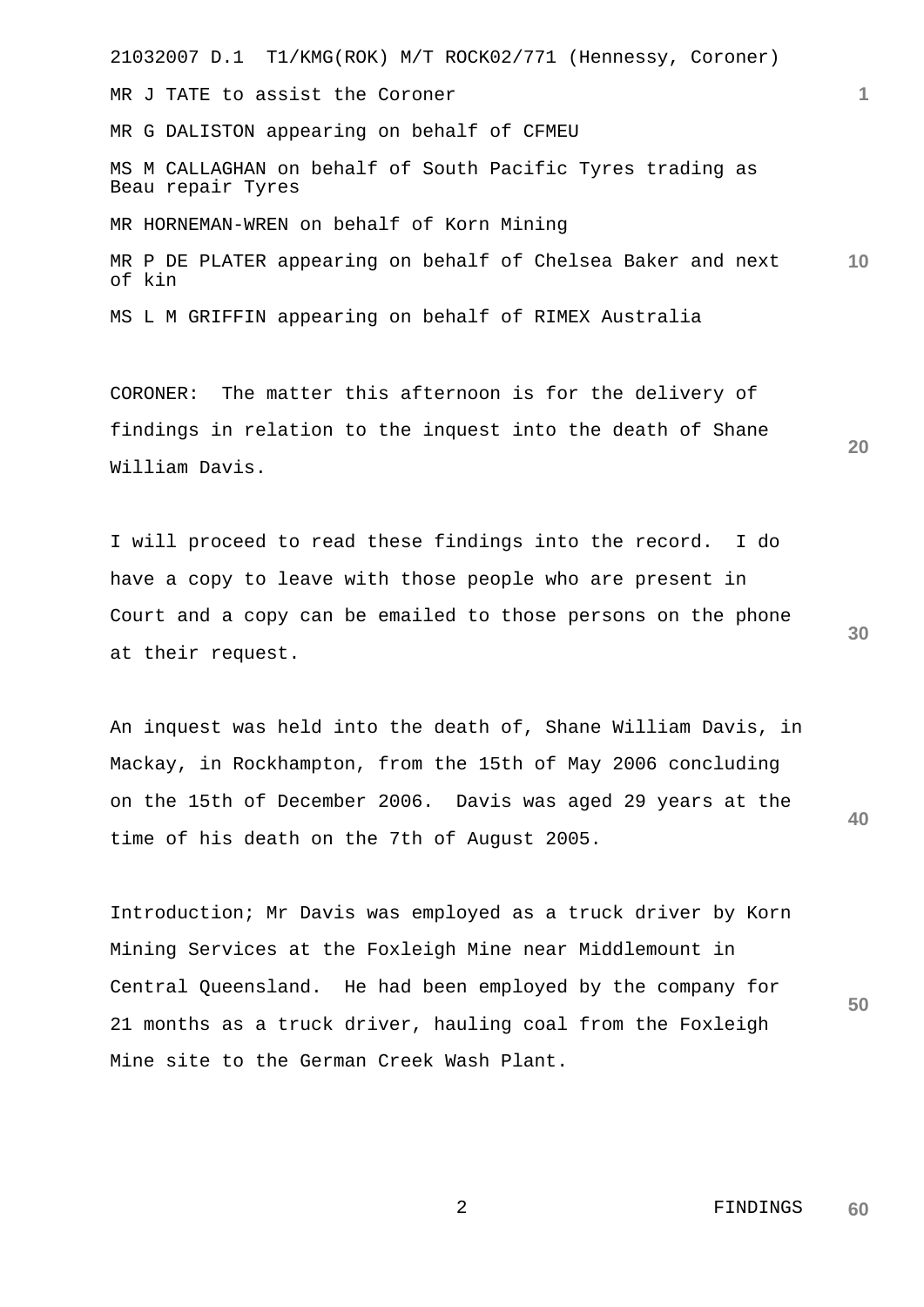21032007 D.1 T1/KMG(ROK) M/T ROCK02/771 (Hennessy, Coroner) **1 10** MR J TATE to assist the Coroner MR G DALISTON appearing on behalf of CFMEU MS M CALLAGHAN on behalf of South Pacific Tyres trading as Beau repair Tyres MR HORNEMAN-WREN on behalf of Korn Mining MR P DE PLATER appearing on behalf of Chelsea Baker and next of kin MS L M GRIFFIN appearing on behalf of RIMEX Australia

CORONER: The matter this afternoon is for the delivery of findings in relation to the inquest into the death of Shane William Davis.

I will proceed to read these findings into the record. I do have a copy to leave with those people who are present in Court and a copy can be emailed to those persons on the phone at their request.

**40** An inquest was held into the death of, Shane William Davis, in Mackay, in Rockhampton, from the 15th of May 2006 concluding on the 15th of December 2006. Davis was aged 29 years at the time of his death on the 7th of August 2005.

Introduction; Mr Davis was employed as a truck driver by Korn Mining Services at the Foxleigh Mine near Middlemount in Central Queensland. He had been employed by the company for 21 months as a truck driver, hauling coal from the Foxleigh Mine site to the German Creek Wash Plant.

**20**

**30**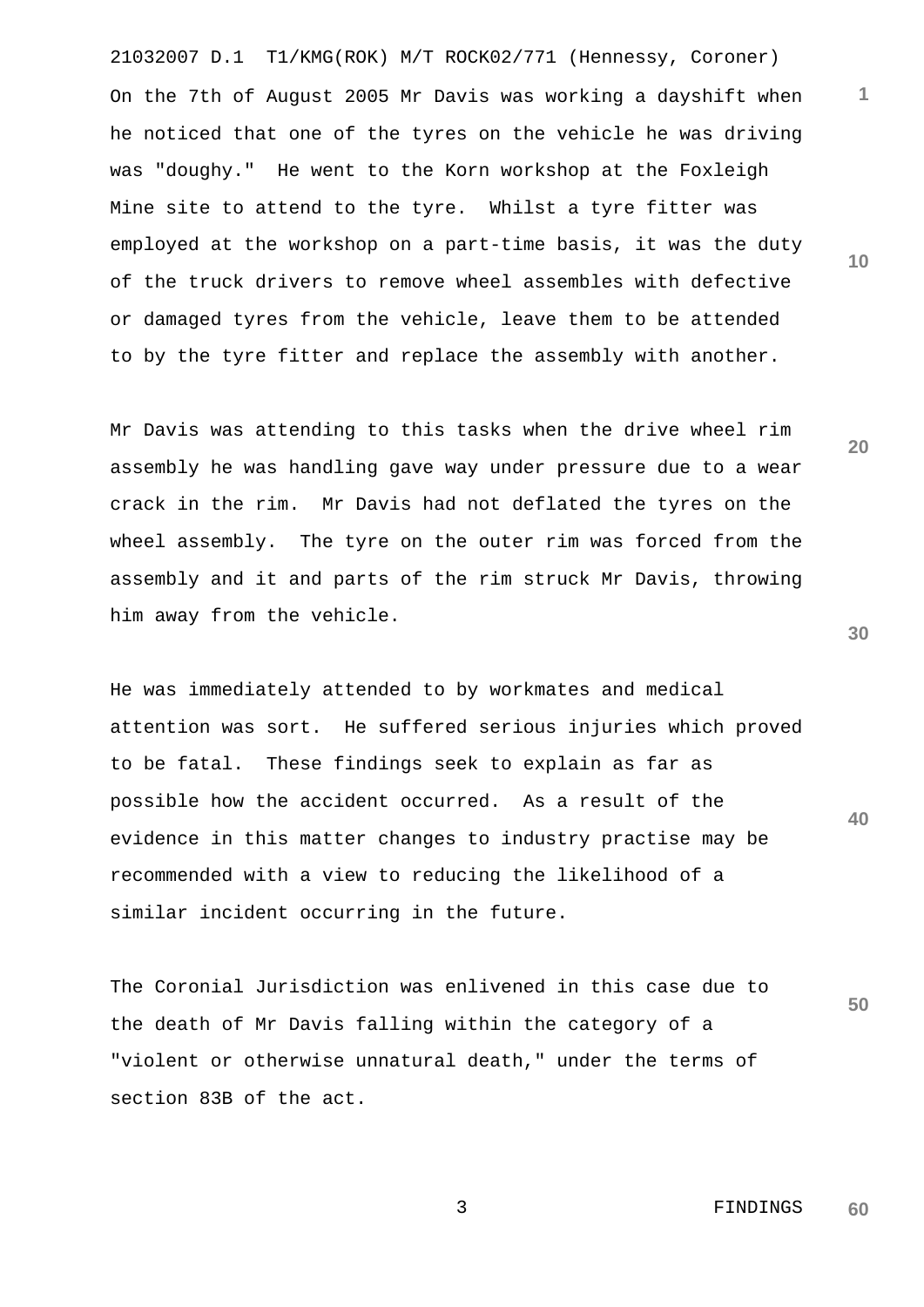21032007 D.1 T1/KMG(ROK) M/T ROCK02/771 (Hennessy, Coroner) On the 7th of August 2005 Mr Davis was working a dayshift when he noticed that one of the tyres on the vehicle he was driving was "doughy." He went to the Korn workshop at the Foxleigh Mine site to attend to the tyre. Whilst a tyre fitter was employed at the workshop on a part-time basis, it was the duty of the truck drivers to remove wheel assembles with defective or damaged tyres from the vehicle, leave them to be attended to by the tyre fitter and replace the assembly with another.

Mr Davis was attending to this tasks when the drive wheel rim assembly he was handling gave way under pressure due to a wear crack in the rim. Mr Davis had not deflated the tyres on the wheel assembly. The tyre on the outer rim was forced from the assembly and it and parts of the rim struck Mr Davis, throwing him away from the vehicle.

He was immediately attended to by workmates and medical attention was sort. He suffered serious injuries which proved to be fatal. These findings seek to explain as far as possible how the accident occurred. As a result of the evidence in this matter changes to industry practise may be recommended with a view to reducing the likelihood of a similar incident occurring in the future.

The Coronial Jurisdiction was enlivened in this case due to the death of Mr Davis falling within the category of a "violent or otherwise unnatural death," under the terms of section 83B of the act.

**30**

**40**

**50**

**1**

**10**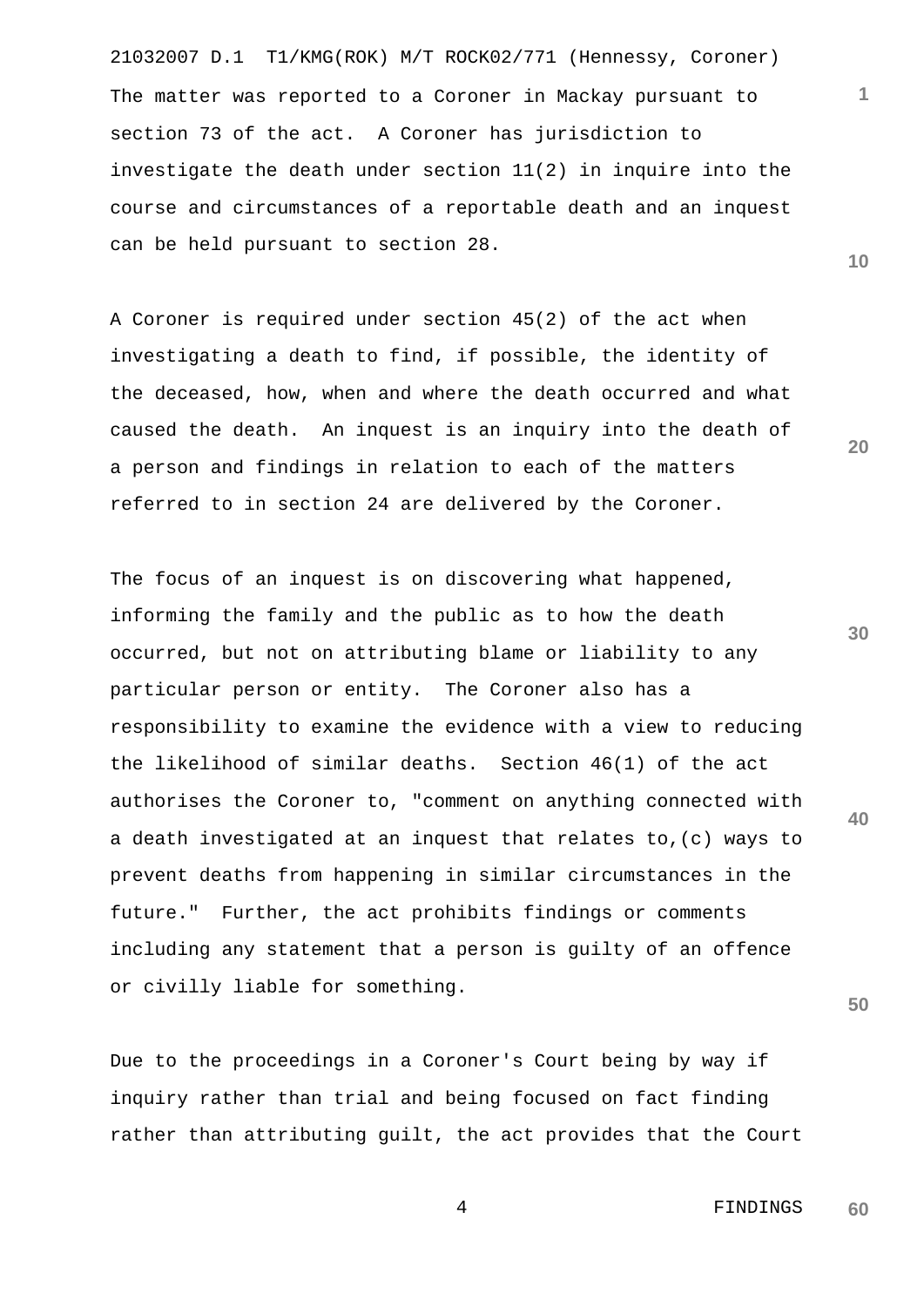21032007 D.1 T1/KMG(ROK) M/T ROCK02/771 (Hennessy, Coroner) The matter was reported to a Coroner in Mackay pursuant to section 73 of the act. A Coroner has jurisdiction to investigate the death under section 11(2) in inquire into the course and circumstances of a reportable death and an inquest can be held pursuant to section 28.

A Coroner is required under section 45(2) of the act when investigating a death to find, if possible, the identity of the deceased, how, when and where the death occurred and what caused the death. An inquest is an inquiry into the death of a person and findings in relation to each of the matters referred to in section 24 are delivered by the Coroner.

**30** The focus of an inquest is on discovering what happened, informing the family and the public as to how the death occurred, but not on attributing blame or liability to any particular person or entity. The Coroner also has a responsibility to examine the evidence with a view to reducing the likelihood of similar deaths. Section 46(1) of the act authorises the Coroner to, "comment on anything connected with a death investigated at an inquest that relates to,(c) ways to prevent deaths from happening in similar circumstances in the future." Further, the act prohibits findings or comments including any statement that a person is guilty of an offence or civilly liable for something.

Due to the proceedings in a Coroner's Court being by way if inquiry rather than trial and being focused on fact finding rather than attributing guilt, the act provides that the Court

**20**

**1**

**10**

**40**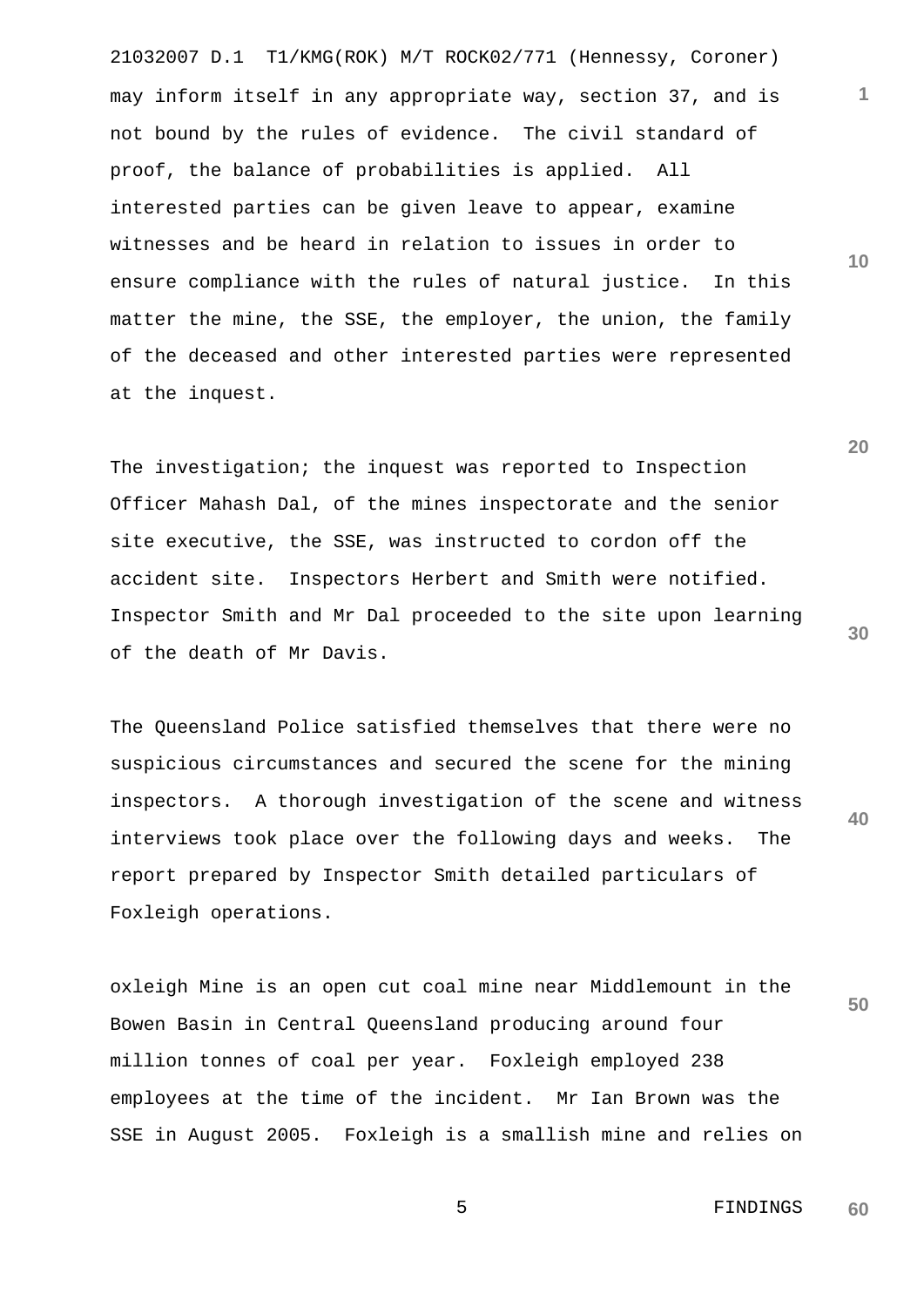21032007 D.1 T1/KMG(ROK) M/T ROCK02/771 (Hennessy, Coroner) may inform itself in any appropriate way, section 37, and is not bound by the rules of evidence. The civil standard of proof, the balance of probabilities is applied. All interested parties can be given leave to appear, examine witnesses and be heard in relation to issues in order to ensure compliance with the rules of natural justice. In this matter the mine, the SSE, the employer, the union, the family of the deceased and other interested parties were represented at the inquest.

The investigation; the inquest was reported to Inspection Officer Mahash Dal, of the mines inspectorate and the senior site executive, the SSE, was instructed to cordon off the accident site. Inspectors Herbert and Smith were notified. Inspector Smith and Mr Dal proceeded to the site upon learning of the death of Mr Davis.

**40** The Queensland Police satisfied themselves that there were no suspicious circumstances and secured the scene for the mining inspectors. A thorough investigation of the scene and witness interviews took place over the following days and weeks. The report prepared by Inspector Smith detailed particulars of Foxleigh operations.

oxleigh Mine is an open cut coal mine near Middlemount in the Bowen Basin in Central Queensland producing around four million tonnes of coal per year. Foxleigh employed 238 employees at the time of the incident. Mr Ian Brown was the SSE in August 2005. Foxleigh is a smallish mine and relies on

**30**

**50**

**1**

**10**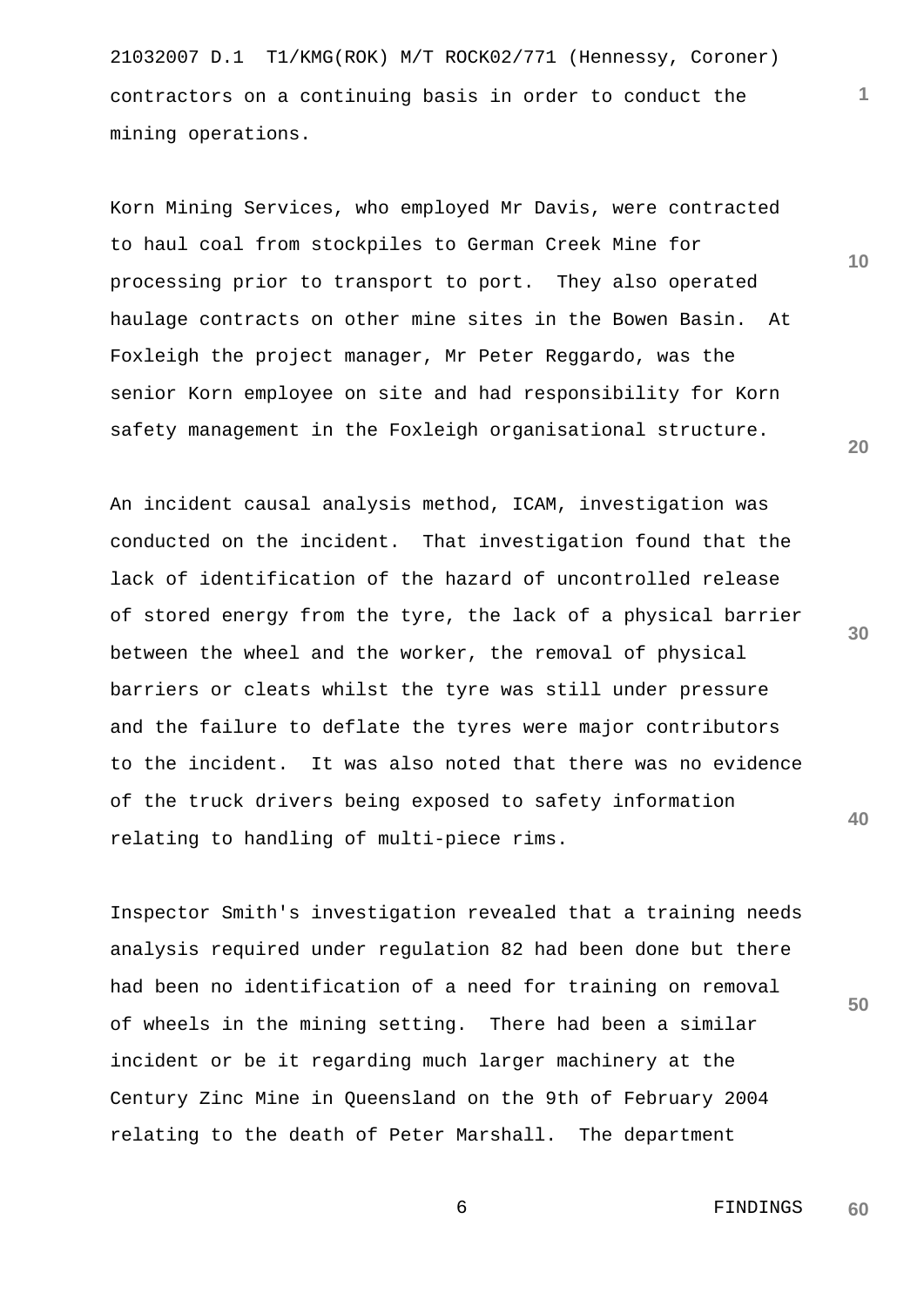21032007 D.1 T1/KMG(ROK) M/T ROCK02/771 (Hennessy, Coroner) contractors on a continuing basis in order to conduct the mining operations.

Korn Mining Services, who employed Mr Davis, were contracted to haul coal from stockpiles to German Creek Mine for processing prior to transport to port. They also operated haulage contracts on other mine sites in the Bowen Basin. At Foxleigh the project manager, Mr Peter Reggardo, was the senior Korn employee on site and had responsibility for Korn safety management in the Foxleigh organisational structure.

An incident causal analysis method, ICAM, investigation was conducted on the incident. That investigation found that the lack of identification of the hazard of uncontrolled release of stored energy from the tyre, the lack of a physical barrier between the wheel and the worker, the removal of physical barriers or cleats whilst the tyre was still under pressure and the failure to deflate the tyres were major contributors to the incident. It was also noted that there was no evidence of the truck drivers being exposed to safety information relating to handling of multi-piece rims.

Inspector Smith's investigation revealed that a training needs analysis required under regulation 82 had been done but there had been no identification of a need for training on removal of wheels in the mining setting. There had been a similar incident or be it regarding much larger machinery at the Century Zinc Mine in Queensland on the 9th of February 2004 relating to the death of Peter Marshall. The department

**20**

**1**

**10**

**30**

**40**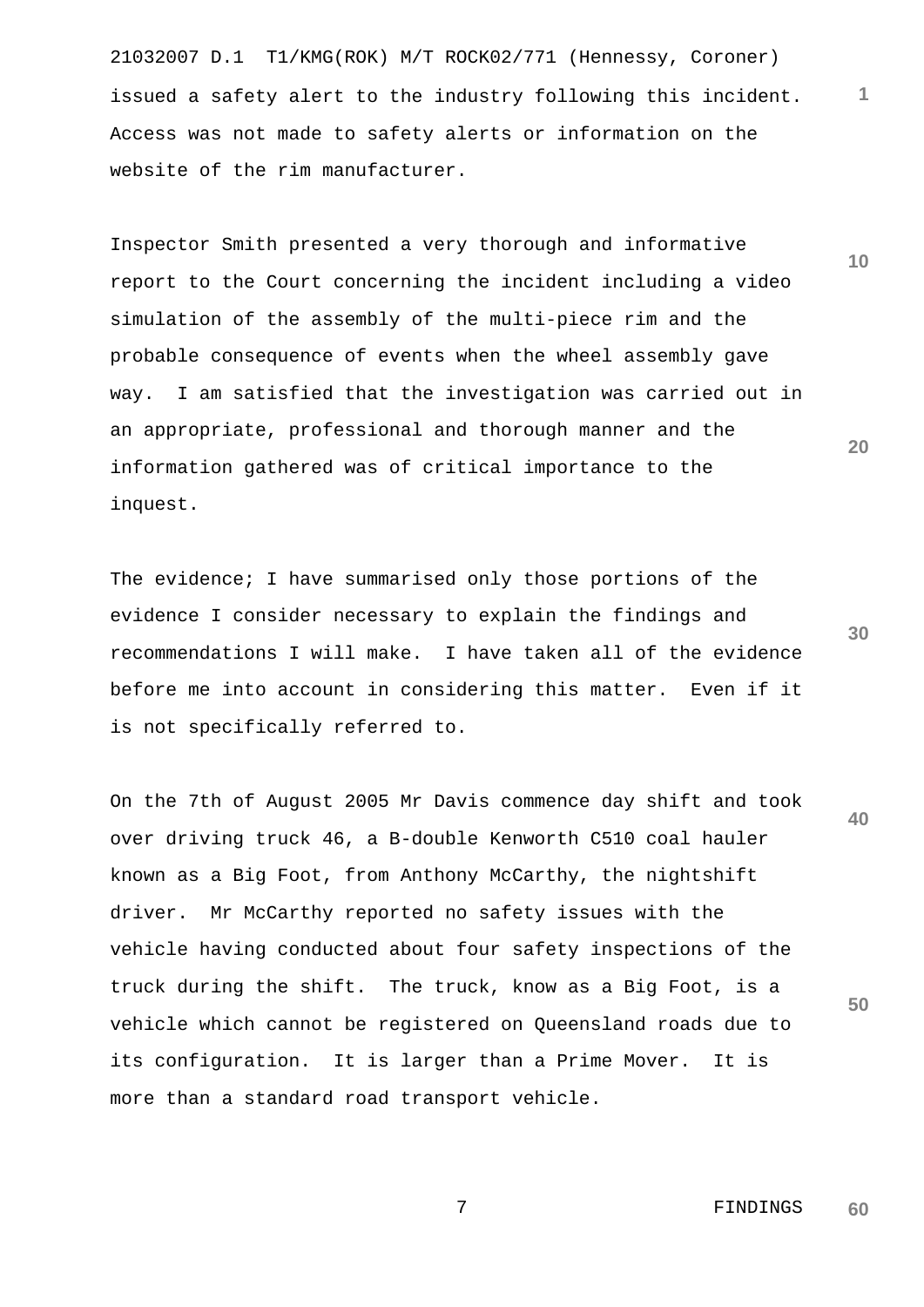21032007 D.1 T1/KMG(ROK) M/T ROCK02/771 (Hennessy, Coroner) issued a safety alert to the industry following this incident. Access was not made to safety alerts or information on the website of the rim manufacturer.

Inspector Smith presented a very thorough and informative report to the Court concerning the incident including a video simulation of the assembly of the multi-piece rim and the probable consequence of events when the wheel assembly gave way. I am satisfied that the investigation was carried out in an appropriate, professional and thorough manner and the information gathered was of critical importance to the inquest.

**30** The evidence; I have summarised only those portions of the evidence I consider necessary to explain the findings and recommendations I will make. I have taken all of the evidence before me into account in considering this matter. Even if it is not specifically referred to.

**40 50** On the 7th of August 2005 Mr Davis commence day shift and took over driving truck 46, a B-double Kenworth C510 coal hauler known as a Big Foot, from Anthony McCarthy, the nightshift driver. Mr McCarthy reported no safety issues with the vehicle having conducted about four safety inspections of the truck during the shift. The truck, know as a Big Foot, is a vehicle which cannot be registered on Queensland roads due to its configuration. It is larger than a Prime Mover. It is more than a standard road transport vehicle.

> 7 FINDINGS **60**

**1**

**10**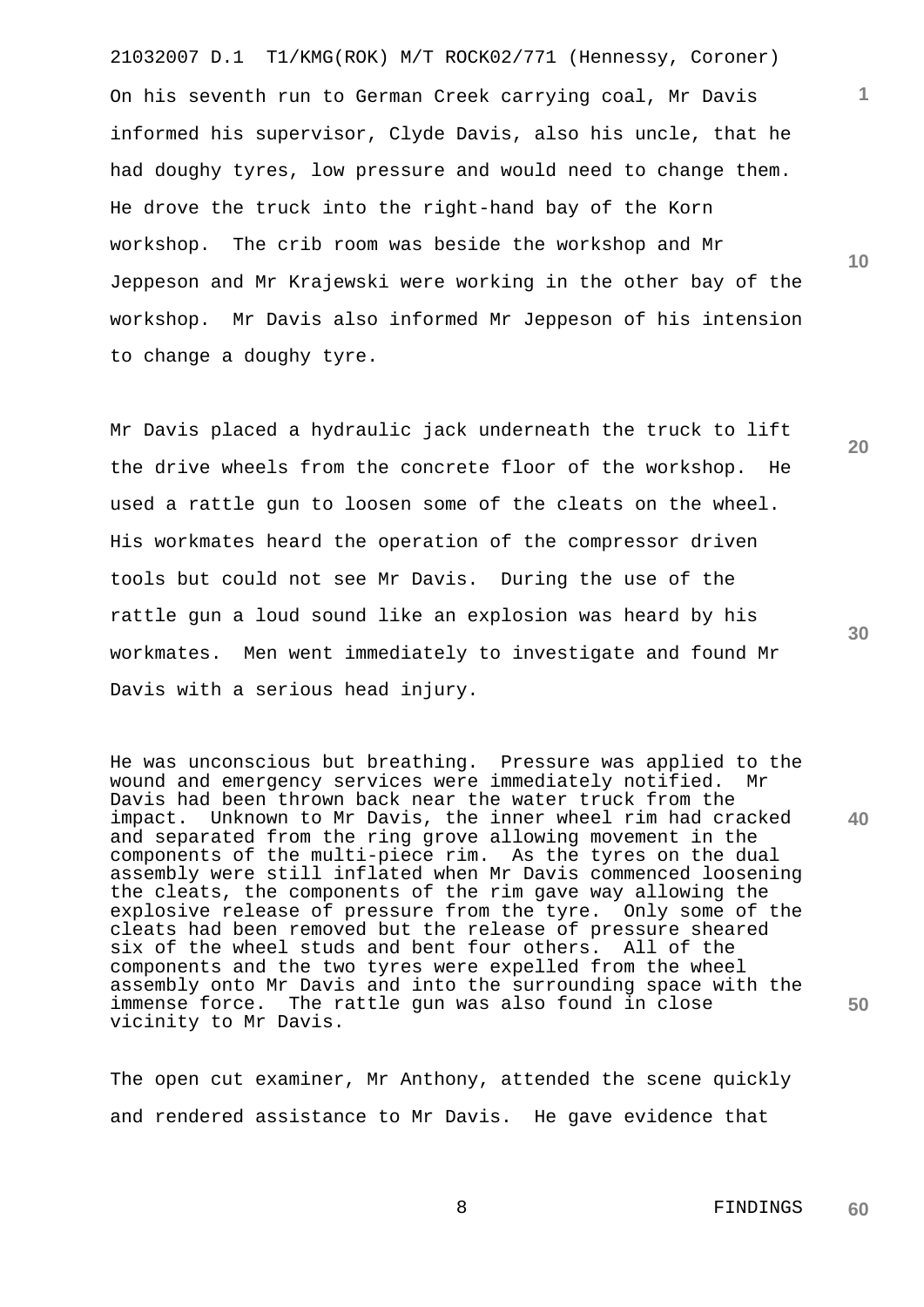21032007 D.1 T1/KMG(ROK) M/T ROCK02/771 (Hennessy, Coroner) On his seventh run to German Creek carrying coal, Mr Davis informed his supervisor, Clyde Davis, also his uncle, that he had doughy tyres, low pressure and would need to change them. He drove the truck into the right-hand bay of the Korn workshop. The crib room was beside the workshop and Mr Jeppeson and Mr Krajewski were working in the other bay of the workshop. Mr Davis also informed Mr Jeppeson of his intension to change a doughy tyre.

Mr Davis placed a hydraulic jack underneath the truck to lift the drive wheels from the concrete floor of the workshop. He used a rattle gun to loosen some of the cleats on the wheel. His workmates heard the operation of the compressor driven tools but could not see Mr Davis. During the use of the rattle gun a loud sound like an explosion was heard by his workmates. Men went immediately to investigate and found Mr Davis with a serious head injury.

He was unconscious but breathing. Pressure was applied to the wound and emergency services were immediately notified. Mr Davis had been thrown back near the water truck from the impact. Unknown to Mr Davis, the inner wheel rim had cracked and separated from the ring grove allowing movement in the components of the multi-piece rim. As the tyres on the dual assembly were still inflated when Mr Davis commenced loosening the cleats, the components of the rim gave way allowing the explosive release of pressure from the tyre. Only some of the cleats had been removed but the release of pressure sheared six of the wheel studs and bent four others. All of the components and the two tyres were expelled from the wheel assembly onto Mr Davis and into the surrounding space with the immense force. The rattle gun was also found in close vicinity to Mr Davis.

The open cut examiner, Mr Anthony, attended the scene quickly and rendered assistance to Mr Davis. He gave evidence that

**30**

**40**

**50**

**1**

**10**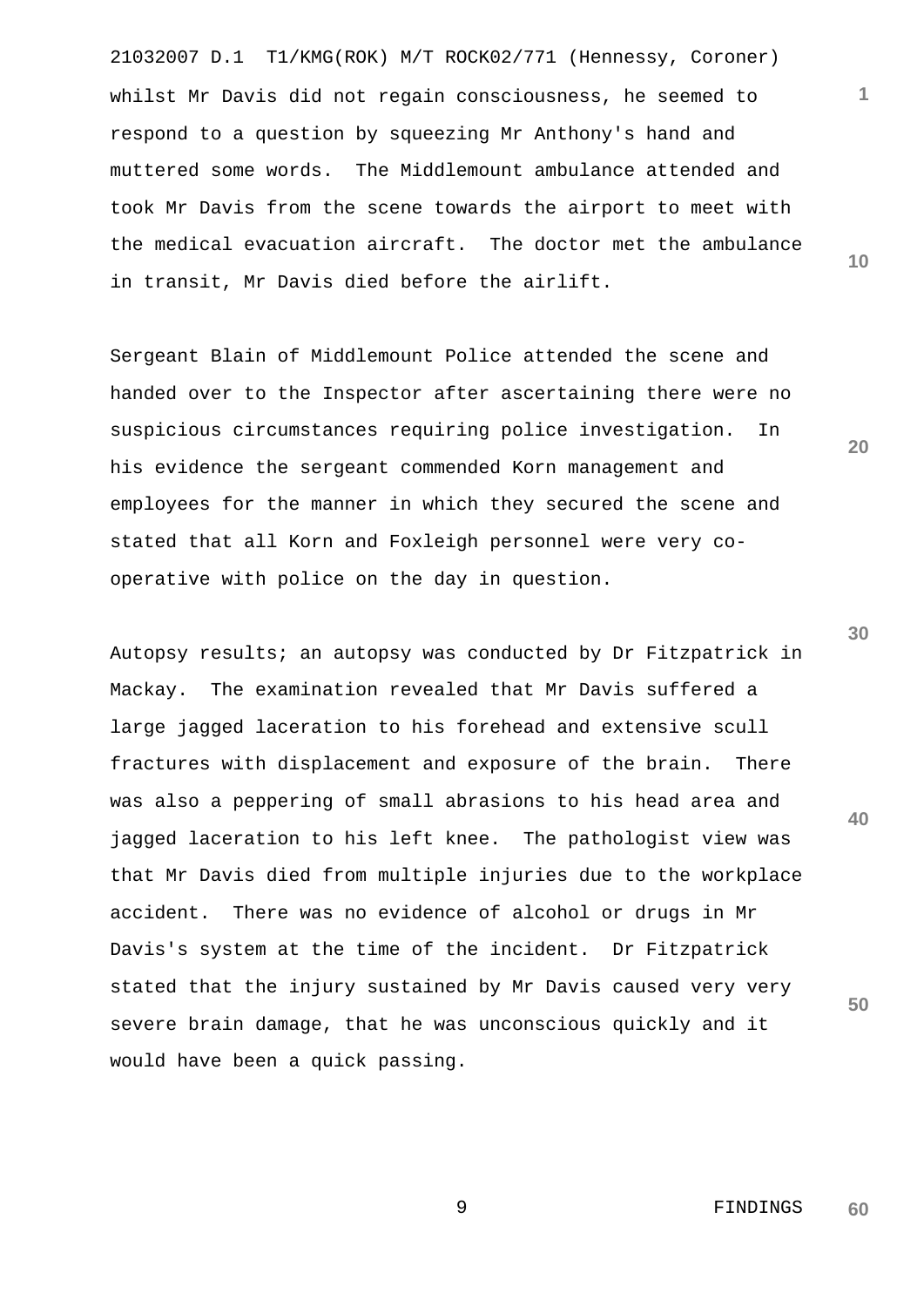21032007 D.1 T1/KMG(ROK) M/T ROCK02/771 (Hennessy, Coroner) **10** whilst Mr Davis did not regain consciousness, he seemed to respond to a question by squeezing Mr Anthony's hand and muttered some words. The Middlemount ambulance attended and took Mr Davis from the scene towards the airport to meet with the medical evacuation aircraft. The doctor met the ambulance in transit, Mr Davis died before the airlift.

Sergeant Blain of Middlemount Police attended the scene and handed over to the Inspector after ascertaining there were no suspicious circumstances requiring police investigation. In his evidence the sergeant commended Korn management and employees for the manner in which they secured the scene and stated that all Korn and Foxleigh personnel were very cooperative with police on the day in question.

Autopsy results; an autopsy was conducted by Dr Fitzpatrick in Mackay. The examination revealed that Mr Davis suffered a large jagged laceration to his forehead and extensive scull fractures with displacement and exposure of the brain. There was also a peppering of small abrasions to his head area and jagged laceration to his left knee. The pathologist view was that Mr Davis died from multiple injuries due to the workplace accident. There was no evidence of alcohol or drugs in Mr Davis's system at the time of the incident. Dr Fitzpatrick stated that the injury sustained by Mr Davis caused very very severe brain damage, that he was unconscious quickly and it would have been a quick passing.

**30**

**40**

**50**

**20**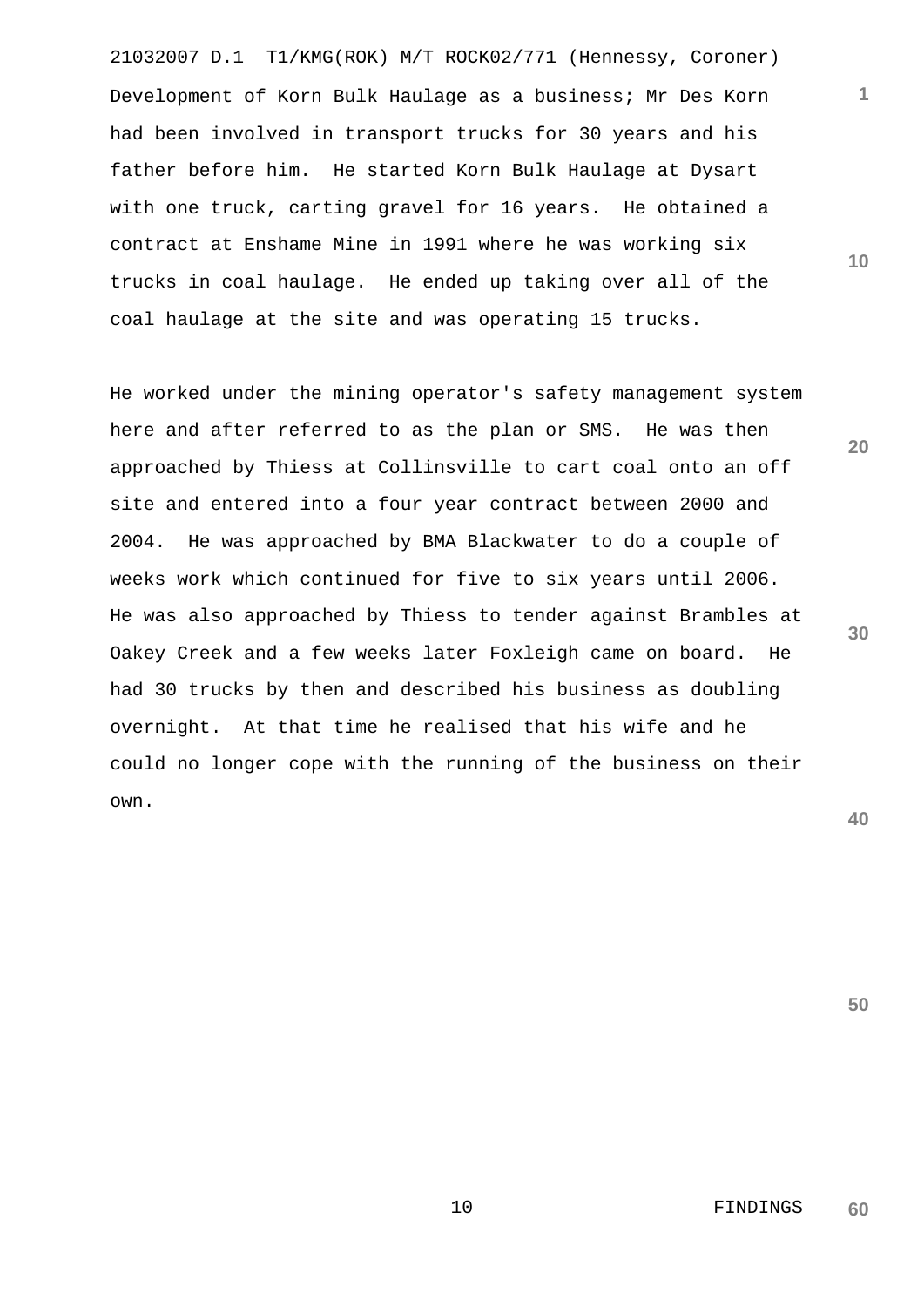21032007 D.1 T1/KMG(ROK) M/T ROCK02/771 (Hennessy, Coroner) Development of Korn Bulk Haulage as a business; Mr Des Korn had been involved in transport trucks for 30 years and his father before him. He started Korn Bulk Haulage at Dysart with one truck, carting gravel for 16 years. He obtained a contract at Enshame Mine in 1991 where he was working six trucks in coal haulage. He ended up taking over all of the coal haulage at the site and was operating 15 trucks.

He worked under the mining operator's safety management system here and after referred to as the plan or SMS. He was then approached by Thiess at Collinsville to cart coal onto an off site and entered into a four year contract between 2000 and 2004. He was approached by BMA Blackwater to do a couple of weeks work which continued for five to six years until 2006. He was also approached by Thiess to tender against Brambles at Oakey Creek and a few weeks later Foxleigh came on board. He had 30 trucks by then and described his business as doubling overnight. At that time he realised that his wife and he could no longer cope with the running of the business on their own.

**40**

**30**

**50**

**10**

**20**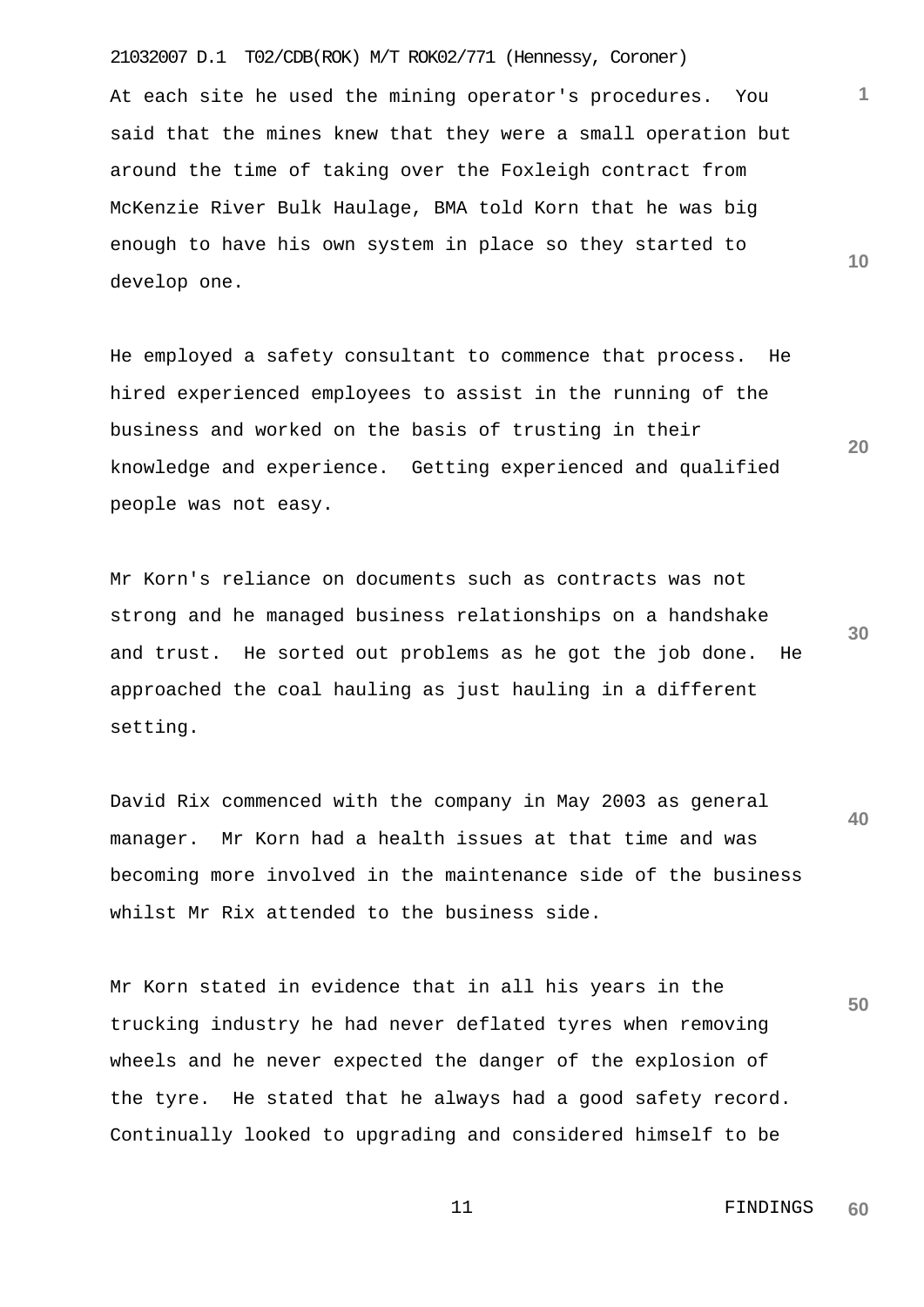## 21032007 D.1 T02/CDB(ROK) M/T ROK02/771 (Hennessy, Coroner)

At each site he used the mining operator's procedures. You said that the mines knew that they were a small operation but around the time of taking over the Foxleigh contract from McKenzie River Bulk Haulage, BMA told Korn that he was big enough to have his own system in place so they started to develop one.

He employed a safety consultant to commence that process. He hired experienced employees to assist in the running of the business and worked on the basis of trusting in their knowledge and experience. Getting experienced and qualified people was not easy.

Mr Korn's reliance on documents such as contracts was not strong and he managed business relationships on a handshake and trust. He sorted out problems as he got the job done. He approached the coal hauling as just hauling in a different setting.

**40** David Rix commenced with the company in May 2003 as general manager. Mr Korn had a health issues at that time and was becoming more involved in the maintenance side of the business whilst Mr Rix attended to the business side.

**50** Mr Korn stated in evidence that in all his years in the trucking industry he had never deflated tyres when removing wheels and he never expected the danger of the explosion of the tyre. He stated that he always had a good safety record. Continually looked to upgrading and considered himself to be

**30**

**20**

**10**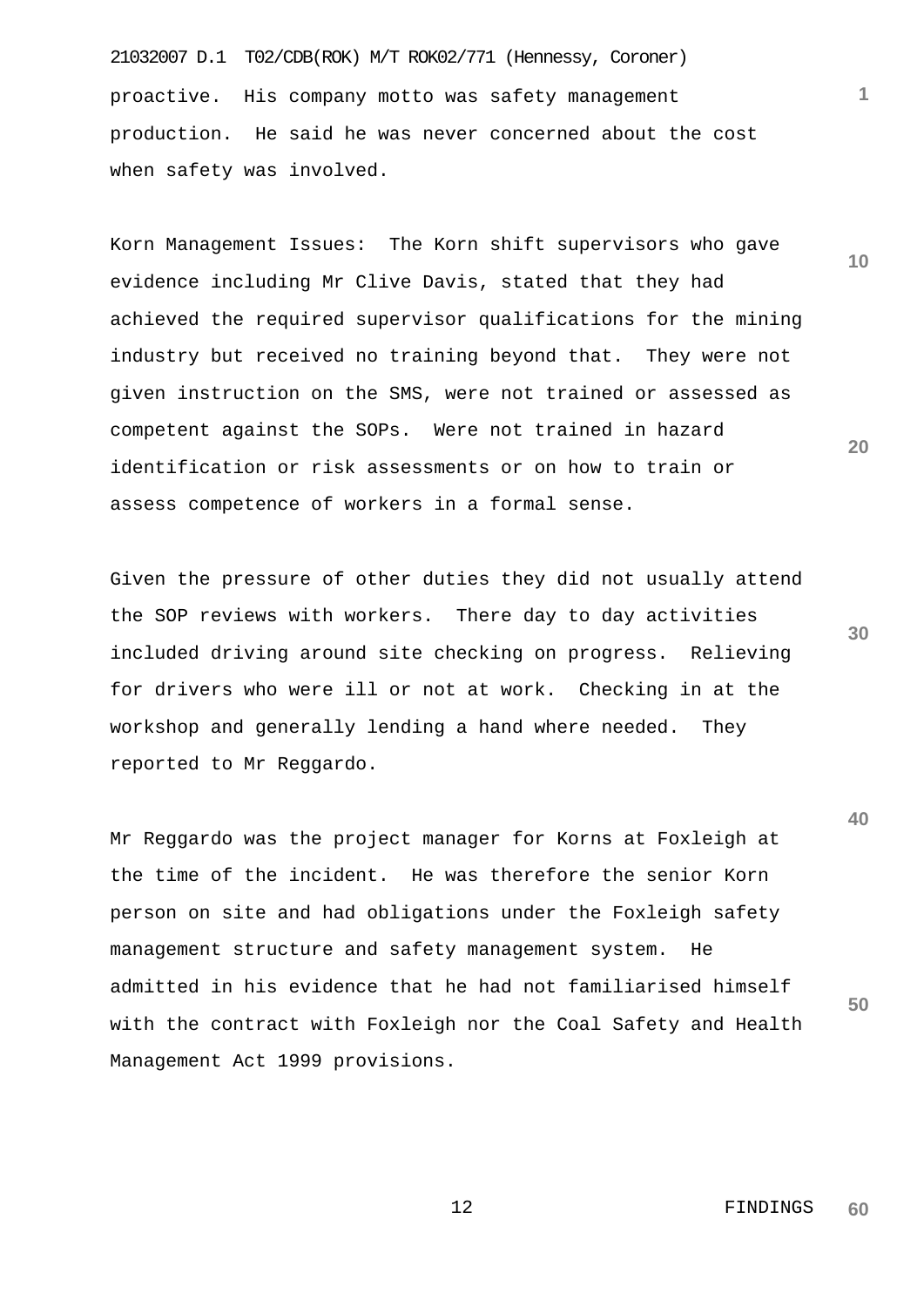21032007 D.1 T02/CDB(ROK) M/T ROK02/771 (Hennessy, Coroner) proactive. His company motto was safety management production. He said he was never concerned about the cost when safety was involved.

Korn Management Issues: The Korn shift supervisors who gave evidence including Mr Clive Davis, stated that they had achieved the required supervisor qualifications for the mining industry but received no training beyond that. They were not given instruction on the SMS, were not trained or assessed as competent against the SOPs. Were not trained in hazard identification or risk assessments or on how to train or assess competence of workers in a formal sense.

Given the pressure of other duties they did not usually attend the SOP reviews with workers. There day to day activities included driving around site checking on progress. Relieving for drivers who were ill or not at work. Checking in at the workshop and generally lending a hand where needed. They reported to Mr Reggardo.

Mr Reggardo was the project manager for Korns at Foxleigh at the time of the incident. He was therefore the senior Korn person on site and had obligations under the Foxleigh safety management structure and safety management system. He admitted in his evidence that he had not familiarised himself with the contract with Foxleigh nor the Coal Safety and Health Management Act 1999 provisions.

**10**

**1**

**20**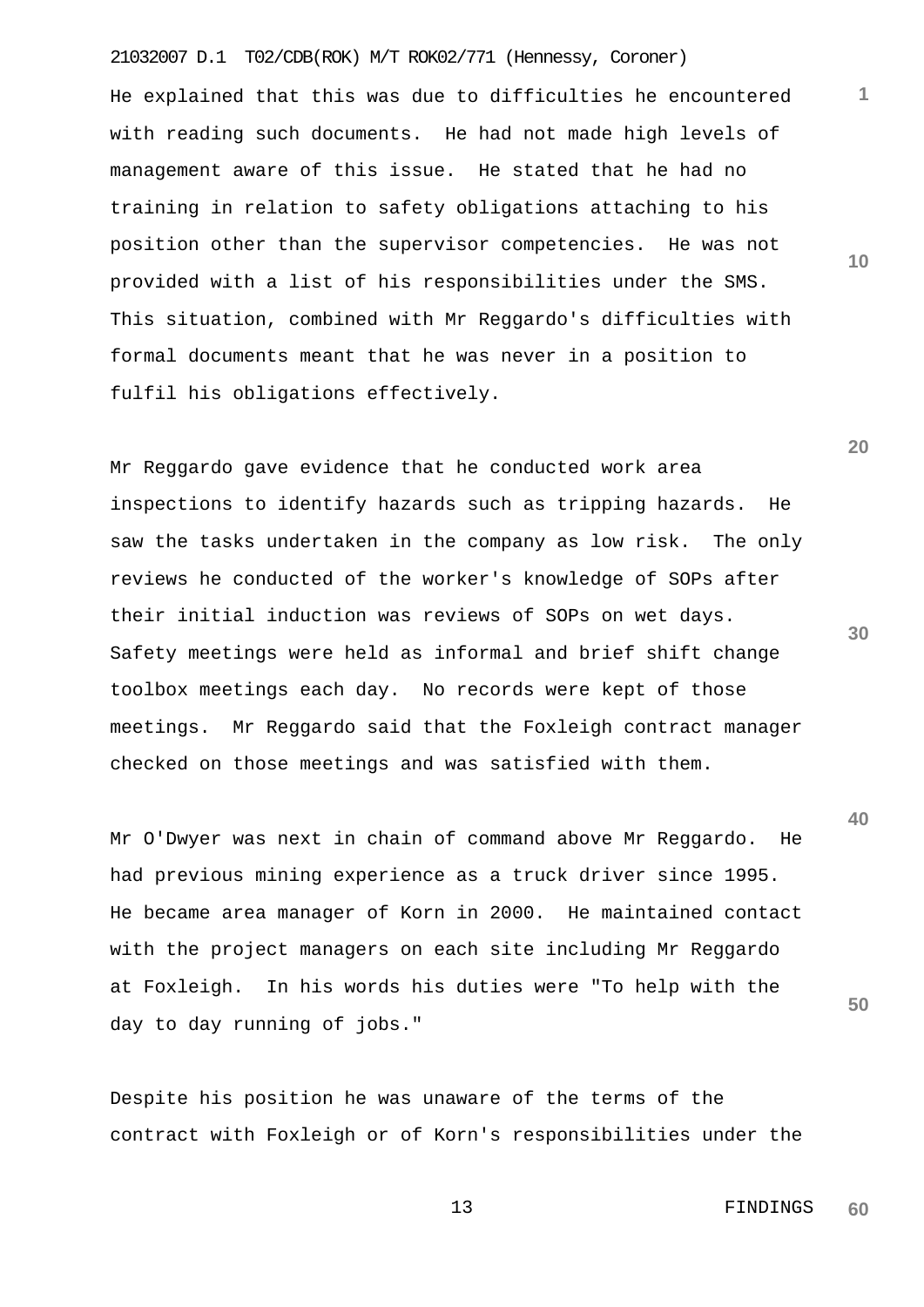## 21032007 D.1 T02/CDB(ROK) M/T ROK02/771 (Hennessy, Coroner)

He explained that this was due to difficulties he encountered with reading such documents. He had not made high levels of management aware of this issue. He stated that he had no training in relation to safety obligations attaching to his position other than the supervisor competencies. He was not provided with a list of his responsibilities under the SMS. This situation, combined with Mr Reggardo's difficulties with formal documents meant that he was never in a position to fulfil his obligations effectively.

Mr Reggardo gave evidence that he conducted work area inspections to identify hazards such as tripping hazards. He saw the tasks undertaken in the company as low risk. The only reviews he conducted of the worker's knowledge of SOPs after their initial induction was reviews of SOPs on wet days. Safety meetings were held as informal and brief shift change toolbox meetings each day. No records were kept of those meetings. Mr Reggardo said that the Foxleigh contract manager checked on those meetings and was satisfied with them.

Mr O'Dwyer was next in chain of command above Mr Reggardo. He had previous mining experience as a truck driver since 1995. He became area manager of Korn in 2000. He maintained contact with the project managers on each site including Mr Reggardo at Foxleigh. In his words his duties were "To help with the day to day running of jobs."

Despite his position he was unaware of the terms of the contract with Foxleigh or of Korn's responsibilities under the

**30**

**20**

**40**

**50**

**1**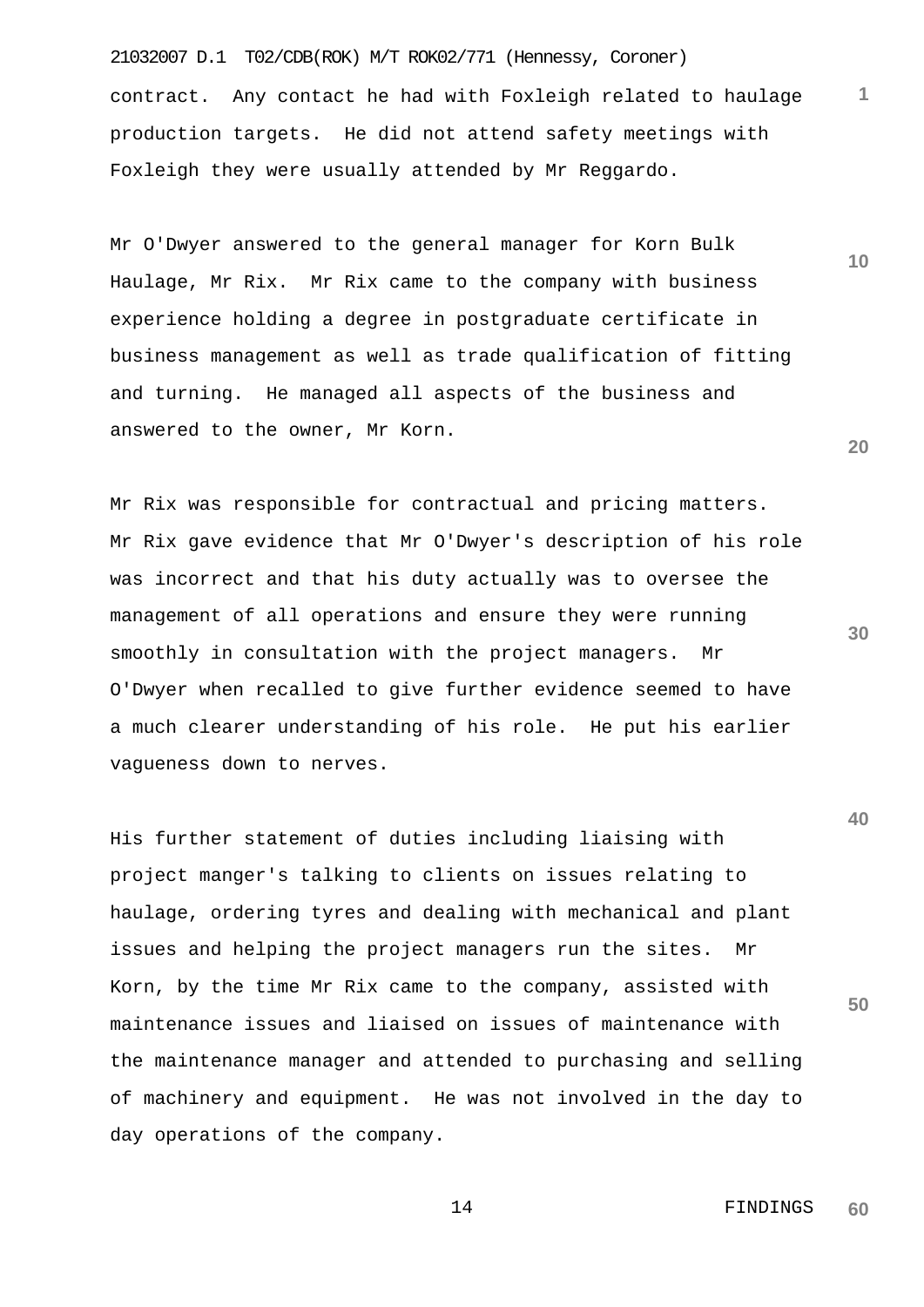21032007 D.1 T02/CDB(ROK) M/T ROK02/771 (Hennessy, Coroner) **1** contract. Any contact he had with Foxleigh related to haulage production targets. He did not attend safety meetings with Foxleigh they were usually attended by Mr Reggardo.

Mr O'Dwyer answered to the general manager for Korn Bulk Haulage, Mr Rix. Mr Rix came to the company with business experience holding a degree in postgraduate certificate in business management as well as trade qualification of fitting and turning. He managed all aspects of the business and answered to the owner, Mr Korn.

Mr Rix was responsible for contractual and pricing matters. Mr Rix gave evidence that Mr O'Dwyer's description of his role was incorrect and that his duty actually was to oversee the management of all operations and ensure they were running smoothly in consultation with the project managers. Mr O'Dwyer when recalled to give further evidence seemed to have a much clearer understanding of his role. He put his earlier vagueness down to nerves.

His further statement of duties including liaising with project manger's talking to clients on issues relating to haulage, ordering tyres and dealing with mechanical and plant issues and helping the project managers run the sites. Mr Korn, by the time Mr Rix came to the company, assisted with maintenance issues and liaised on issues of maintenance with the maintenance manager and attended to purchasing and selling of machinery and equipment. He was not involved in the day to day operations of the company.

> 14 FINDINGS **60**

**30**

**40**

**50**

**20**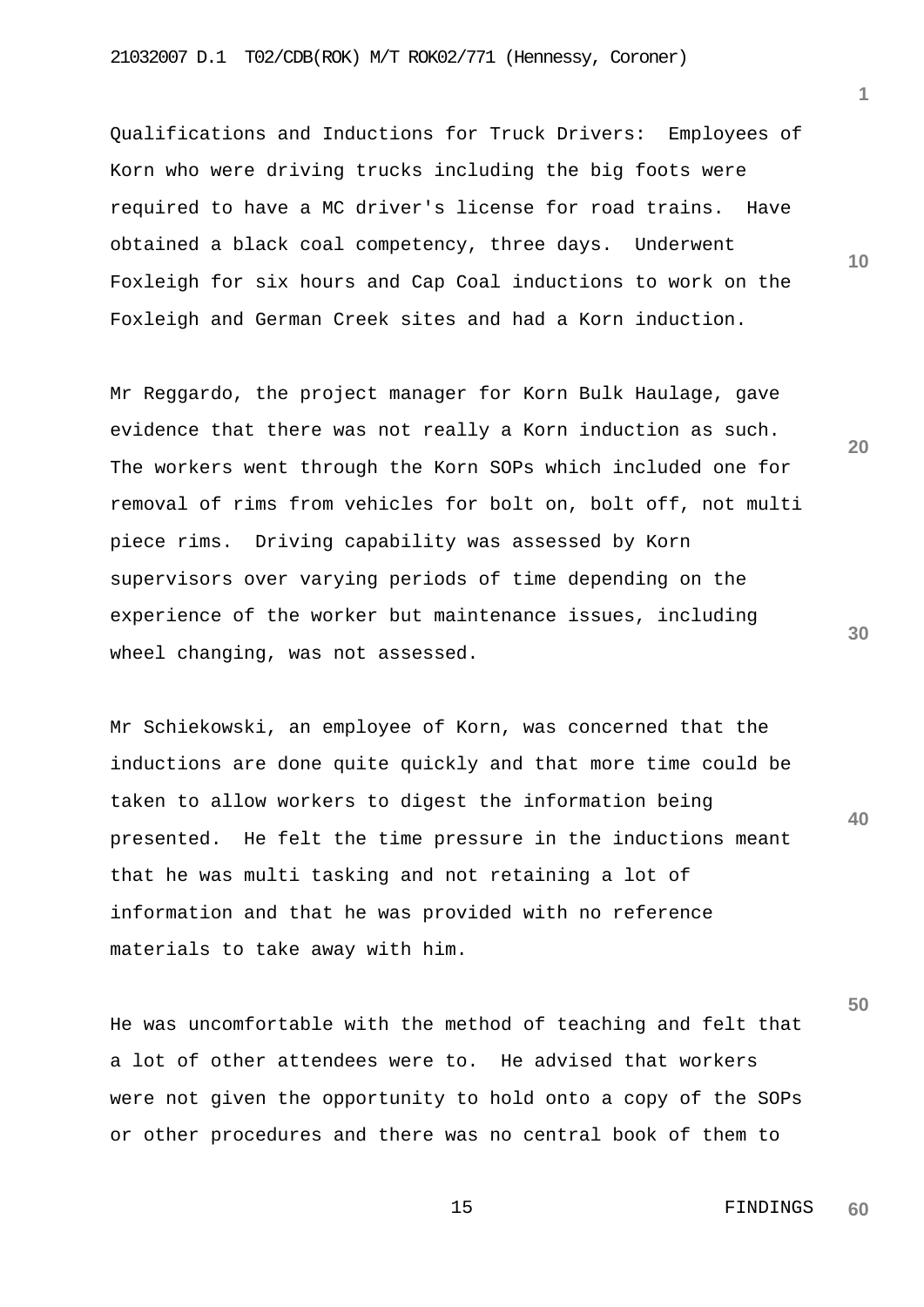Qualifications and Inductions for Truck Drivers: Employees of Korn who were driving trucks including the big foots were required to have a MC driver's license for road trains. Have obtained a black coal competency, three days. Underwent Foxleigh for six hours and Cap Coal inductions to work on the Foxleigh and German Creek sites and had a Korn induction.

Mr Reggardo, the project manager for Korn Bulk Haulage, gave evidence that there was not really a Korn induction as such. The workers went through the Korn SOPs which included one for removal of rims from vehicles for bolt on, bolt off, not multi piece rims. Driving capability was assessed by Korn supervisors over varying periods of time depending on the experience of the worker but maintenance issues, including wheel changing, was not assessed.

Mr Schiekowski, an employee of Korn, was concerned that the inductions are done quite quickly and that more time could be taken to allow workers to digest the information being presented. He felt the time pressure in the inductions meant that he was multi tasking and not retaining a lot of information and that he was provided with no reference materials to take away with him.

He was uncomfortable with the method of teaching and felt that a lot of other attendees were to. He advised that workers were not given the opportunity to hold onto a copy of the SOPs or other procedures and there was no central book of them to

**20**

**10**

**1**

**30**

**40**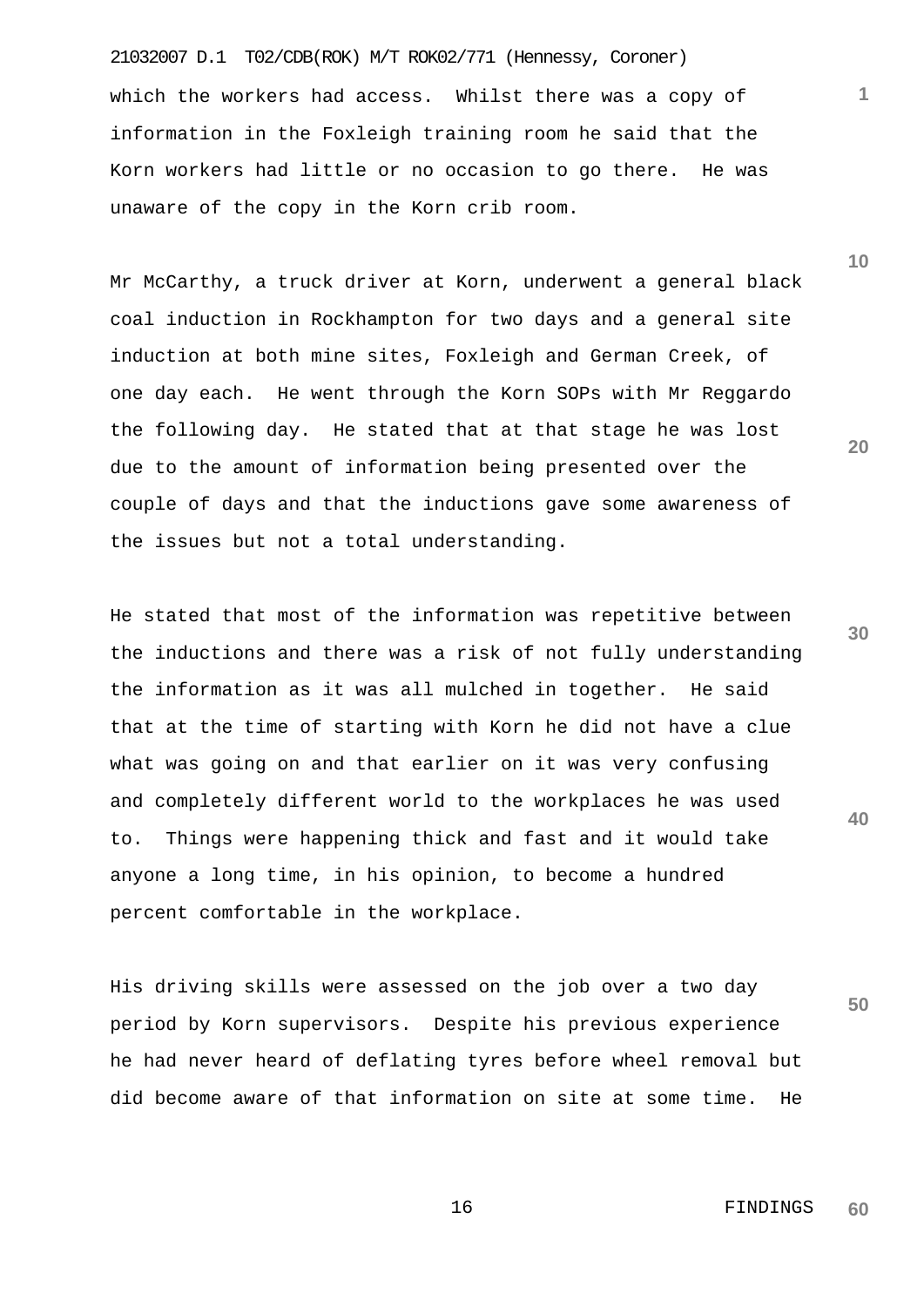21032007 D.1 T02/CDB(ROK) M/T ROK02/771 (Hennessy, Coroner) which the workers had access. Whilst there was a copy of information in the Foxleigh training room he said that the Korn workers had little or no occasion to go there. He was unaware of the copy in the Korn crib room.

Mr McCarthy, a truck driver at Korn, underwent a general black coal induction in Rockhampton for two days and a general site induction at both mine sites, Foxleigh and German Creek, of one day each. He went through the Korn SOPs with Mr Reggardo the following day. He stated that at that stage he was lost due to the amount of information being presented over the couple of days and that the inductions gave some awareness of the issues but not a total understanding.

He stated that most of the information was repetitive between the inductions and there was a risk of not fully understanding the information as it was all mulched in together. He said that at the time of starting with Korn he did not have a clue what was going on and that earlier on it was very confusing and completely different world to the workplaces he was used to. Things were happening thick and fast and it would take anyone a long time, in his opinion, to become a hundred percent comfortable in the workplace.

His driving skills were assessed on the job over a two day period by Korn supervisors. Despite his previous experience he had never heard of deflating tyres before wheel removal but did become aware of that information on site at some time. He **10**

**1**

**20**

**30**

**40**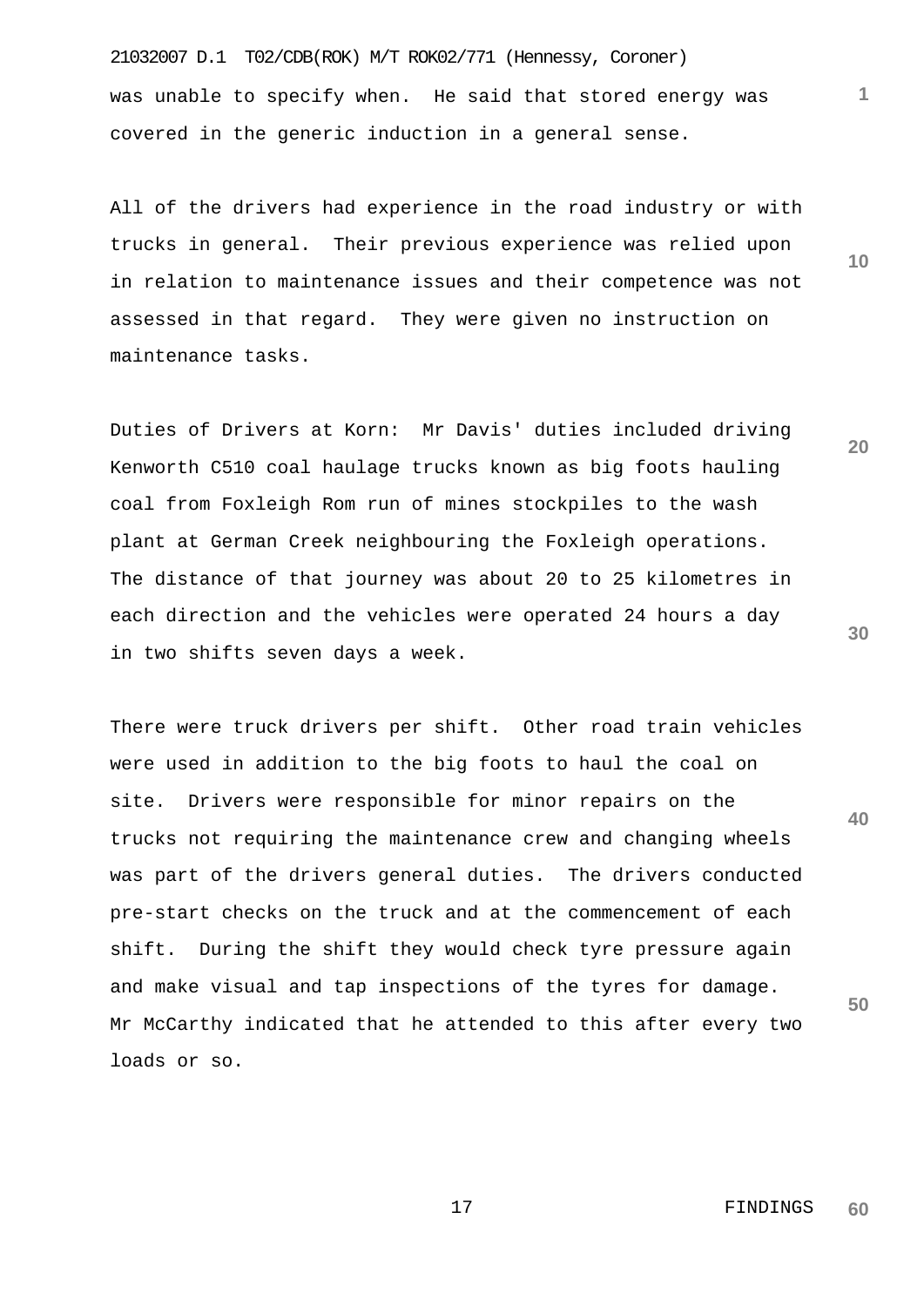21032007 D.1 T02/CDB(ROK) M/T ROK02/771 (Hennessy, Coroner) was unable to specify when. He said that stored energy was covered in the generic induction in a general sense.

All of the drivers had experience in the road industry or with trucks in general. Their previous experience was relied upon in relation to maintenance issues and their competence was not assessed in that regard. They were given no instruction on maintenance tasks.

Duties of Drivers at Korn: Mr Davis' duties included driving Kenworth C510 coal haulage trucks known as big foots hauling coal from Foxleigh Rom run of mines stockpiles to the wash plant at German Creek neighbouring the Foxleigh operations. The distance of that journey was about 20 to 25 kilometres in each direction and the vehicles were operated 24 hours a day in two shifts seven days a week.

**40 50** There were truck drivers per shift. Other road train vehicles were used in addition to the big foots to haul the coal on site. Drivers were responsible for minor repairs on the trucks not requiring the maintenance crew and changing wheels was part of the drivers general duties. The drivers conducted pre-start checks on the truck and at the commencement of each shift. During the shift they would check tyre pressure again and make visual and tap inspections of the tyres for damage. Mr McCarthy indicated that he attended to this after every two loads or so.

**20**

**30**

**10**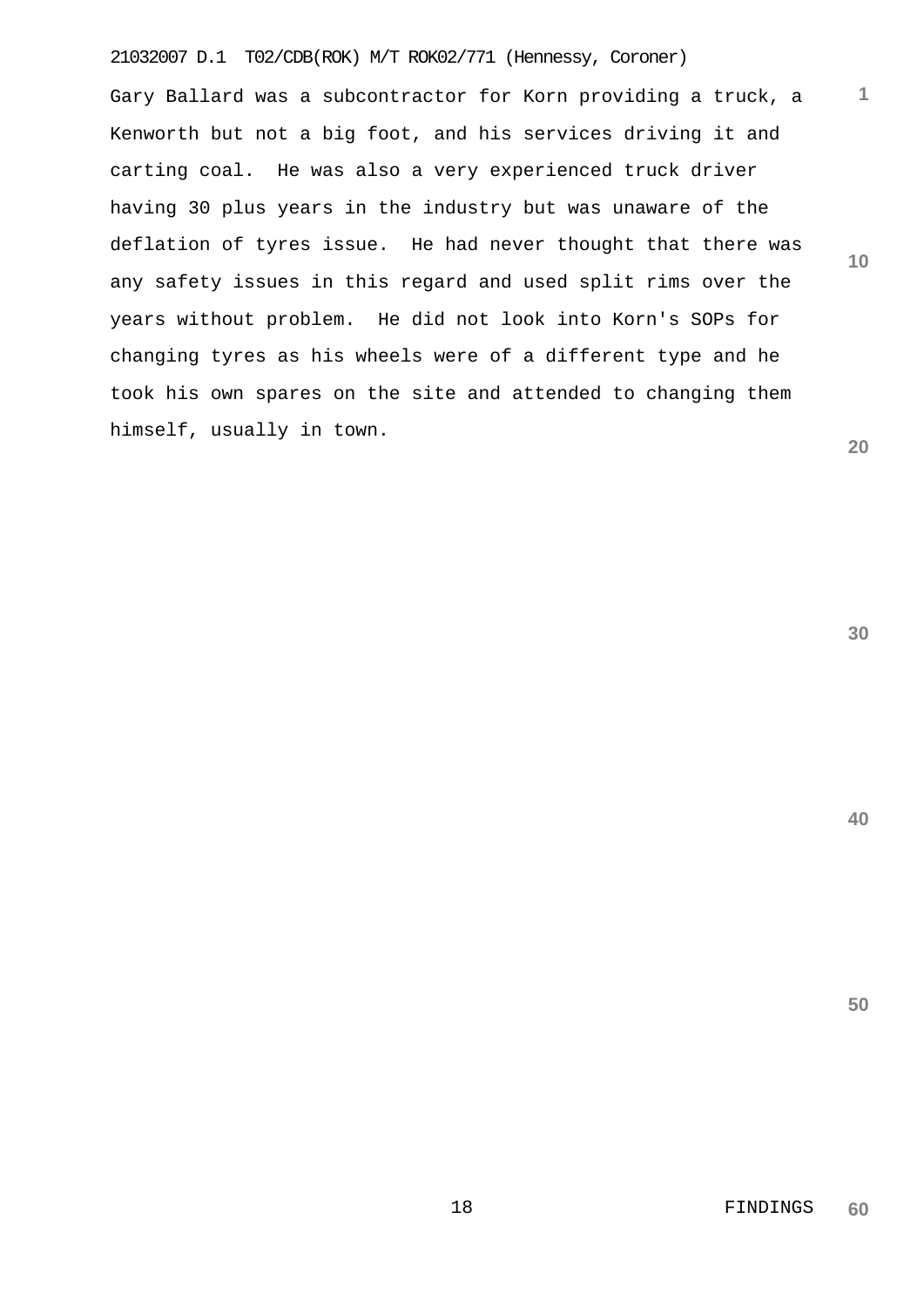## 21032007 D.1 T02/CDB(ROK) M/T ROK02/771 (Hennessy, Coroner)

Gary Ballard was a subcontractor for Korn providing a truck, a Kenworth but not a big foot, and his services driving it and carting coal. He was also a very experienced truck driver having 30 plus years in the industry but was unaware of the deflation of tyres issue. He had never thought that there was any safety issues in this regard and used split rims over the years without problem. He did not look into Korn's SOPs for changing tyres as his wheels were of a different type and he took his own spares on the site and attended to changing them himself, usually in town.

**30**

**1**

**10**

**20**

**40**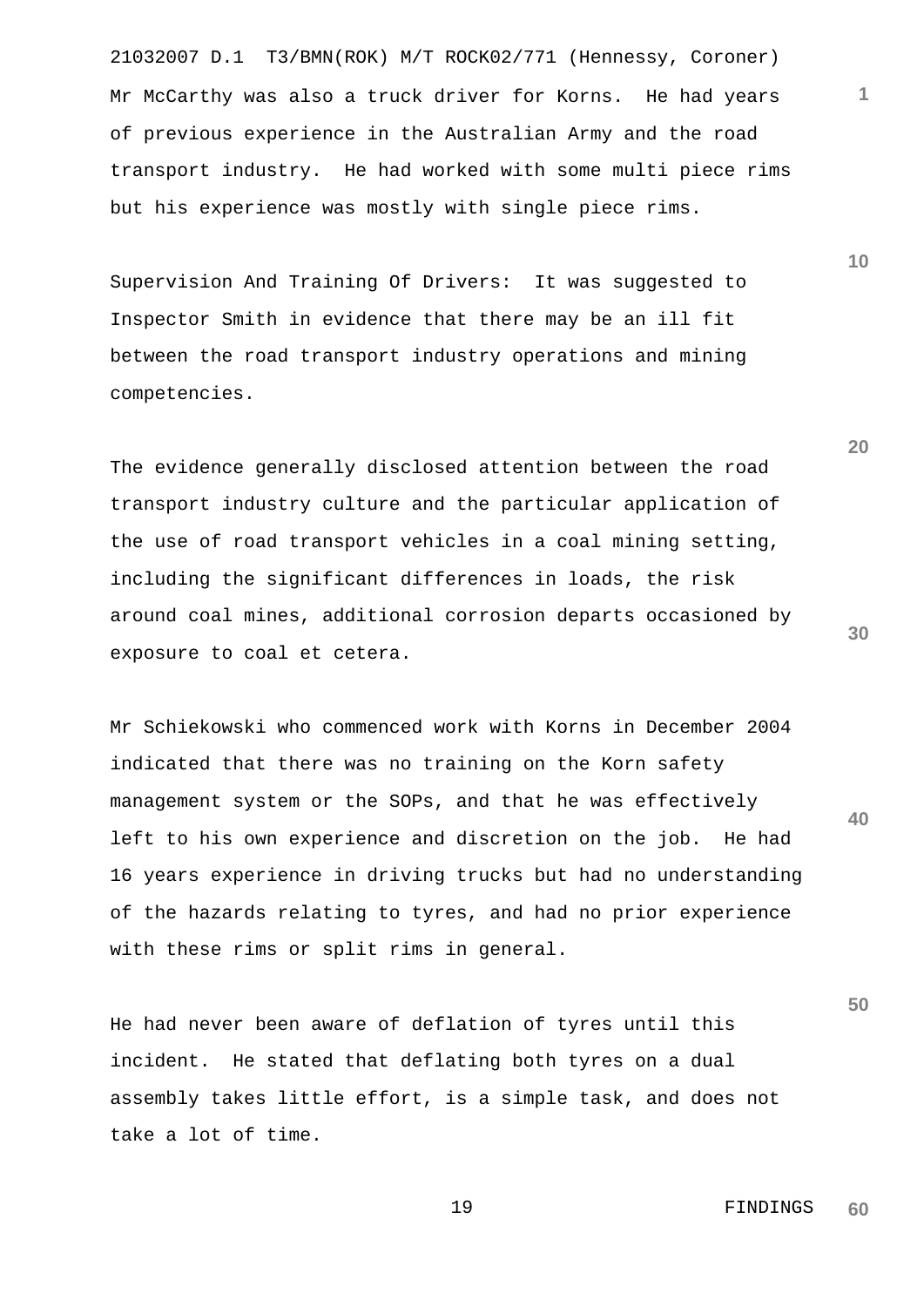21032007 D.1 T3/BMN(ROK) M/T ROCK02/771 (Hennessy, Coroner) Mr McCarthy was also a truck driver for Korns. He had years of previous experience in the Australian Army and the road transport industry. He had worked with some multi piece rims but his experience was mostly with single piece rims.

Supervision And Training Of Drivers: It was suggested to Inspector Smith in evidence that there may be an ill fit between the road transport industry operations and mining competencies.

The evidence generally disclosed attention between the road transport industry culture and the particular application of the use of road transport vehicles in a coal mining setting, including the significant differences in loads, the risk around coal mines, additional corrosion departs occasioned by exposure to coal et cetera.

Mr Schiekowski who commenced work with Korns in December 2004 indicated that there was no training on the Korn safety management system or the SOPs, and that he was effectively left to his own experience and discretion on the job. He had 16 years experience in driving trucks but had no understanding of the hazards relating to tyres, and had no prior experience with these rims or split rims in general.

He had never been aware of deflation of tyres until this incident. He stated that deflating both tyres on a dual assembly takes little effort, is a simple task, and does not take a lot of time.

**20**

**10**

**1**

**50**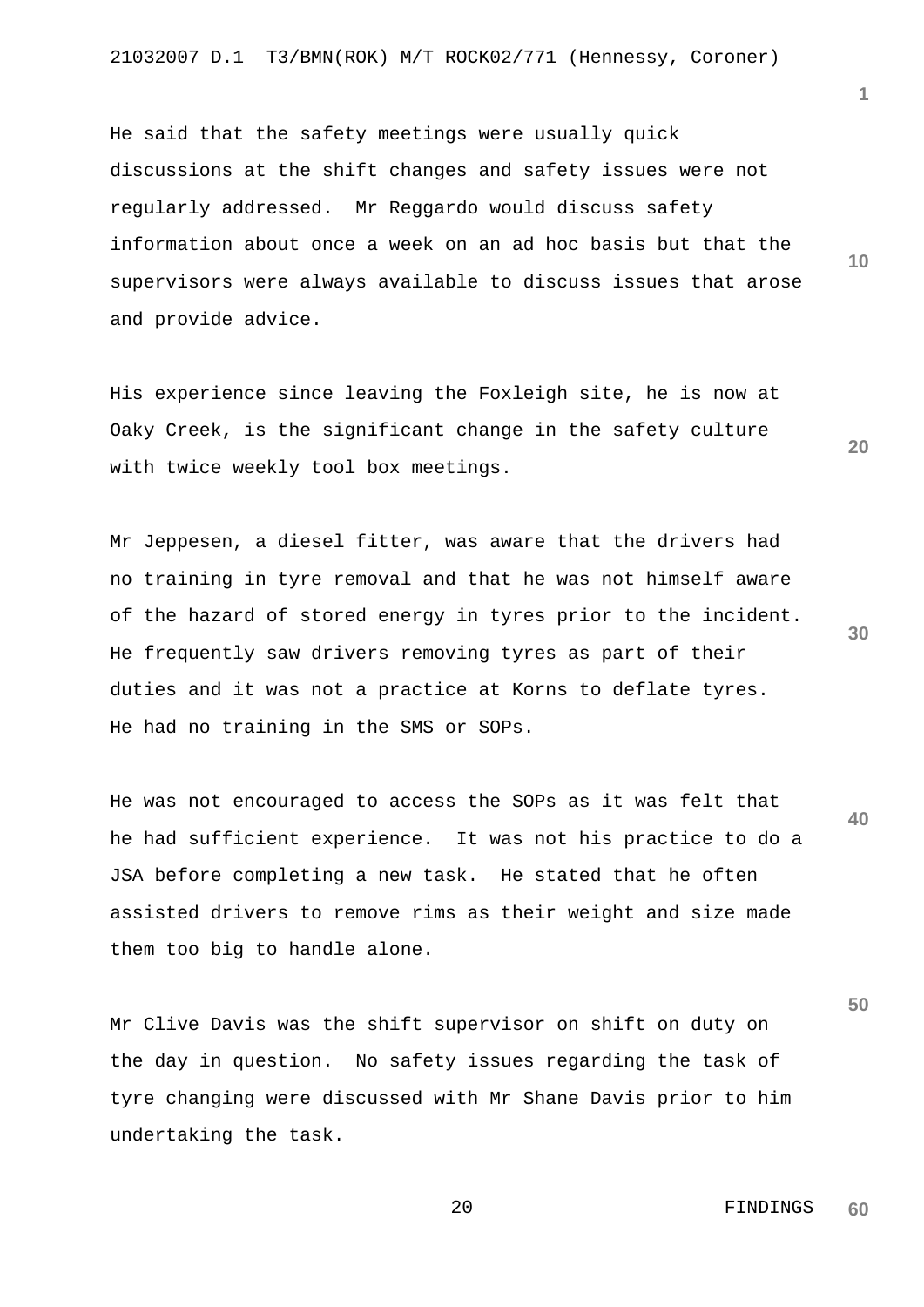He said that the safety meetings were usually quick discussions at the shift changes and safety issues were not regularly addressed. Mr Reggardo would discuss safety information about once a week on an ad hoc basis but that the supervisors were always available to discuss issues that arose and provide advice.

His experience since leaving the Foxleigh site, he is now at Oaky Creek, is the significant change in the safety culture with twice weekly tool box meetings.

Mr Jeppesen, a diesel fitter, was aware that the drivers had no training in tyre removal and that he was not himself aware of the hazard of stored energy in tyres prior to the incident. He frequently saw drivers removing tyres as part of their duties and it was not a practice at Korns to deflate tyres. He had no training in the SMS or SOPs.

He was not encouraged to access the SOPs as it was felt that he had sufficient experience. It was not his practice to do a JSA before completing a new task. He stated that he often assisted drivers to remove rims as their weight and size made them too big to handle alone.

Mr Clive Davis was the shift supervisor on shift on duty on the day in question. No safety issues regarding the task of tyre changing were discussed with Mr Shane Davis prior to him undertaking the task.

**1**

**10**

**20**

**30**

**40**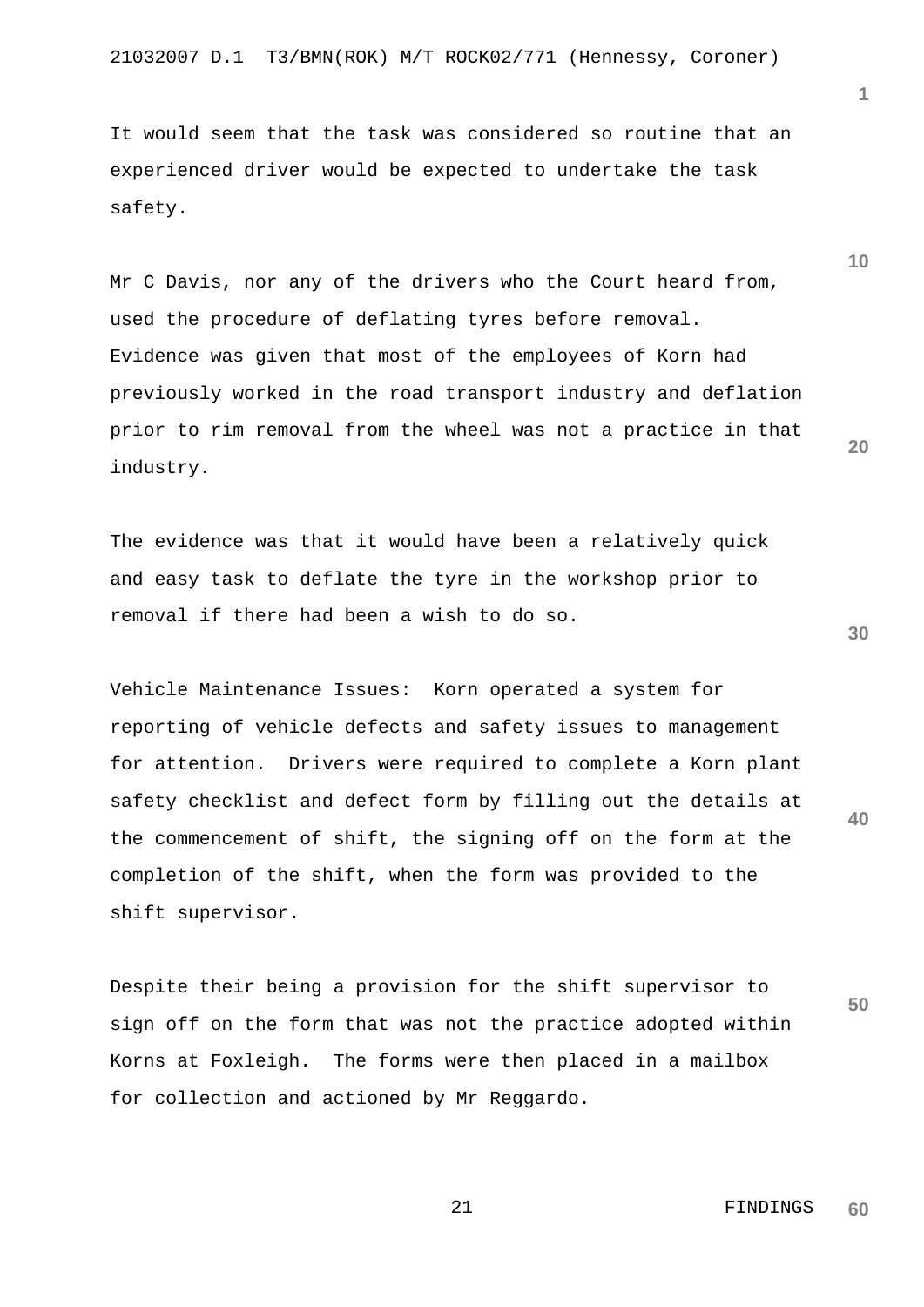It would seem that the task was considered so routine that an experienced driver would be expected to undertake the task safety.

Mr C Davis, nor any of the drivers who the Court heard from, used the procedure of deflating tyres before removal. Evidence was given that most of the employees of Korn had previously worked in the road transport industry and deflation prior to rim removal from the wheel was not a practice in that industry.

The evidence was that it would have been a relatively quick and easy task to deflate the tyre in the workshop prior to removal if there had been a wish to do so.

Vehicle Maintenance Issues: Korn operated a system for reporting of vehicle defects and safety issues to management for attention. Drivers were required to complete a Korn plant safety checklist and defect form by filling out the details at the commencement of shift, the signing off on the form at the completion of the shift, when the form was provided to the shift supervisor.

Despite their being a provision for the shift supervisor to sign off on the form that was not the practice adopted within Korns at Foxleigh. The forms were then placed in a mailbox for collection and actioned by Mr Reggardo.

**10**

**1**

**20**



**40**

**50**

21 FINDINGS **60**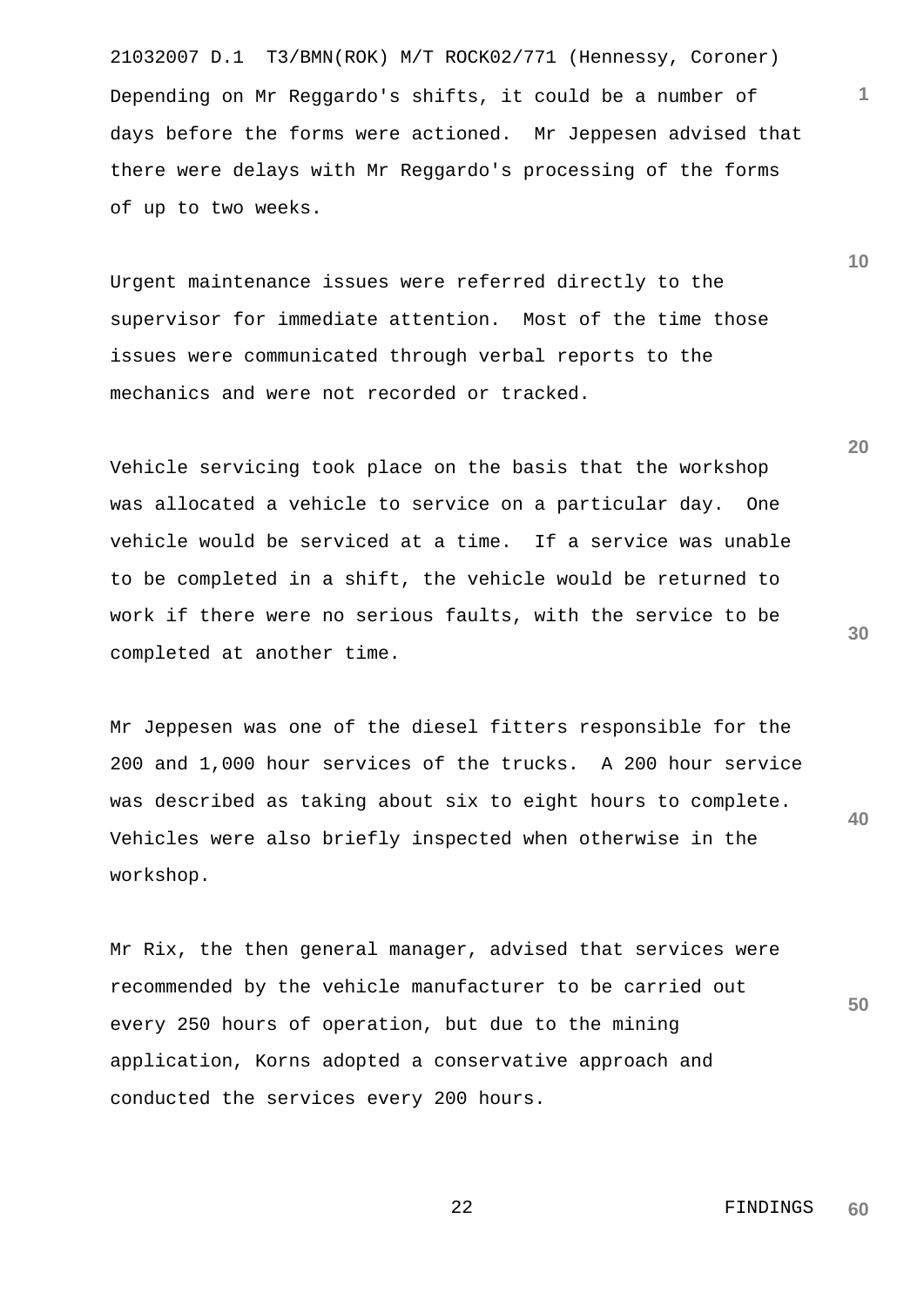21032007 D.1 T3/BMN(ROK) M/T ROCK02/771 (Hennessy, Coroner) Depending on Mr Reggardo's shifts, it could be a number of days before the forms were actioned. Mr Jeppesen advised that there were delays with Mr Reggardo's processing of the forms of up to two weeks.

Urgent maintenance issues were referred directly to the supervisor for immediate attention. Most of the time those issues were communicated through verbal reports to the mechanics and were not recorded or tracked.

Vehicle servicing took place on the basis that the workshop was allocated a vehicle to service on a particular day. One vehicle would be serviced at a time. If a service was unable to be completed in a shift, the vehicle would be returned to work if there were no serious faults, with the service to be completed at another time.

**40** Mr Jeppesen was one of the diesel fitters responsible for the 200 and 1,000 hour services of the trucks. A 200 hour service was described as taking about six to eight hours to complete. Vehicles were also briefly inspected when otherwise in the workshop.

Mr Rix, the then general manager, advised that services were recommended by the vehicle manufacturer to be carried out every 250 hours of operation, but due to the mining application, Korns adopted a conservative approach and conducted the services every 200 hours.

> 22 FINDINGS **60**

**30**

**50**

**20**

**1**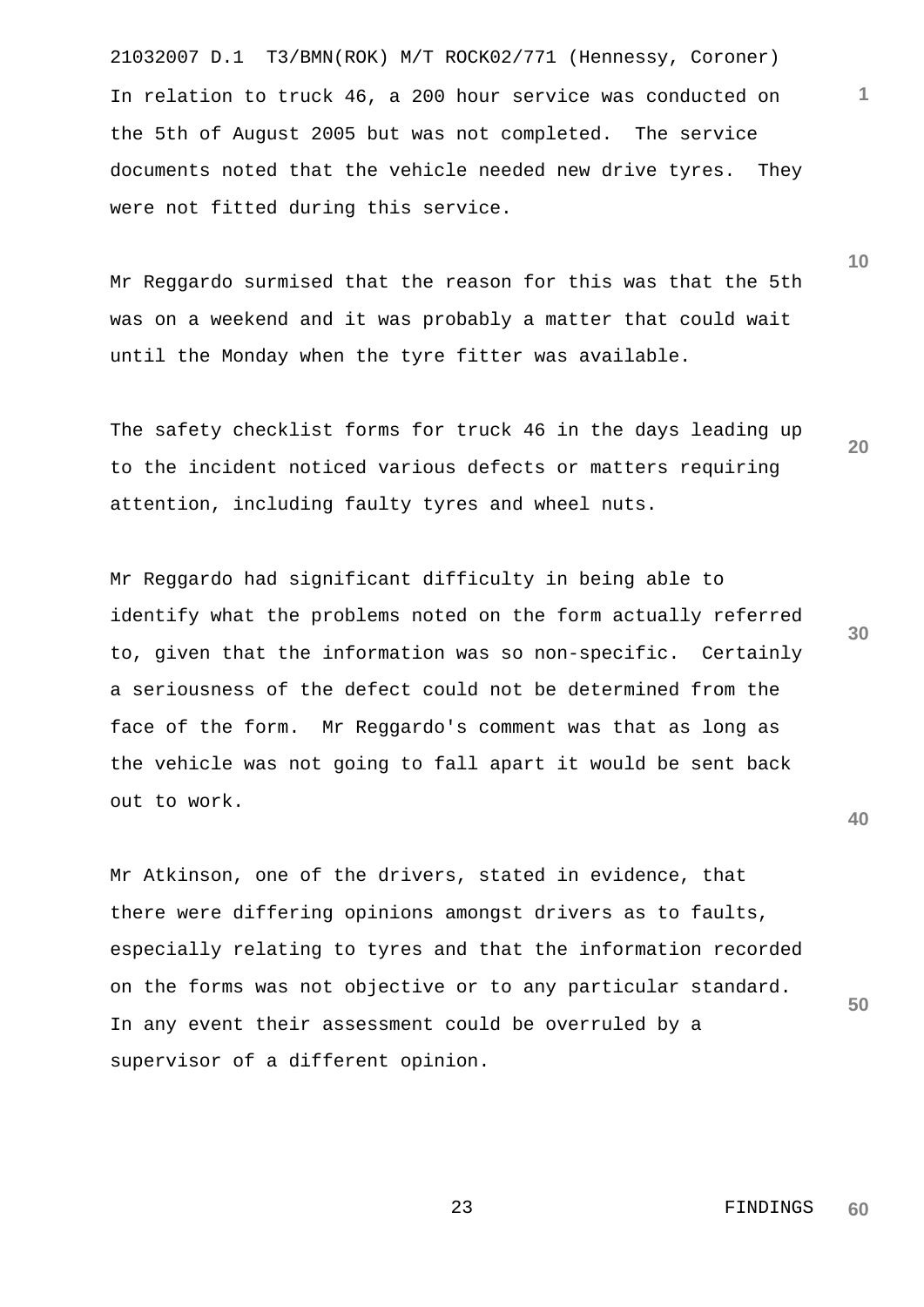21032007 D.1 T3/BMN(ROK) M/T ROCK02/771 (Hennessy, Coroner) In relation to truck 46, a 200 hour service was conducted on the 5th of August 2005 but was not completed. The service documents noted that the vehicle needed new drive tyres. They were not fitted during this service.

Mr Reggardo surmised that the reason for this was that the 5th was on a weekend and it was probably a matter that could wait until the Monday when the tyre fitter was available.

The safety checklist forms for truck 46 in the days leading up to the incident noticed various defects or matters requiring attention, including faulty tyres and wheel nuts.

Mr Reggardo had significant difficulty in being able to identify what the problems noted on the form actually referred to, given that the information was so non-specific. Certainly a seriousness of the defect could not be determined from the face of the form. Mr Reggardo's comment was that as long as the vehicle was not going to fall apart it would be sent back out to work.

Mr Atkinson, one of the drivers, stated in evidence, that there were differing opinions amongst drivers as to faults, especially relating to tyres and that the information recorded on the forms was not objective or to any particular standard. In any event their assessment could be overruled by a supervisor of a different opinion.

**60**

23 FINDINGS

**10**

**20**

**1**

**30**

**40**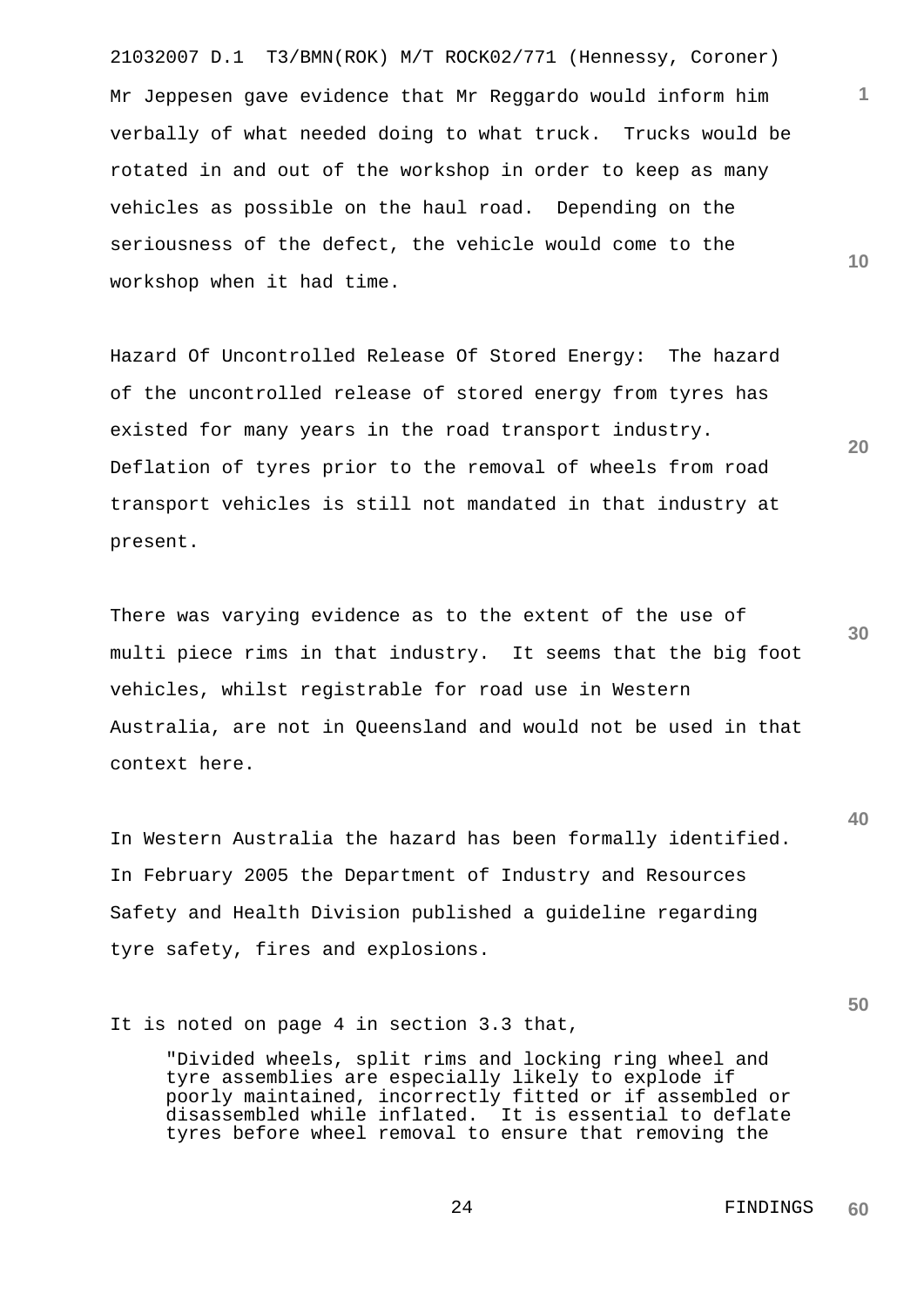21032007 D.1 T3/BMN(ROK) M/T ROCK02/771 (Hennessy, Coroner) Mr Jeppesen gave evidence that Mr Reggardo would inform him verbally of what needed doing to what truck. Trucks would be rotated in and out of the workshop in order to keep as many vehicles as possible on the haul road. Depending on the seriousness of the defect, the vehicle would come to the workshop when it had time.

Hazard Of Uncontrolled Release Of Stored Energy: The hazard of the uncontrolled release of stored energy from tyres has existed for many years in the road transport industry. Deflation of tyres prior to the removal of wheels from road transport vehicles is still not mandated in that industry at present.

There was varying evidence as to the extent of the use of multi piece rims in that industry. It seems that the big foot vehicles, whilst registrable for road use in Western Australia, are not in Queensland and would not be used in that context here.

In Western Australia the hazard has been formally identified. In February 2005 the Department of Industry and Resources Safety and Health Division published a guideline regarding tyre safety, fires and explosions.

It is noted on page 4 in section 3.3 that,

"Divided wheels, split rims and locking ring wheel and tyre assemblies are especially likely to explode if poorly maintained, incorrectly fitted or if assembled or disassembled while inflated. It is essential to deflate tyres before wheel removal to ensure that removing the

**30**

**40**

**50**

**10**

**20**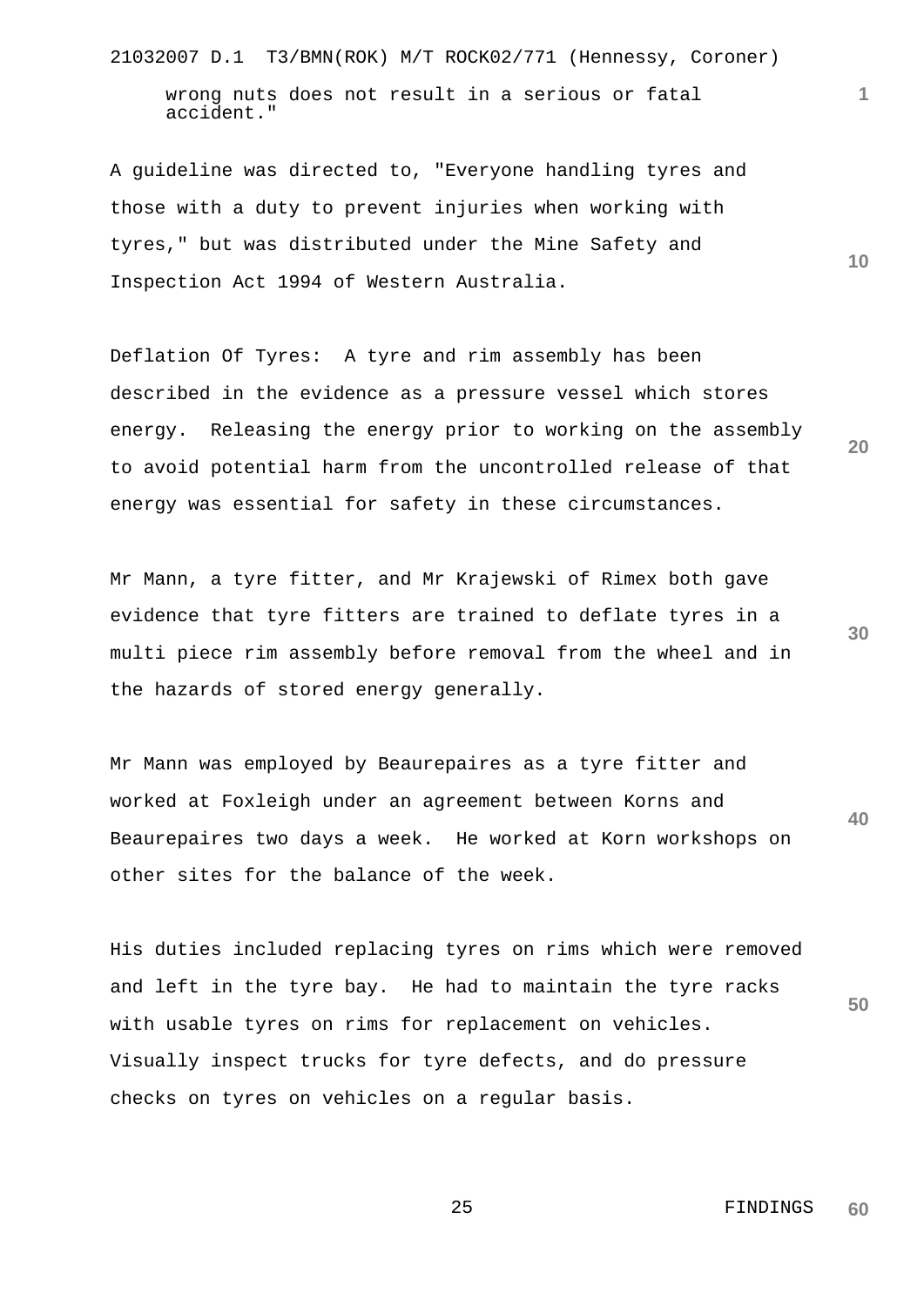21032007 D.1 T3/BMN(ROK) M/T ROCK02/771 (Hennessy, Coroner)

wrong nuts does not result in a serious or fatal accident."

A guideline was directed to, "Everyone handling tyres and those with a duty to prevent injuries when working with tyres," but was distributed under the Mine Safety and Inspection Act 1994 of Western Australia.

Deflation Of Tyres: A tyre and rim assembly has been described in the evidence as a pressure vessel which stores energy. Releasing the energy prior to working on the assembly to avoid potential harm from the uncontrolled release of that energy was essential for safety in these circumstances.

**30** Mr Mann, a tyre fitter, and Mr Krajewski of Rimex both gave evidence that tyre fitters are trained to deflate tyres in a multi piece rim assembly before removal from the wheel and in the hazards of stored energy generally.

**40** Mr Mann was employed by Beaurepaires as a tyre fitter and worked at Foxleigh under an agreement between Korns and Beaurepaires two days a week. He worked at Korn workshops on other sites for the balance of the week.

**50** His duties included replacing tyres on rims which were removed and left in the tyre bay. He had to maintain the tyre racks with usable tyres on rims for replacement on vehicles. Visually inspect trucks for tyre defects, and do pressure checks on tyres on vehicles on a regular basis.

**1**

**10**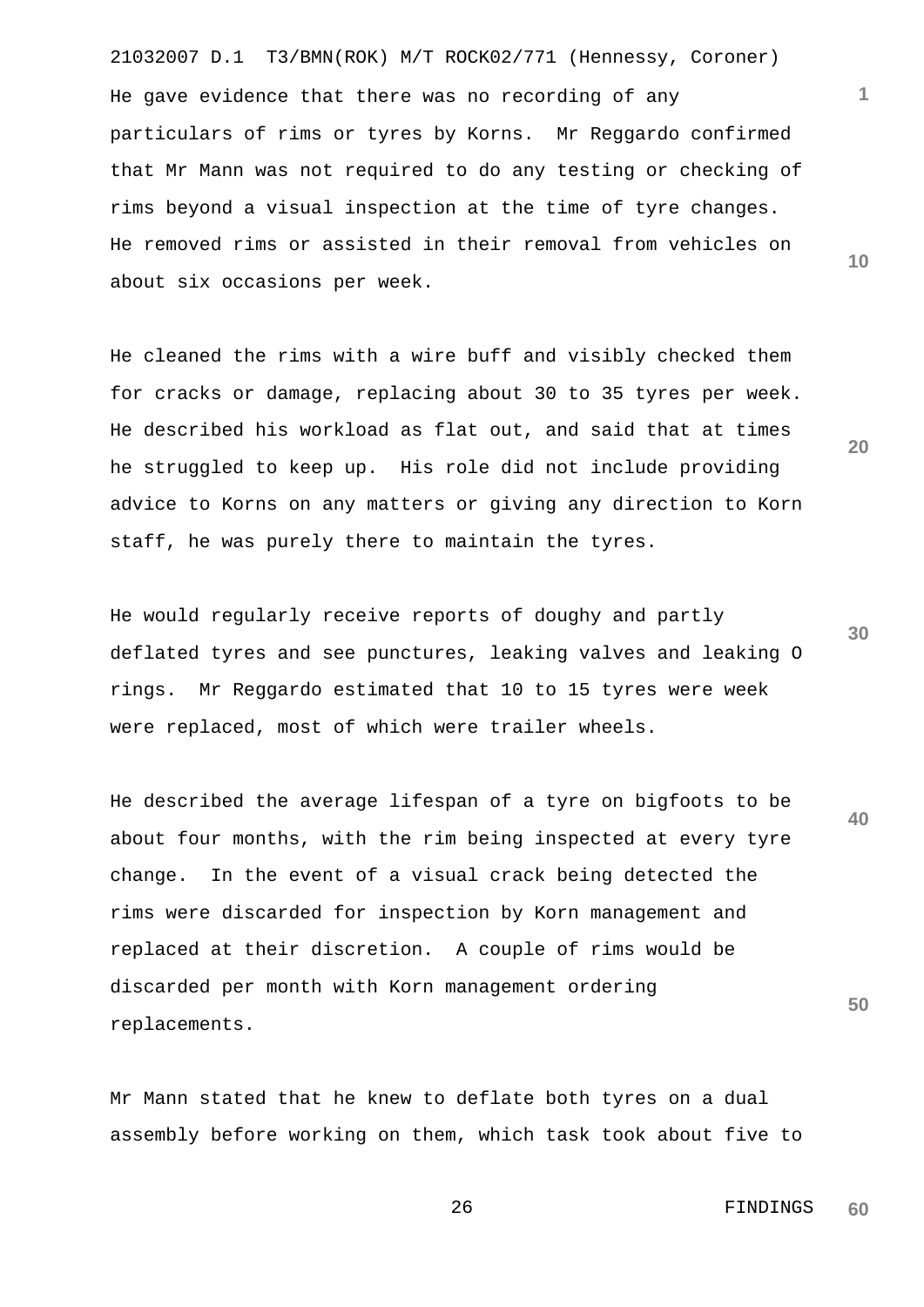21032007 D.1 T3/BMN(ROK) M/T ROCK02/771 (Hennessy, Coroner) He gave evidence that there was no recording of any particulars of rims or tyres by Korns. Mr Reggardo confirmed that Mr Mann was not required to do any testing or checking of rims beyond a visual inspection at the time of tyre changes. He removed rims or assisted in their removal from vehicles on about six occasions per week.

He cleaned the rims with a wire buff and visibly checked them for cracks or damage, replacing about 30 to 35 tyres per week. He described his workload as flat out, and said that at times he struggled to keep up. His role did not include providing advice to Korns on any matters or giving any direction to Korn staff, he was purely there to maintain the tyres.

He would regularly receive reports of doughy and partly deflated tyres and see punctures, leaking valves and leaking O rings. Mr Reggardo estimated that 10 to 15 tyres were week were replaced, most of which were trailer wheels.

**40 50** He described the average lifespan of a tyre on bigfoots to be about four months, with the rim being inspected at every tyre change. In the event of a visual crack being detected the rims were discarded for inspection by Korn management and replaced at their discretion. A couple of rims would be discarded per month with Korn management ordering replacements.

Mr Mann stated that he knew to deflate both tyres on a dual assembly before working on them, which task took about five to **30**

**1**

**10**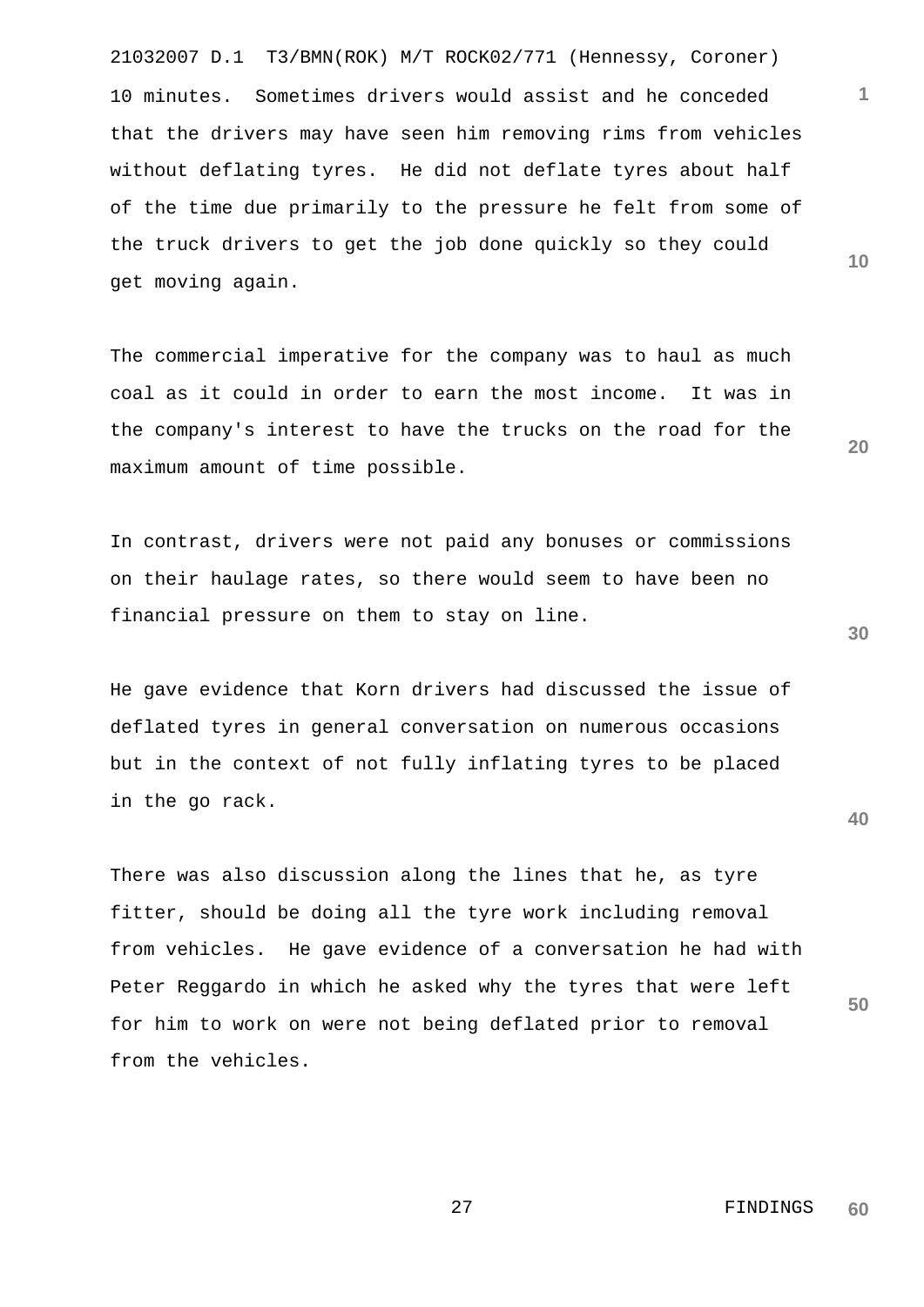21032007 D.1 T3/BMN(ROK) M/T ROCK02/771 (Hennessy, Coroner) 10 minutes. Sometimes drivers would assist and he conceded that the drivers may have seen him removing rims from vehicles without deflating tyres. He did not deflate tyres about half of the time due primarily to the pressure he felt from some of the truck drivers to get the job done quickly so they could get moving again.

The commercial imperative for the company was to haul as much coal as it could in order to earn the most income. It was in the company's interest to have the trucks on the road for the maximum amount of time possible.

In contrast, drivers were not paid any bonuses or commissions on their haulage rates, so there would seem to have been no financial pressure on them to stay on line.

He gave evidence that Korn drivers had discussed the issue of deflated tyres in general conversation on numerous occasions but in the context of not fully inflating tyres to be placed in the go rack.

There was also discussion along the lines that he, as tyre fitter, should be doing all the tyre work including removal from vehicles. He gave evidence of a conversation he had with Peter Reggardo in which he asked why the tyres that were left for him to work on were not being deflated prior to removal from the vehicles.

**10**

**1**

**20**

**30**

**40**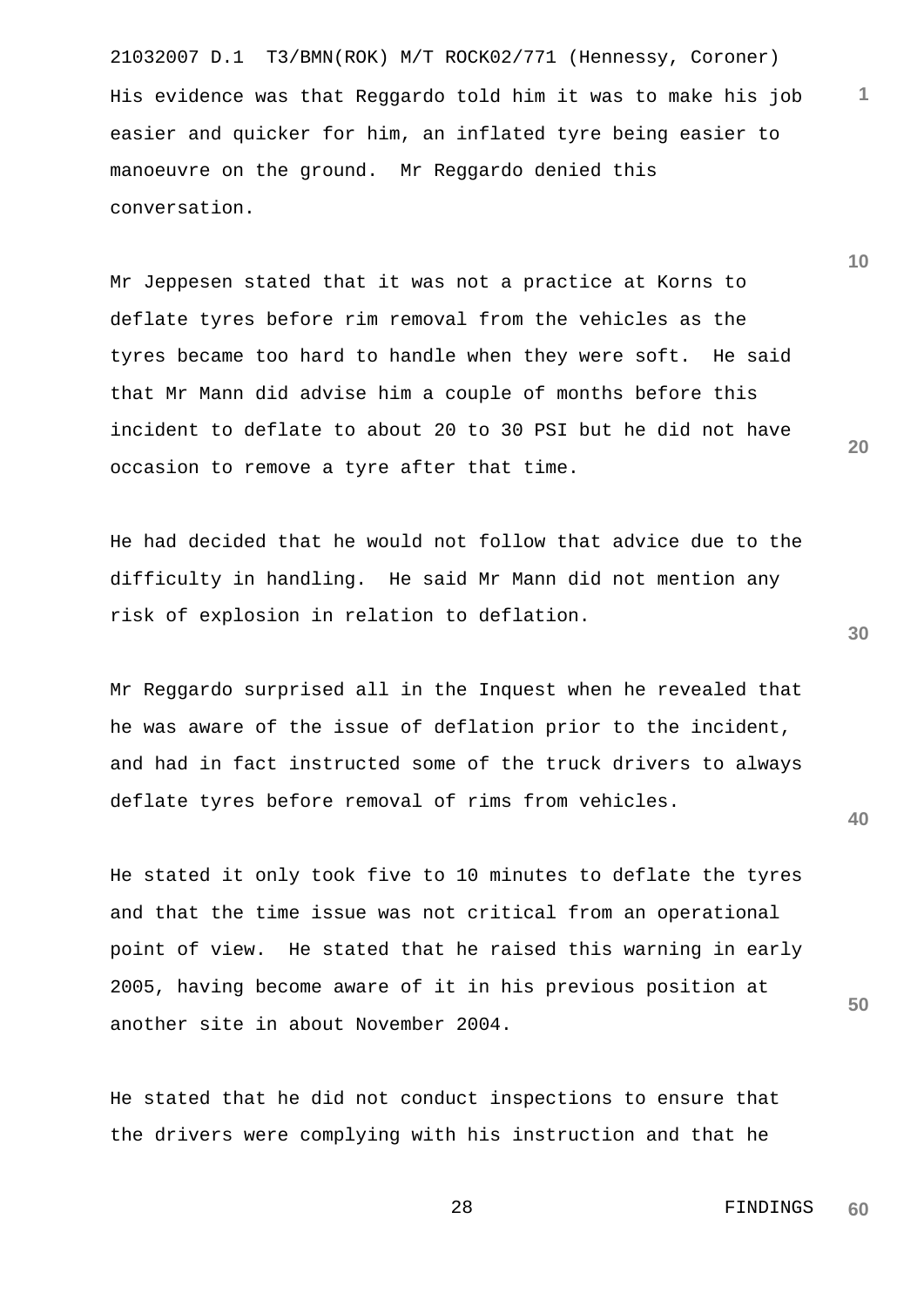21032007 D.1 T3/BMN(ROK) M/T ROCK02/771 (Hennessy, Coroner) His evidence was that Reggardo told him it was to make his job easier and quicker for him, an inflated tyre being easier to manoeuvre on the ground. Mr Reggardo denied this conversation.

Mr Jeppesen stated that it was not a practice at Korns to deflate tyres before rim removal from the vehicles as the tyres became too hard to handle when they were soft. He said that Mr Mann did advise him a couple of months before this incident to deflate to about 20 to 30 PSI but he did not have occasion to remove a tyre after that time.

He had decided that he would not follow that advice due to the difficulty in handling. He said Mr Mann did not mention any risk of explosion in relation to deflation.

Mr Reggardo surprised all in the Inquest when he revealed that he was aware of the issue of deflation prior to the incident, and had in fact instructed some of the truck drivers to always deflate tyres before removal of rims from vehicles.

He stated it only took five to 10 minutes to deflate the tyres and that the time issue was not critical from an operational point of view. He stated that he raised this warning in early 2005, having become aware of it in his previous position at another site in about November 2004.

He stated that he did not conduct inspections to ensure that the drivers were complying with his instruction and that he

> 28 FINDINGS **60**

**30**

**40**

**50**

**1**

**10**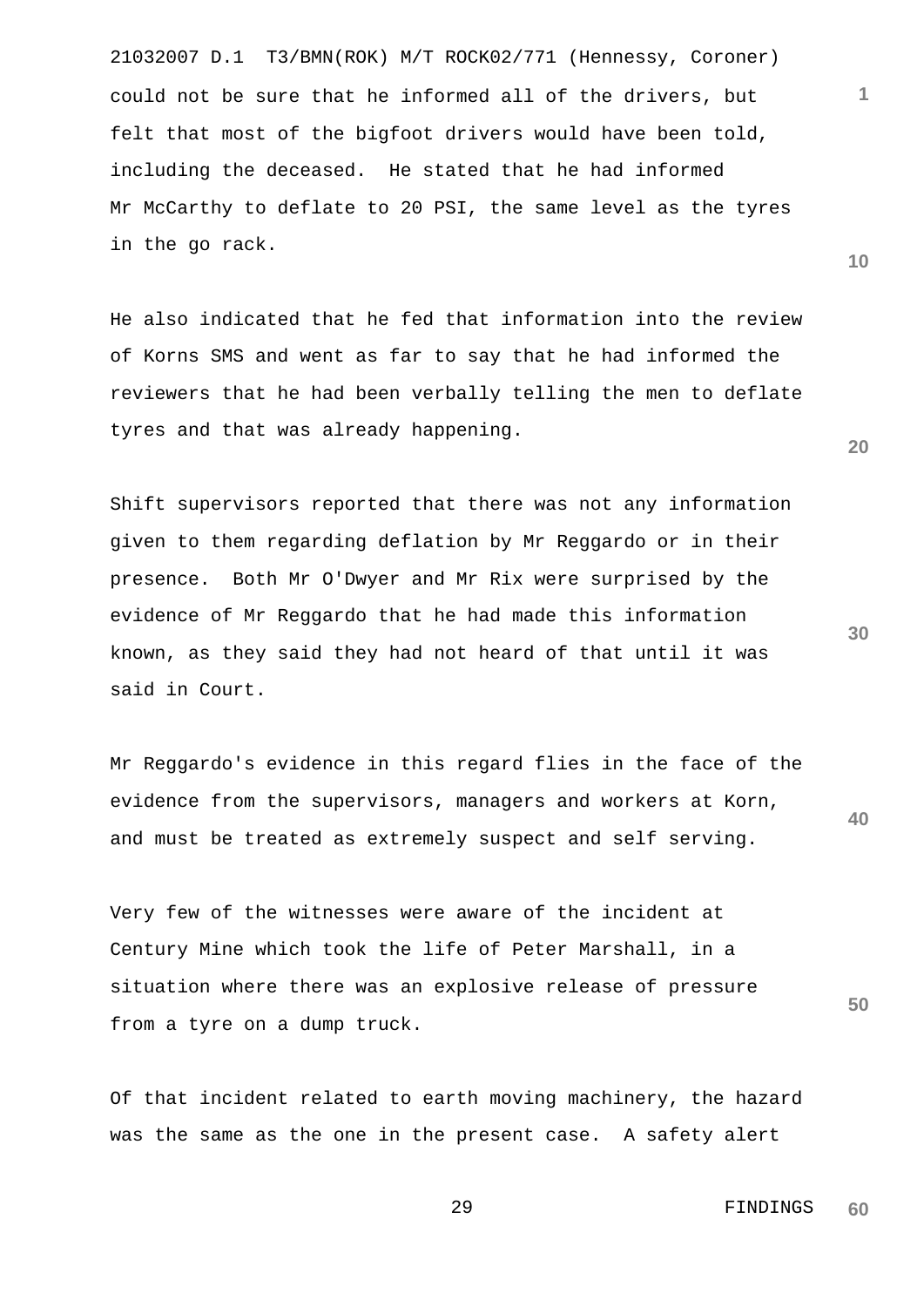21032007 D.1 T3/BMN(ROK) M/T ROCK02/771 (Hennessy, Coroner) could not be sure that he informed all of the drivers, but felt that most of the bigfoot drivers would have been told, including the deceased. He stated that he had informed Mr McCarthy to deflate to 20 PSI, the same level as the tyres in the go rack.

He also indicated that he fed that information into the review of Korns SMS and went as far to say that he had informed the reviewers that he had been verbally telling the men to deflate tyres and that was already happening.

Shift supervisors reported that there was not any information given to them regarding deflation by Mr Reggardo or in their presence. Both Mr O'Dwyer and Mr Rix were surprised by the evidence of Mr Reggardo that he had made this information known, as they said they had not heard of that until it was said in Court.

**40** Mr Reggardo's evidence in this regard flies in the face of the evidence from the supervisors, managers and workers at Korn, and must be treated as extremely suspect and self serving.

Very few of the witnesses were aware of the incident at Century Mine which took the life of Peter Marshall, in a situation where there was an explosive release of pressure from a tyre on a dump truck.

Of that incident related to earth moving machinery, the hazard was the same as the one in the present case. A safety alert

**20**

**10**

**1**

 29 FINDINGS **60**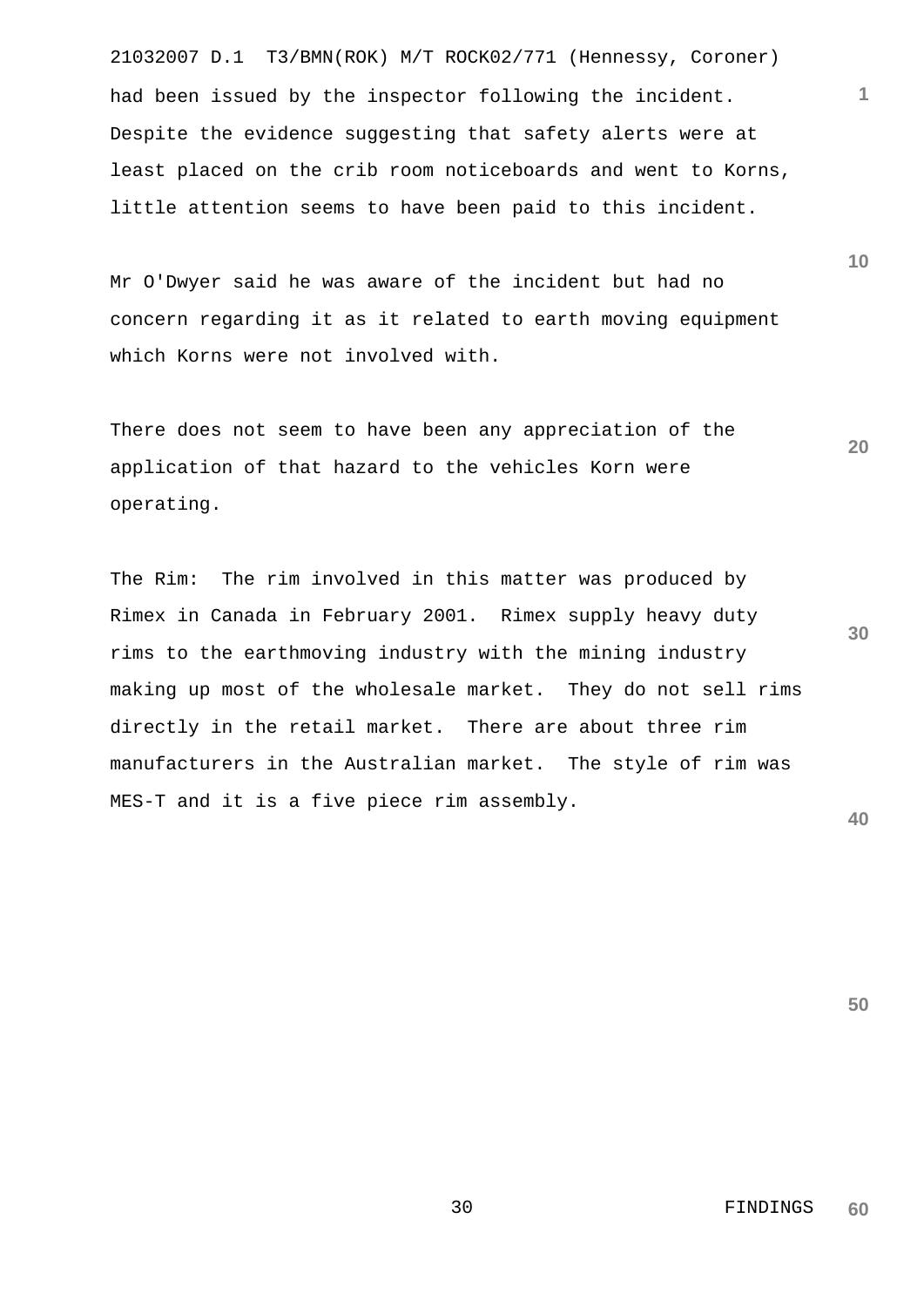21032007 D.1 T3/BMN(ROK) M/T ROCK02/771 (Hennessy, Coroner) had been issued by the inspector following the incident. Despite the evidence suggesting that safety alerts were at least placed on the crib room noticeboards and went to Korns, little attention seems to have been paid to this incident.

Mr O'Dwyer said he was aware of the incident but had no concern regarding it as it related to earth moving equipment which Korns were not involved with.

There does not seem to have been any appreciation of the application of that hazard to the vehicles Korn were operating.

**30 40** The Rim: The rim involved in this matter was produced by Rimex in Canada in February 2001. Rimex supply heavy duty rims to the earthmoving industry with the mining industry making up most of the wholesale market. They do not sell rims directly in the retail market. There are about three rim manufacturers in the Australian market. The style of rim was MES-T and it is a five piece rim assembly.

**50**

**10**

**1**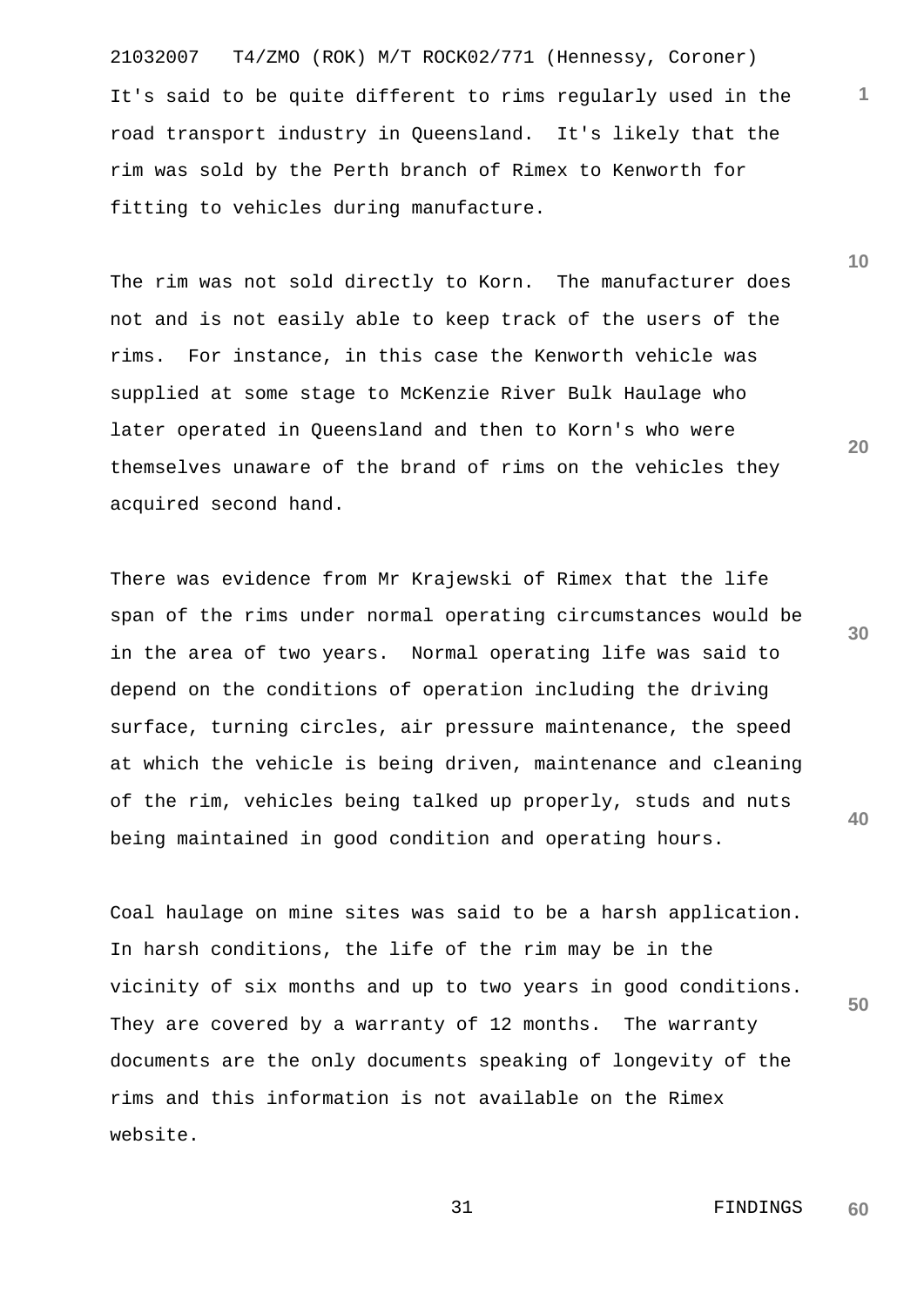21032007 T4/ZMO (ROK) M/T ROCK02/771 (Hennessy, Coroner) It's said to be quite different to rims regularly used in the road transport industry in Queensland. It's likely that the rim was sold by the Perth branch of Rimex to Kenworth for fitting to vehicles during manufacture.

The rim was not sold directly to Korn. The manufacturer does not and is not easily able to keep track of the users of the rims. For instance, in this case the Kenworth vehicle was supplied at some stage to McKenzie River Bulk Haulage who later operated in Queensland and then to Korn's who were themselves unaware of the brand of rims on the vehicles they acquired second hand.

There was evidence from Mr Krajewski of Rimex that the life span of the rims under normal operating circumstances would be in the area of two years. Normal operating life was said to depend on the conditions of operation including the driving surface, turning circles, air pressure maintenance, the speed at which the vehicle is being driven, maintenance and cleaning of the rim, vehicles being talked up properly, studs and nuts being maintained in good condition and operating hours.

**50** Coal haulage on mine sites was said to be a harsh application. In harsh conditions, the life of the rim may be in the vicinity of six months and up to two years in good conditions. They are covered by a warranty of 12 months. The warranty documents are the only documents speaking of longevity of the rims and this information is not available on the Rimex website.

**30**

**40**

**20**

**1**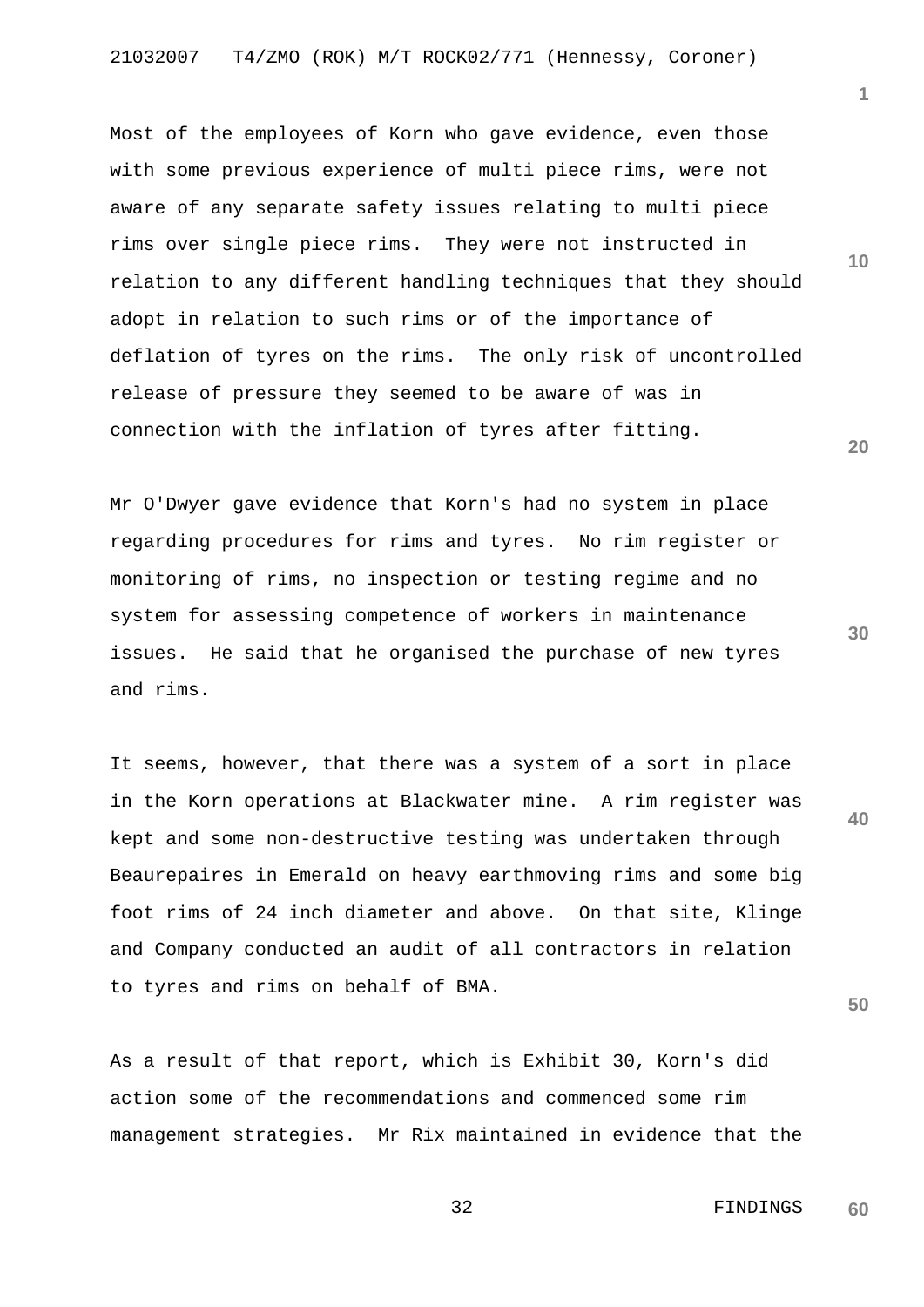Most of the employees of Korn who gave evidence, even those with some previous experience of multi piece rims, were not aware of any separate safety issues relating to multi piece rims over single piece rims. They were not instructed in relation to any different handling techniques that they should adopt in relation to such rims or of the importance of deflation of tyres on the rims. The only risk of uncontrolled release of pressure they seemed to be aware of was in connection with the inflation of tyres after fitting.

Mr O'Dwyer gave evidence that Korn's had no system in place regarding procedures for rims and tyres. No rim register or monitoring of rims, no inspection or testing regime and no system for assessing competence of workers in maintenance issues. He said that he organised the purchase of new tyres and rims.

It seems, however, that there was a system of a sort in place in the Korn operations at Blackwater mine. A rim register was kept and some non-destructive testing was undertaken through Beaurepaires in Emerald on heavy earthmoving rims and some big foot rims of 24 inch diameter and above. On that site, Klinge and Company conducted an audit of all contractors in relation to tyres and rims on behalf of BMA.

As a result of that report, which is Exhibit 30, Korn's did action some of the recommendations and commenced some rim management strategies. Mr Rix maintained in evidence that the **10**

**1**

**20**

**30**

**40**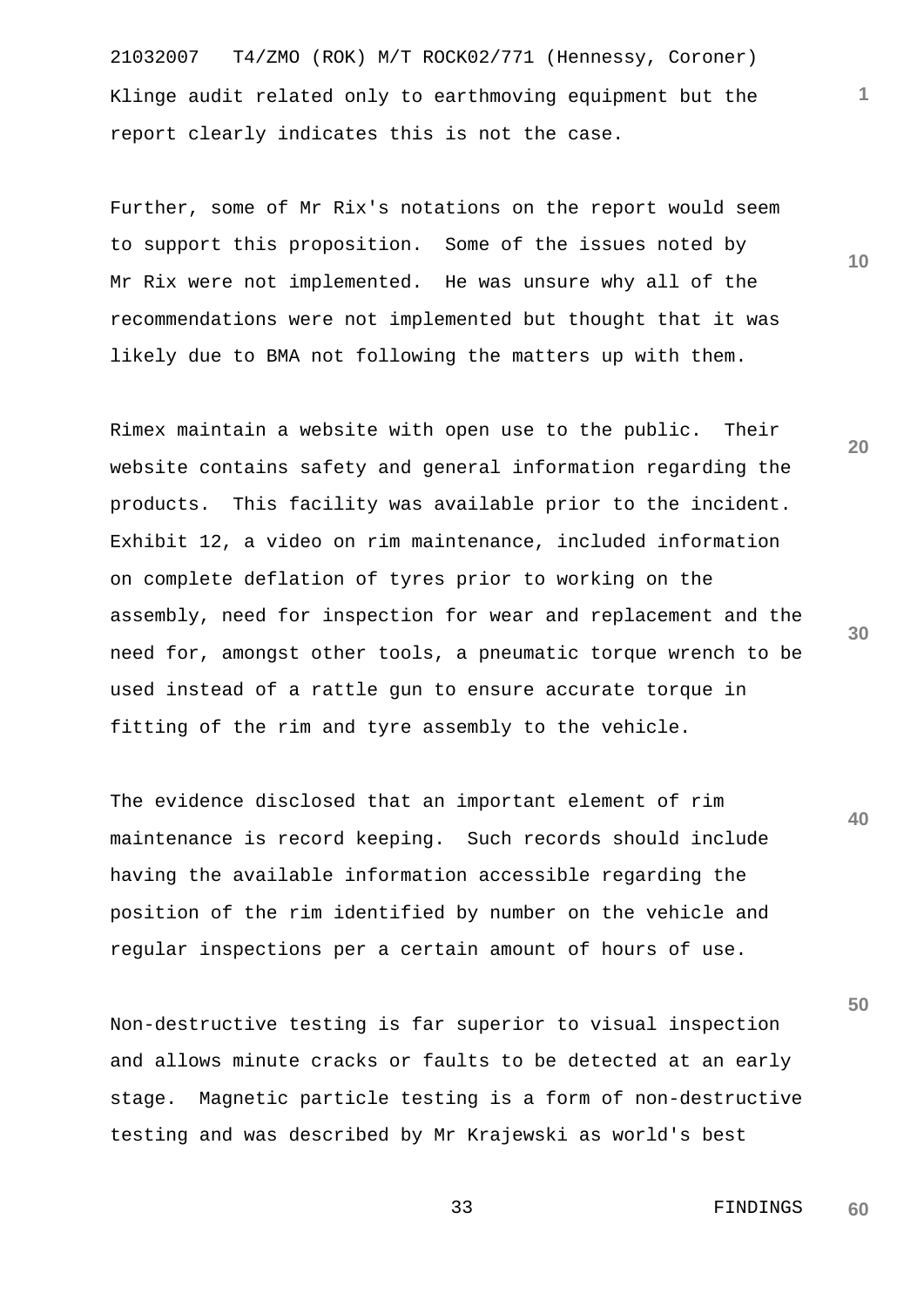21032007 T4/ZMO (ROK) M/T ROCK02/771 (Hennessy, Coroner) Klinge audit related only to earthmoving equipment but the report clearly indicates this is not the case.

Further, some of Mr Rix's notations on the report would seem to support this proposition. Some of the issues noted by Mr Rix were not implemented. He was unsure why all of the recommendations were not implemented but thought that it was likely due to BMA not following the matters up with them.

Rimex maintain a website with open use to the public. Their website contains safety and general information regarding the products. This facility was available prior to the incident. Exhibit 12, a video on rim maintenance, included information on complete deflation of tyres prior to working on the assembly, need for inspection for wear and replacement and the need for, amongst other tools, a pneumatic torque wrench to be used instead of a rattle gun to ensure accurate torque in fitting of the rim and tyre assembly to the vehicle.

The evidence disclosed that an important element of rim maintenance is record keeping. Such records should include having the available information accessible regarding the position of the rim identified by number on the vehicle and regular inspections per a certain amount of hours of use.

Non-destructive testing is far superior to visual inspection and allows minute cracks or faults to be detected at an early stage. Magnetic particle testing is a form of non-destructive testing and was described by Mr Krajewski as world's best

**20**

**10**

**1**

**30**

**40**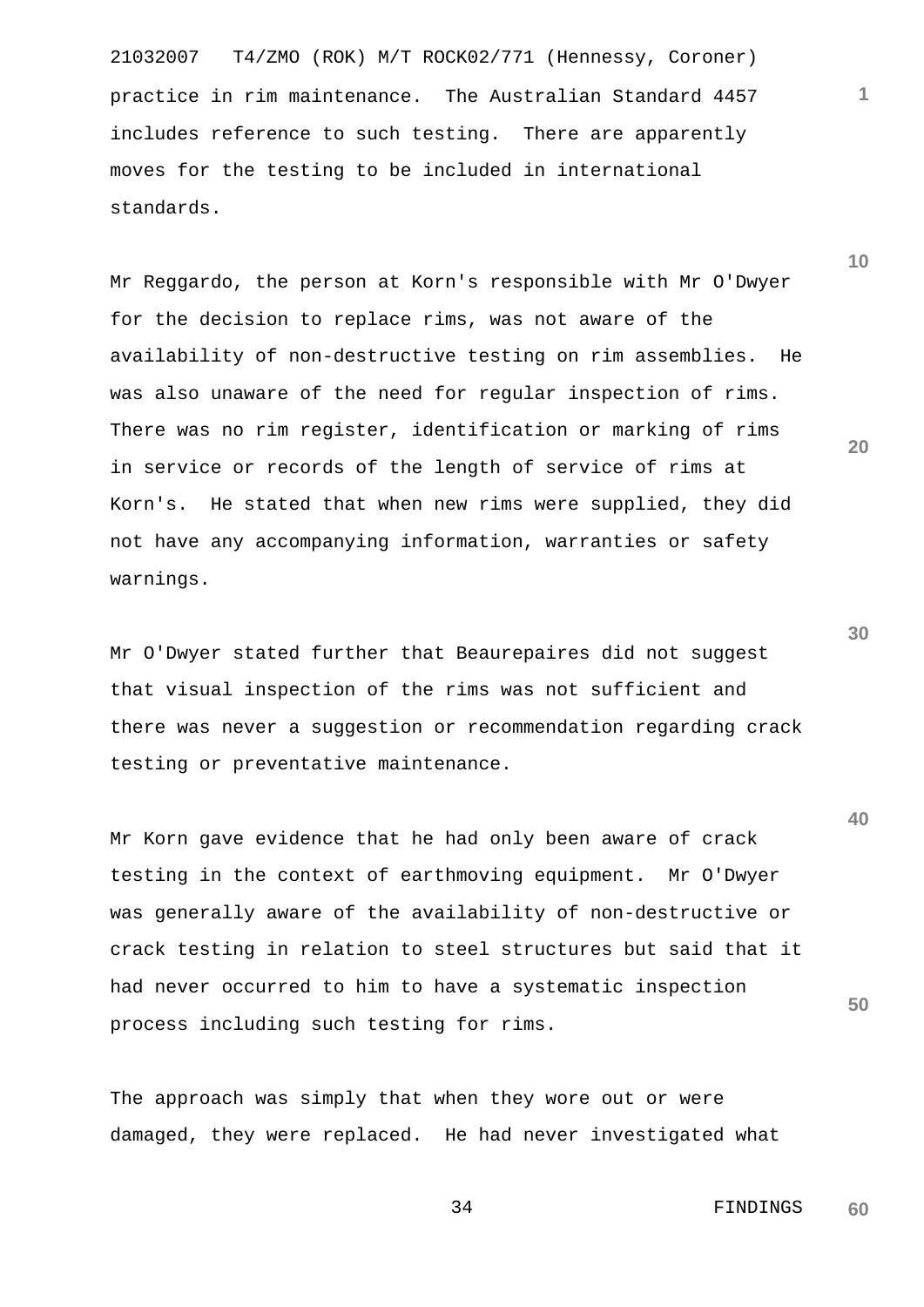21032007 T4/ZMO (ROK) M/T ROCK02/771 (Hennessy, Coroner) practice in rim maintenance. The Australian Standard 4457 includes reference to such testing. There are apparently moves for the testing to be included in international standards.

Mr Reggardo, the person at Korn's responsible with Mr O'Dwyer for the decision to replace rims, was not aware of the availability of non-destructive testing on rim assemblies. He was also unaware of the need for regular inspection of rims. There was no rim register, identification or marking of rims in service or records of the length of service of rims at Korn's. He stated that when new rims were supplied, they did not have any accompanying information, warranties or safety warnings.

Mr O'Dwyer stated further that Beaurepaires did not suggest that visual inspection of the rims was not sufficient and there was never a suggestion or recommendation regarding crack testing or preventative maintenance.

**50** Mr Korn gave evidence that he had only been aware of crack testing in the context of earthmoving equipment. Mr O'Dwyer was generally aware of the availability of non-destructive or crack testing in relation to steel structures but said that it had never occurred to him to have a systematic inspection process including such testing for rims.

The approach was simply that when they wore out or were damaged, they were replaced. He had never investigated what **30**

**1**

**10**

**20**

 34 FINDINGS **60**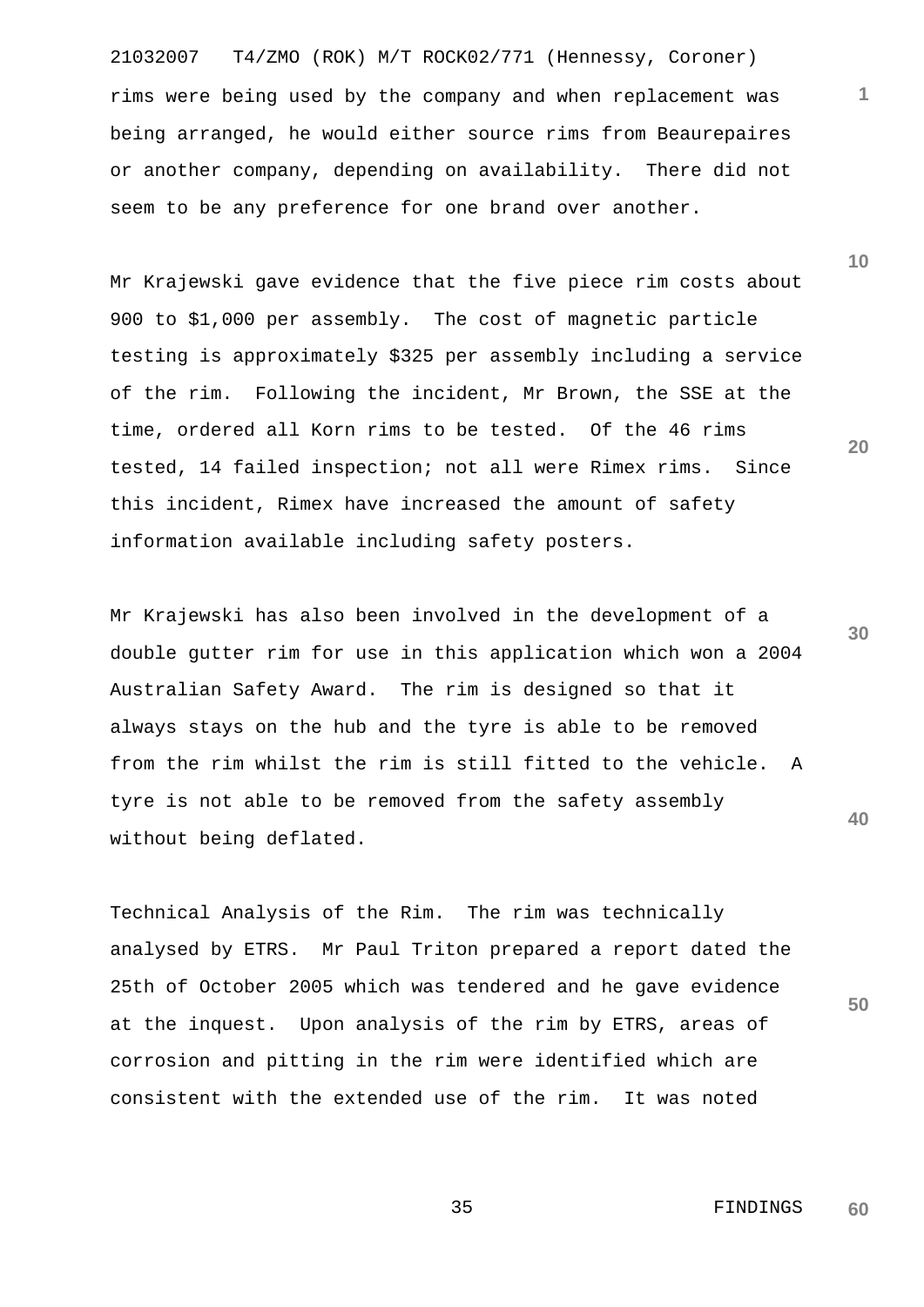21032007 T4/ZMO (ROK) M/T ROCK02/771 (Hennessy, Coroner) rims were being used by the company and when replacement was being arranged, he would either source rims from Beaurepaires or another company, depending on availability. There did not seem to be any preference for one brand over another.

Mr Krajewski gave evidence that the five piece rim costs about 900 to \$1,000 per assembly. The cost of magnetic particle testing is approximately \$325 per assembly including a service of the rim. Following the incident, Mr Brown, the SSE at the time, ordered all Korn rims to be tested. Of the 46 rims tested, 14 failed inspection; not all were Rimex rims. Since this incident, Rimex have increased the amount of safety information available including safety posters.

**40** Mr Krajewski has also been involved in the development of a double gutter rim for use in this application which won a 2004 Australian Safety Award. The rim is designed so that it always stays on the hub and the tyre is able to be removed from the rim whilst the rim is still fitted to the vehicle. A tyre is not able to be removed from the safety assembly without being deflated.

Technical Analysis of the Rim. The rim was technically analysed by ETRS. Mr Paul Triton prepared a report dated the 25th of October 2005 which was tendered and he gave evidence at the inquest. Upon analysis of the rim by ETRS, areas of corrosion and pitting in the rim were identified which are consistent with the extended use of the rim. It was noted

**10**

**1**

**20**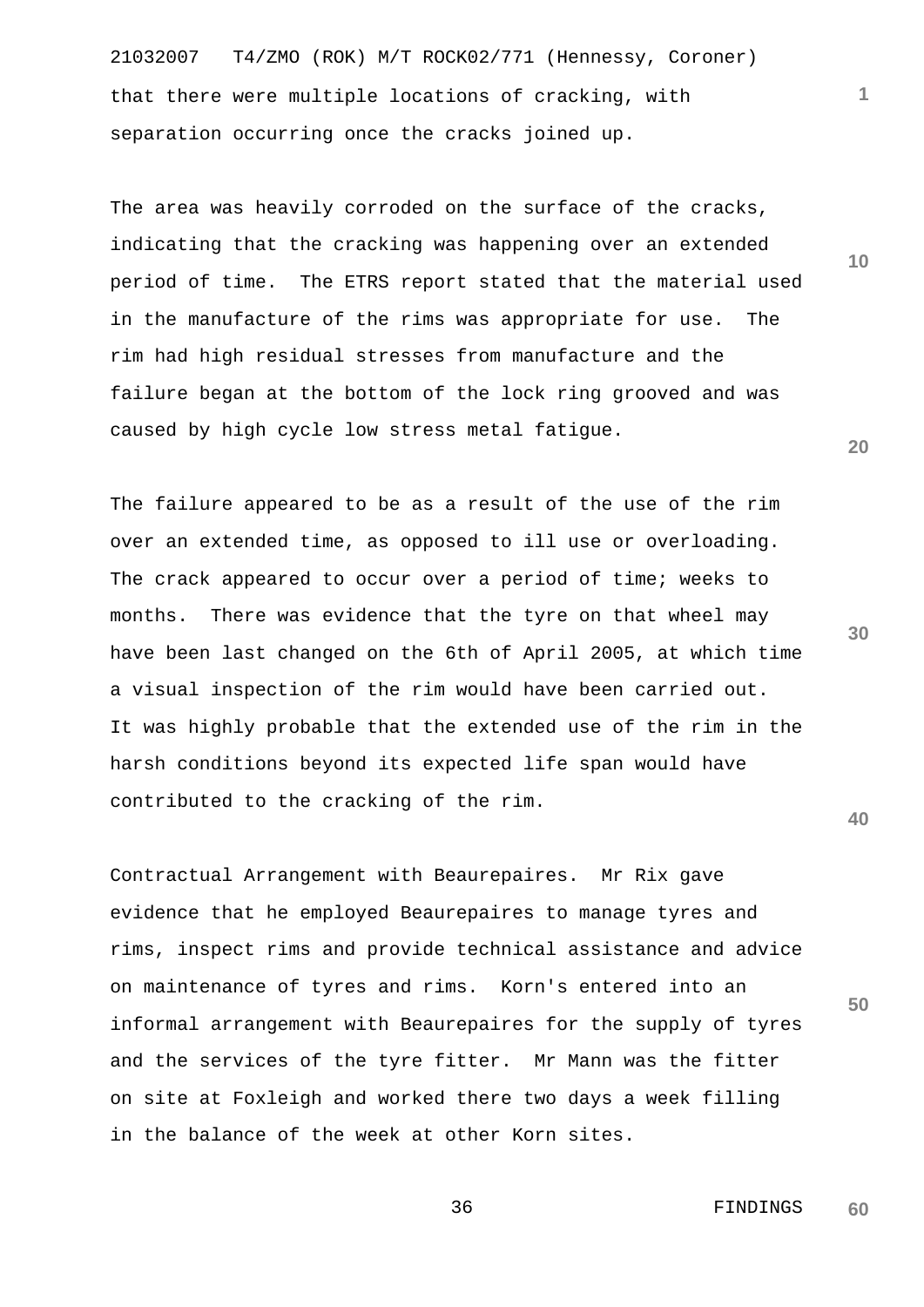21032007 T4/ZMO (ROK) M/T ROCK02/771 (Hennessy, Coroner) that there were multiple locations of cracking, with separation occurring once the cracks joined up.

The area was heavily corroded on the surface of the cracks, indicating that the cracking was happening over an extended period of time. The ETRS report stated that the material used in the manufacture of the rims was appropriate for use. The rim had high residual stresses from manufacture and the failure began at the bottom of the lock ring grooved and was caused by high cycle low stress metal fatigue.

The failure appeared to be as a result of the use of the rim over an extended time, as opposed to ill use or overloading. The crack appeared to occur over a period of time; weeks to months. There was evidence that the tyre on that wheel may have been last changed on the 6th of April 2005, at which time a visual inspection of the rim would have been carried out. It was highly probable that the extended use of the rim in the harsh conditions beyond its expected life span would have contributed to the cracking of the rim.

Contractual Arrangement with Beaurepaires. Mr Rix gave evidence that he employed Beaurepaires to manage tyres and rims, inspect rims and provide technical assistance and advice on maintenance of tyres and rims. Korn's entered into an informal arrangement with Beaurepaires for the supply of tyres and the services of the tyre fitter. Mr Mann was the fitter on site at Foxleigh and worked there two days a week filling in the balance of the week at other Korn sites.

**30**

**20**

**40**

**50**

**1**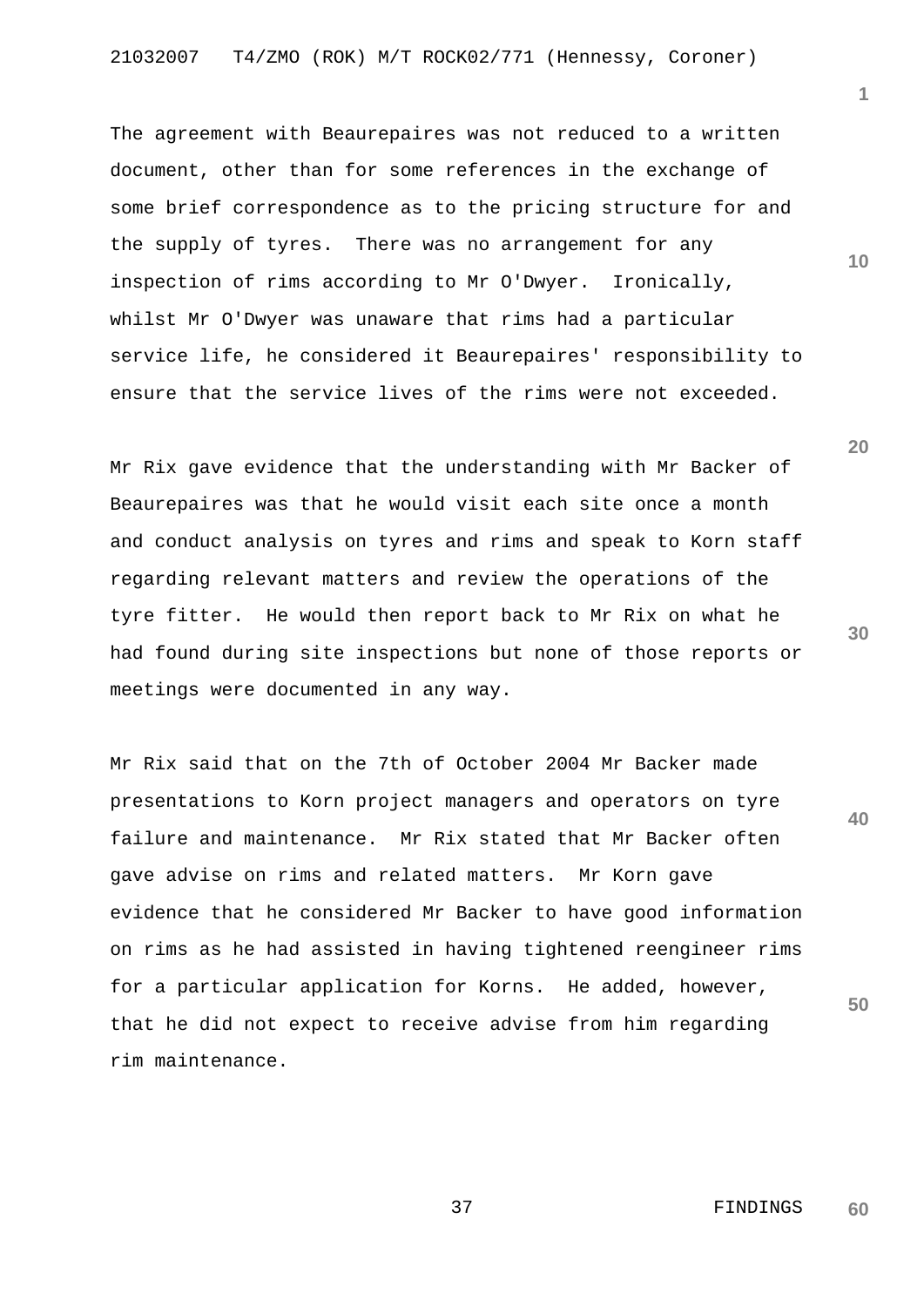The agreement with Beaurepaires was not reduced to a written document, other than for some references in the exchange of some brief correspondence as to the pricing structure for and the supply of tyres. There was no arrangement for any inspection of rims according to Mr O'Dwyer. Ironically, whilst Mr O'Dwyer was unaware that rims had a particular service life, he considered it Beaurepaires' responsibility to ensure that the service lives of the rims were not exceeded.

Mr Rix gave evidence that the understanding with Mr Backer of Beaurepaires was that he would visit each site once a month and conduct analysis on tyres and rims and speak to Korn staff regarding relevant matters and review the operations of the tyre fitter. He would then report back to Mr Rix on what he had found during site inspections but none of those reports or meetings were documented in any way.

Mr Rix said that on the 7th of October 2004 Mr Backer made presentations to Korn project managers and operators on tyre failure and maintenance. Mr Rix stated that Mr Backer often gave advise on rims and related matters. Mr Korn gave evidence that he considered Mr Backer to have good information on rims as he had assisted in having tightened reengineer rims for a particular application for Korns. He added, however, that he did not expect to receive advise from him regarding rim maintenance.

**20**

**10**

**1**

**30**

**40**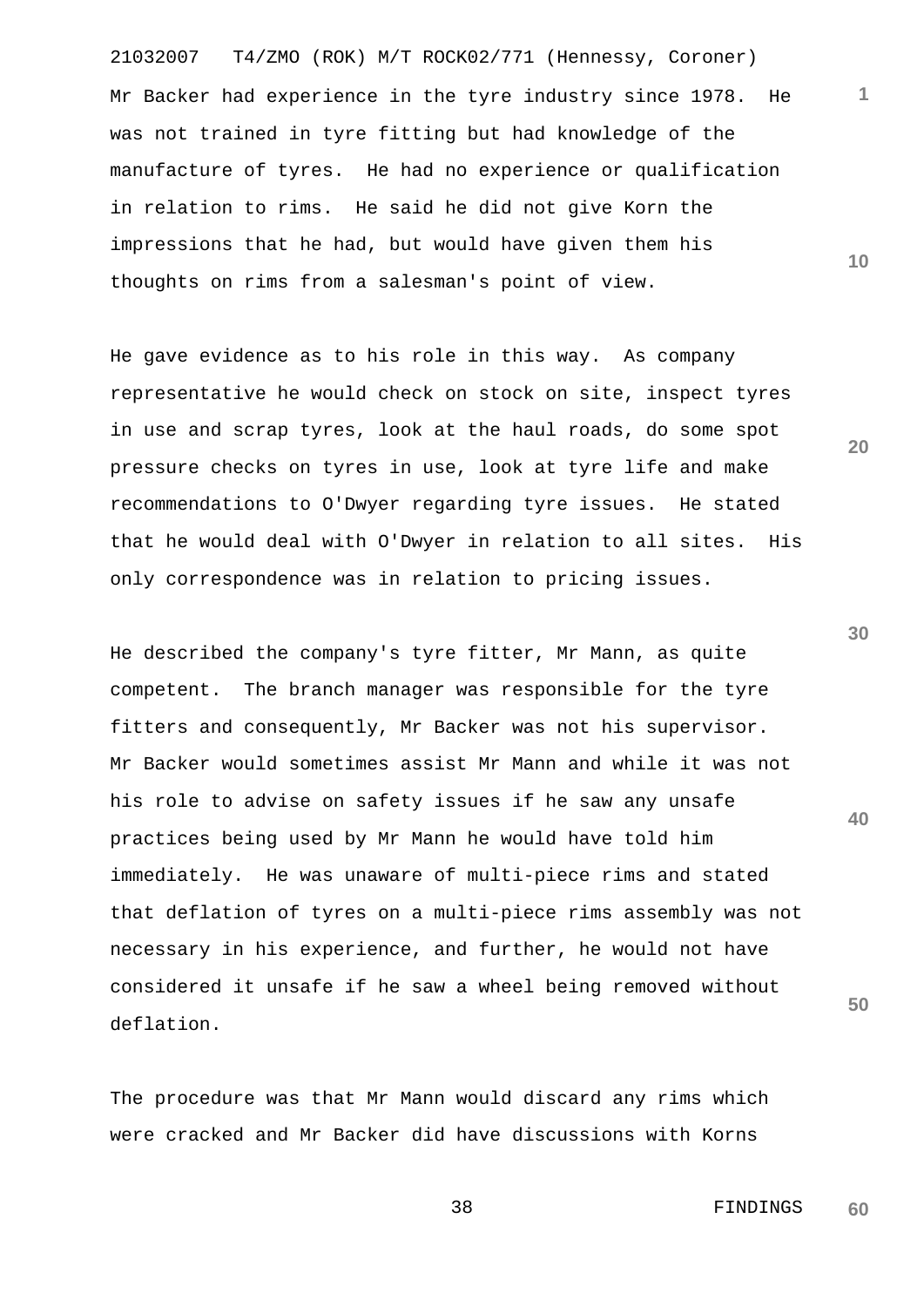21032007 T4/ZMO (ROK) M/T ROCK02/771 (Hennessy, Coroner) Mr Backer had experience in the tyre industry since 1978. He was not trained in tyre fitting but had knowledge of the manufacture of tyres. He had no experience or qualification in relation to rims. He said he did not give Korn the impressions that he had, but would have given them his thoughts on rims from a salesman's point of view.

He gave evidence as to his role in this way. As company representative he would check on stock on site, inspect tyres in use and scrap tyres, look at the haul roads, do some spot pressure checks on tyres in use, look at tyre life and make recommendations to O'Dwyer regarding tyre issues. He stated that he would deal with O'Dwyer in relation to all sites. His only correspondence was in relation to pricing issues.

He described the company's tyre fitter, Mr Mann, as quite competent. The branch manager was responsible for the tyre fitters and consequently, Mr Backer was not his supervisor. Mr Backer would sometimes assist Mr Mann and while it was not his role to advise on safety issues if he saw any unsafe practices being used by Mr Mann he would have told him immediately. He was unaware of multi-piece rims and stated that deflation of tyres on a multi-piece rims assembly was not necessary in his experience, and further, he would not have considered it unsafe if he saw a wheel being removed without deflation.

The procedure was that Mr Mann would discard any rims which were cracked and Mr Backer did have discussions with Korns

**30**

**40**

**50**

**1**

**10**

**20**

 38 FINDINGS **60**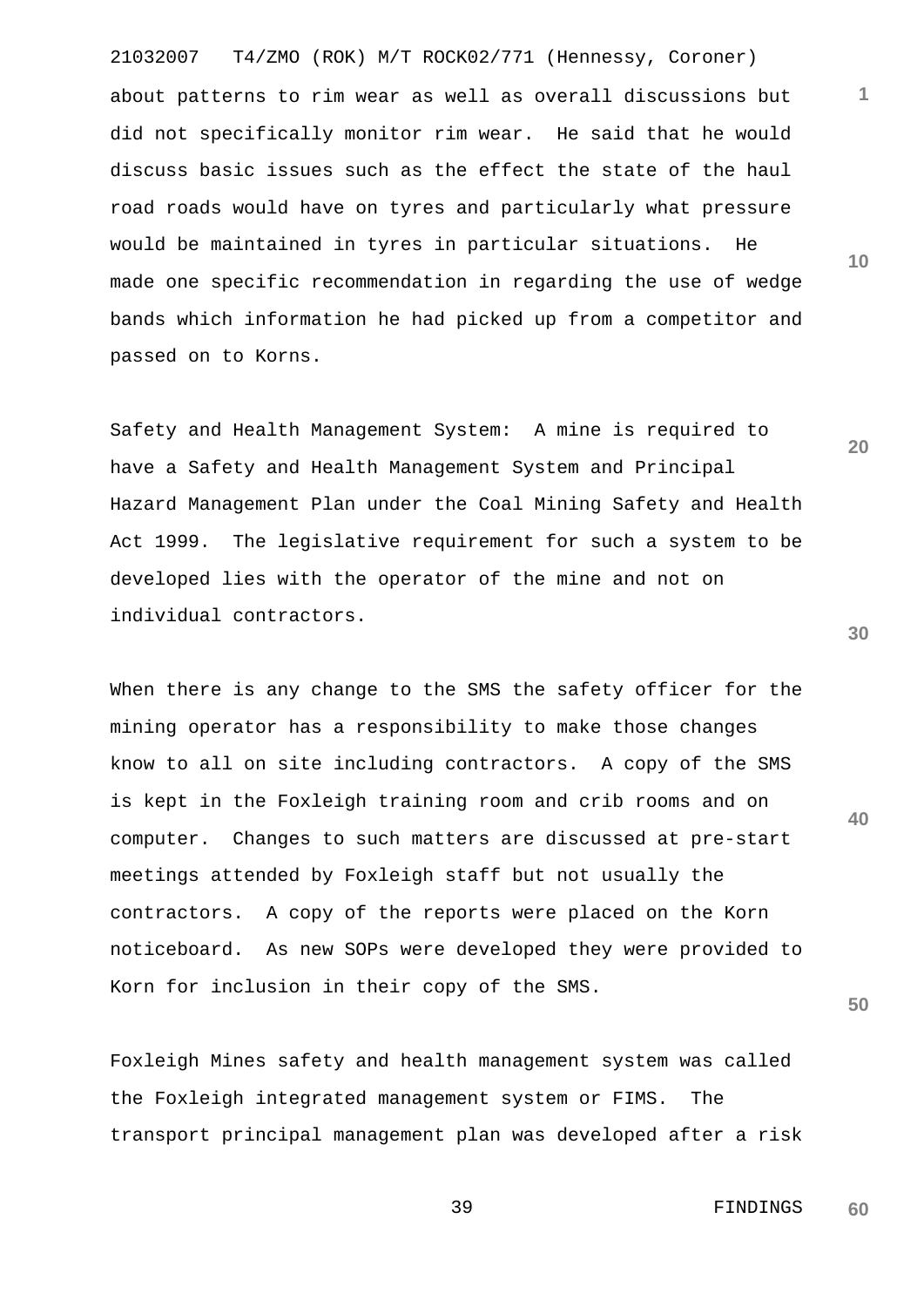21032007 T4/ZMO (ROK) M/T ROCK02/771 (Hennessy, Coroner) about patterns to rim wear as well as overall discussions but did not specifically monitor rim wear. He said that he would discuss basic issues such as the effect the state of the haul road roads would have on tyres and particularly what pressure would be maintained in tyres in particular situations. He made one specific recommendation in regarding the use of wedge bands which information he had picked up from a competitor and passed on to Korns.

Safety and Health Management System: A mine is required to have a Safety and Health Management System and Principal Hazard Management Plan under the Coal Mining Safety and Health Act 1999. The legislative requirement for such a system to be developed lies with the operator of the mine and not on individual contractors.

When there is any change to the SMS the safety officer for the mining operator has a responsibility to make those changes know to all on site including contractors. A copy of the SMS is kept in the Foxleigh training room and crib rooms and on computer. Changes to such matters are discussed at pre-start meetings attended by Foxleigh staff but not usually the contractors. A copy of the reports were placed on the Korn noticeboard. As new SOPs were developed they were provided to Korn for inclusion in their copy of the SMS.

Foxleigh Mines safety and health management system was called the Foxleigh integrated management system or FIMS. The transport principal management plan was developed after a risk **30**

**40**

**50**

**1**

**10**

**20**

 39 FINDINGS **60**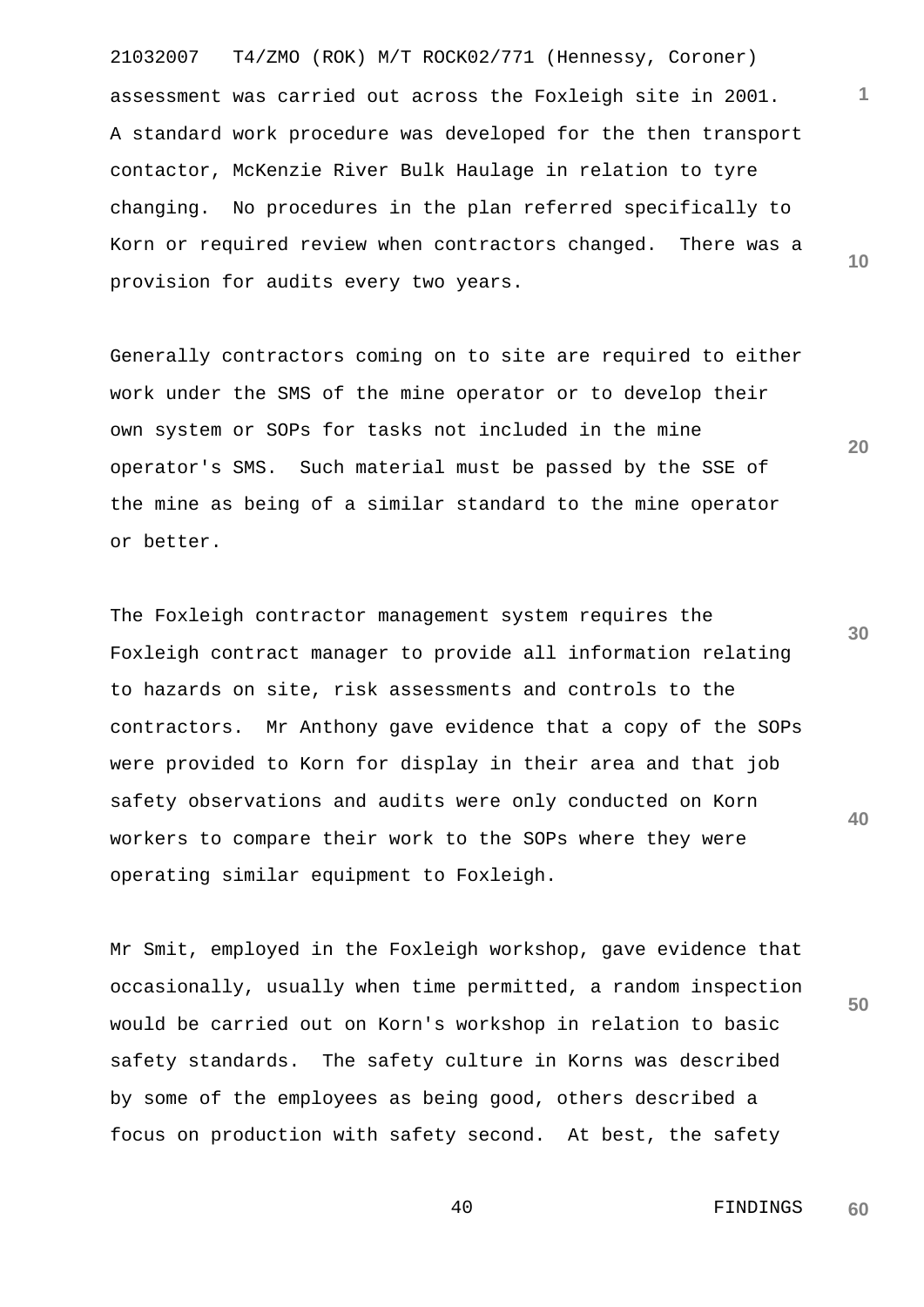21032007 T4/ZMO (ROK) M/T ROCK02/771 (Hennessy, Coroner) **10** assessment was carried out across the Foxleigh site in 2001. A standard work procedure was developed for the then transport contactor, McKenzie River Bulk Haulage in relation to tyre changing. No procedures in the plan referred specifically to Korn or required review when contractors changed. There was a provision for audits every two years.

Generally contractors coming on to site are required to either work under the SMS of the mine operator or to develop their own system or SOPs for tasks not included in the mine operator's SMS. Such material must be passed by the SSE of the mine as being of a similar standard to the mine operator or better.

**30 40** The Foxleigh contractor management system requires the Foxleigh contract manager to provide all information relating to hazards on site, risk assessments and controls to the contractors. Mr Anthony gave evidence that a copy of the SOPs were provided to Korn for display in their area and that job safety observations and audits were only conducted on Korn workers to compare their work to the SOPs where they were operating similar equipment to Foxleigh.

Mr Smit, employed in the Foxleigh workshop, gave evidence that occasionally, usually when time permitted, a random inspection would be carried out on Korn's workshop in relation to basic safety standards. The safety culture in Korns was described by some of the employees as being good, others described a focus on production with safety second. At best, the safety

> 40 FINDINGS **60**

**50**

**1**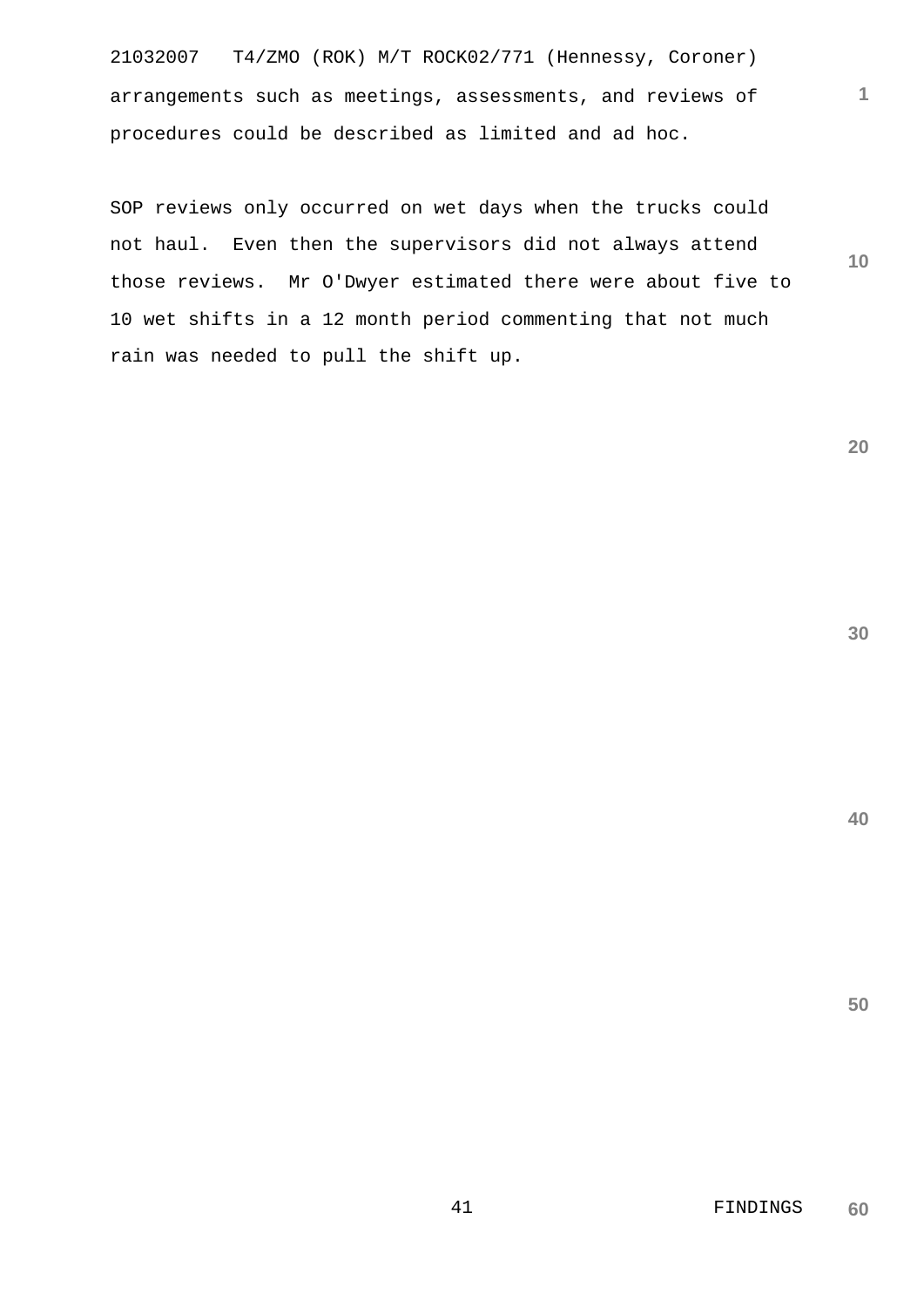21032007 T4/ZMO (ROK) M/T ROCK02/771 (Hennessy, Coroner) arrangements such as meetings, assessments, and reviews of procedures could be described as limited and ad hoc.

SOP reviews only occurred on wet days when the trucks could not haul. Even then the supervisors did not always attend those reviews. Mr O'Dwyer estimated there were about five to 10 wet shifts in a 12 month period commenting that not much rain was needed to pull the shift up.

**20**

**30**

**40**

**50**

**10**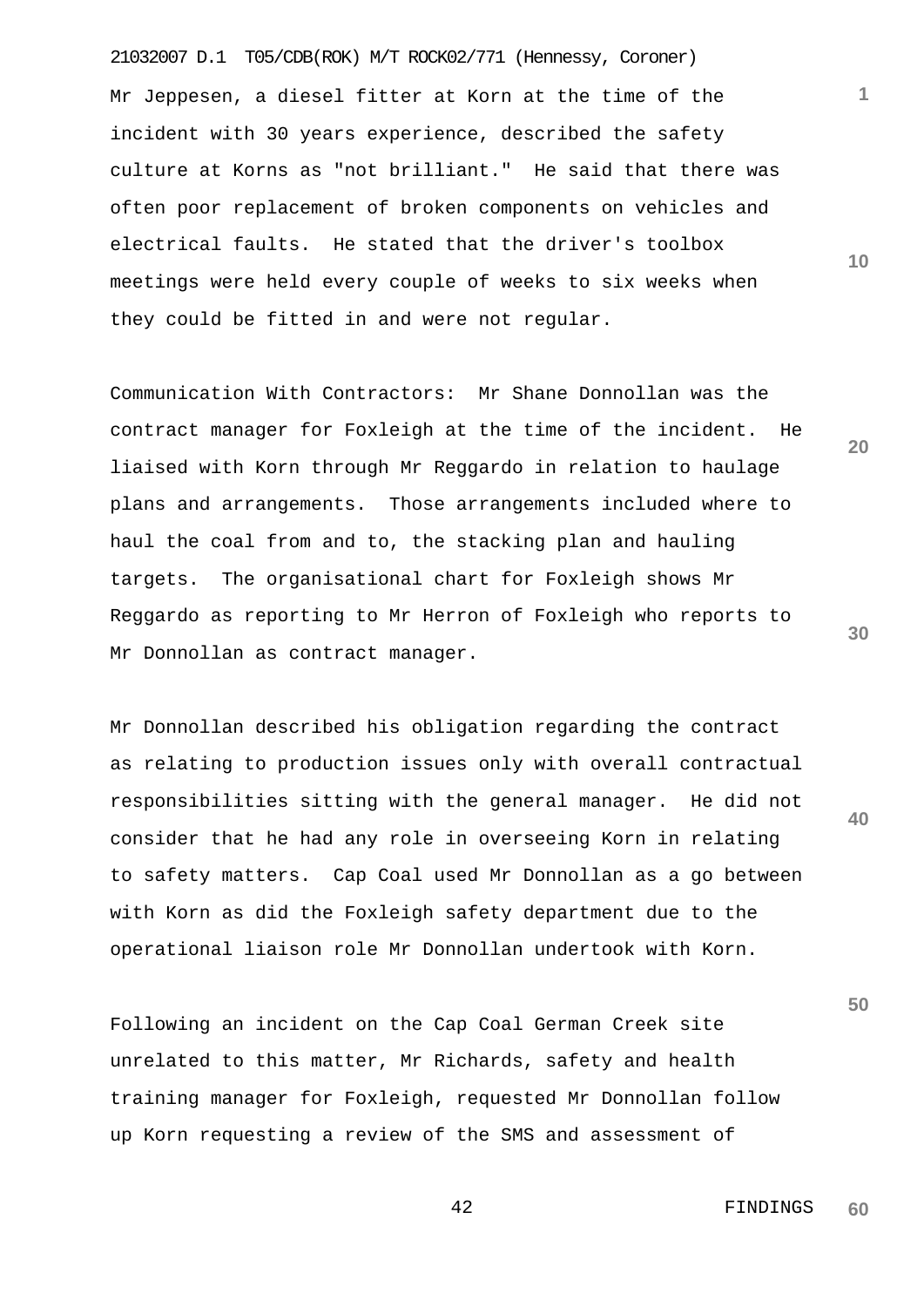21032007 D.1 T05/CDB(ROK) M/T ROCK02/771 (Hennessy, Coroner) Mr Jeppesen, a diesel fitter at Korn at the time of the incident with 30 years experience, described the safety culture at Korns as "not brilliant." He said that there was often poor replacement of broken components on vehicles and electrical faults. He stated that the driver's toolbox meetings were held every couple of weeks to six weeks when they could be fitted in and were not regular.

Communication With Contractors: Mr Shane Donnollan was the contract manager for Foxleigh at the time of the incident. He liaised with Korn through Mr Reggardo in relation to haulage plans and arrangements. Those arrangements included where to haul the coal from and to, the stacking plan and hauling targets. The organisational chart for Foxleigh shows Mr Reggardo as reporting to Mr Herron of Foxleigh who reports to Mr Donnollan as contract manager.

Mr Donnollan described his obligation regarding the contract as relating to production issues only with overall contractual responsibilities sitting with the general manager. He did not consider that he had any role in overseeing Korn in relating to safety matters. Cap Coal used Mr Donnollan as a go between with Korn as did the Foxleigh safety department due to the operational liaison role Mr Donnollan undertook with Korn.

Following an incident on the Cap Coal German Creek site unrelated to this matter, Mr Richards, safety and health training manager for Foxleigh, requested Mr Donnollan follow up Korn requesting a review of the SMS and assessment of

**30**

**20**

**1**

**10**

**50**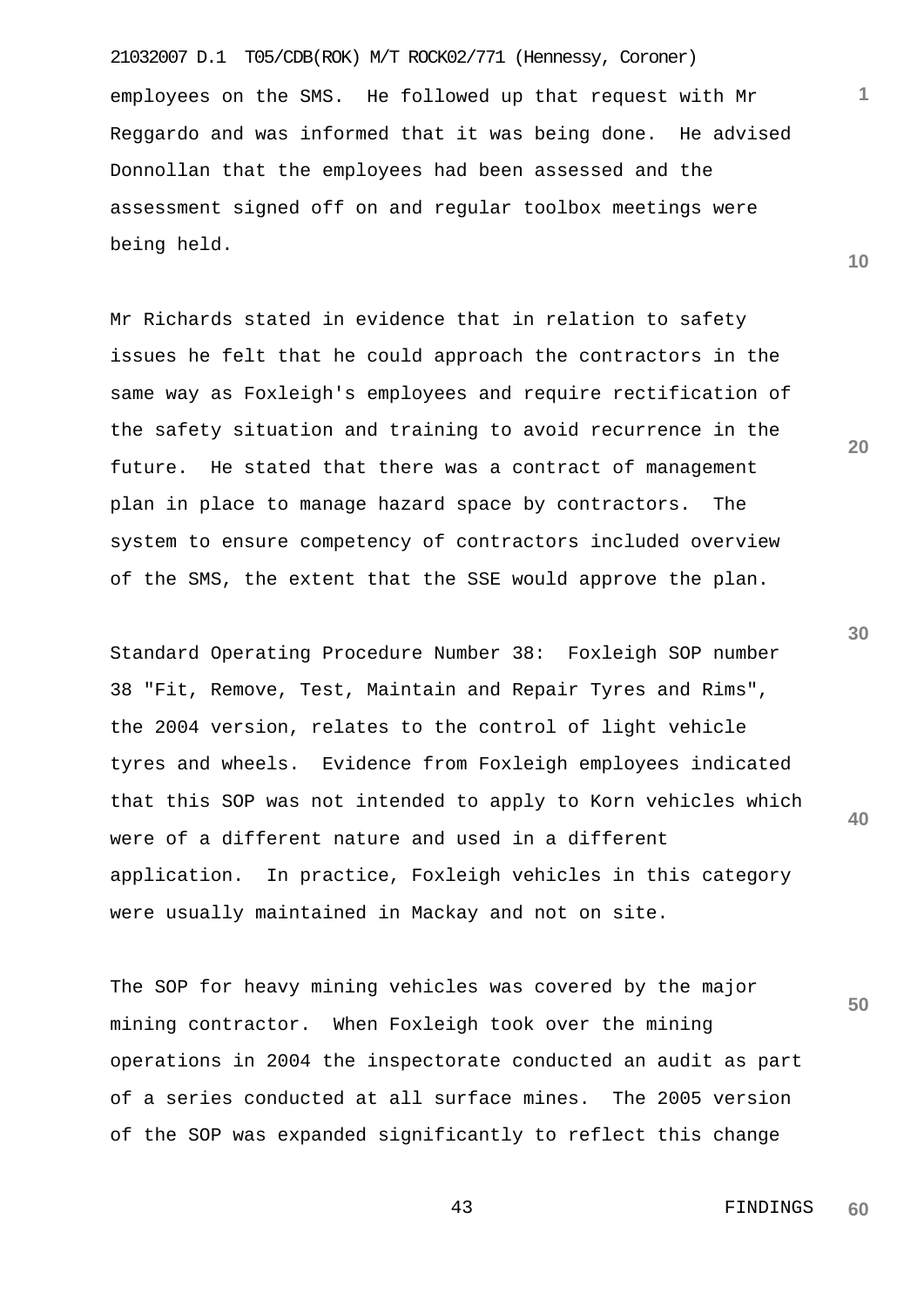21032007 D.1 T05/CDB(ROK) M/T ROCK02/771 (Hennessy, Coroner) employees on the SMS. He followed up that request with Mr Reggardo and was informed that it was being done. He advised Donnollan that the employees had been assessed and the assessment signed off on and regular toolbox meetings were being held.

Mr Richards stated in evidence that in relation to safety issues he felt that he could approach the contractors in the same way as Foxleigh's employees and require rectification of the safety situation and training to avoid recurrence in the future. He stated that there was a contract of management plan in place to manage hazard space by contractors. The system to ensure competency of contractors included overview of the SMS, the extent that the SSE would approve the plan.

**40** Standard Operating Procedure Number 38: Foxleigh SOP number 38 "Fit, Remove, Test, Maintain and Repair Tyres and Rims", the 2004 version, relates to the control of light vehicle tyres and wheels. Evidence from Foxleigh employees indicated that this SOP was not intended to apply to Korn vehicles which were of a different nature and used in a different application. In practice, Foxleigh vehicles in this category were usually maintained in Mackay and not on site.

**50** The SOP for heavy mining vehicles was covered by the major mining contractor. When Foxleigh took over the mining operations in 2004 the inspectorate conducted an audit as part of a series conducted at all surface mines. The 2005 version of the SOP was expanded significantly to reflect this change

**30**

 43 FINDINGS **60**

**1**

**10**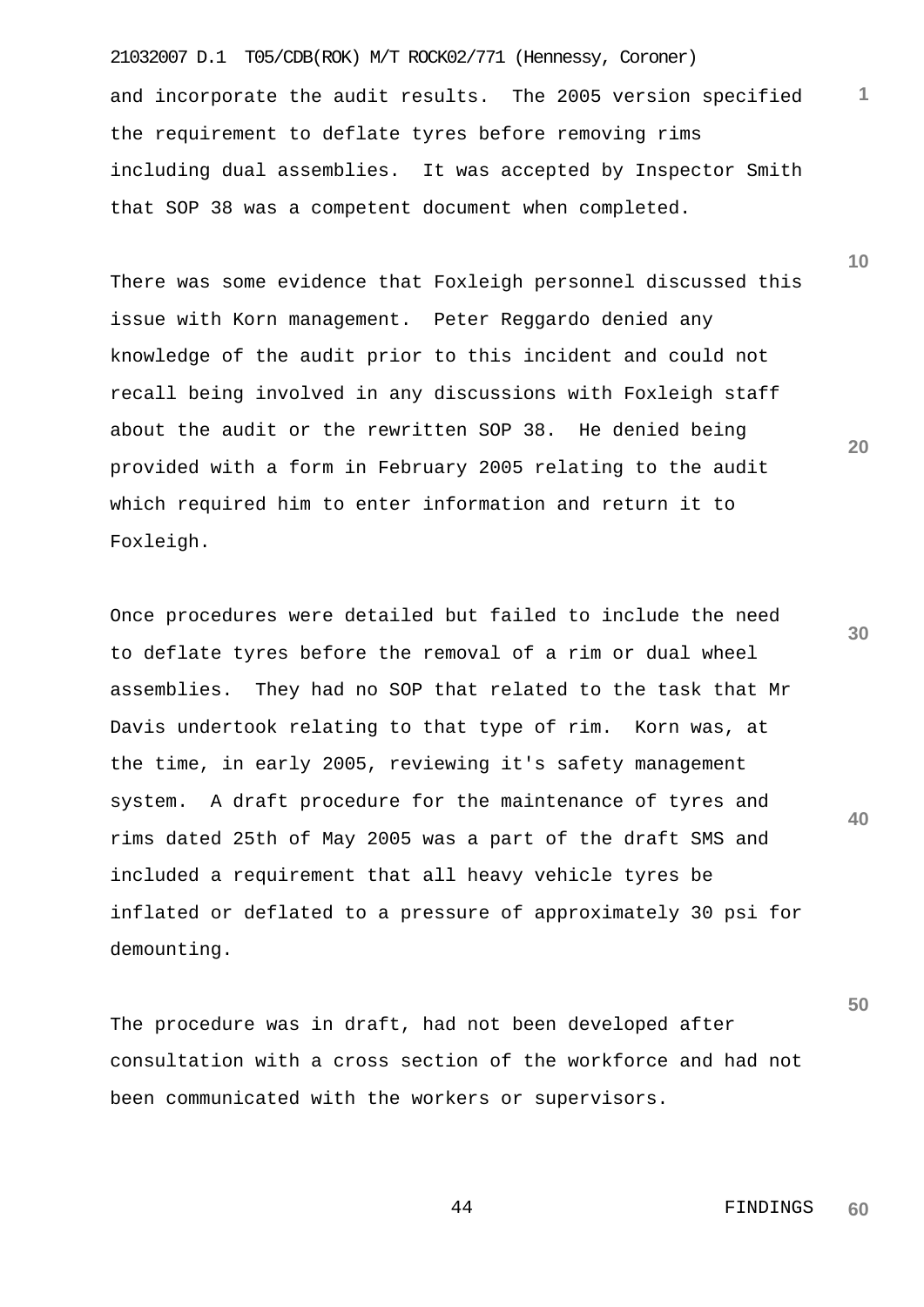21032007 D.1 T05/CDB(ROK) M/T ROCK02/771 (Hennessy, Coroner) and incorporate the audit results. The 2005 version specified the requirement to deflate tyres before removing rims including dual assemblies. It was accepted by Inspector Smith that SOP 38 was a competent document when completed.

There was some evidence that Foxleigh personnel discussed this issue with Korn management. Peter Reggardo denied any knowledge of the audit prior to this incident and could not recall being involved in any discussions with Foxleigh staff about the audit or the rewritten SOP 38. He denied being provided with a form in February 2005 relating to the audit which required him to enter information and return it to Foxleigh.

**40** Once procedures were detailed but failed to include the need to deflate tyres before the removal of a rim or dual wheel assemblies. They had no SOP that related to the task that Mr Davis undertook relating to that type of rim. Korn was, at the time, in early 2005, reviewing it's safety management system. A draft procedure for the maintenance of tyres and rims dated 25th of May 2005 was a part of the draft SMS and included a requirement that all heavy vehicle tyres be inflated or deflated to a pressure of approximately 30 psi for demounting.

The procedure was in draft, had not been developed after consultation with a cross section of the workforce and had not been communicated with the workers or supervisors.

**10**

**1**

**20**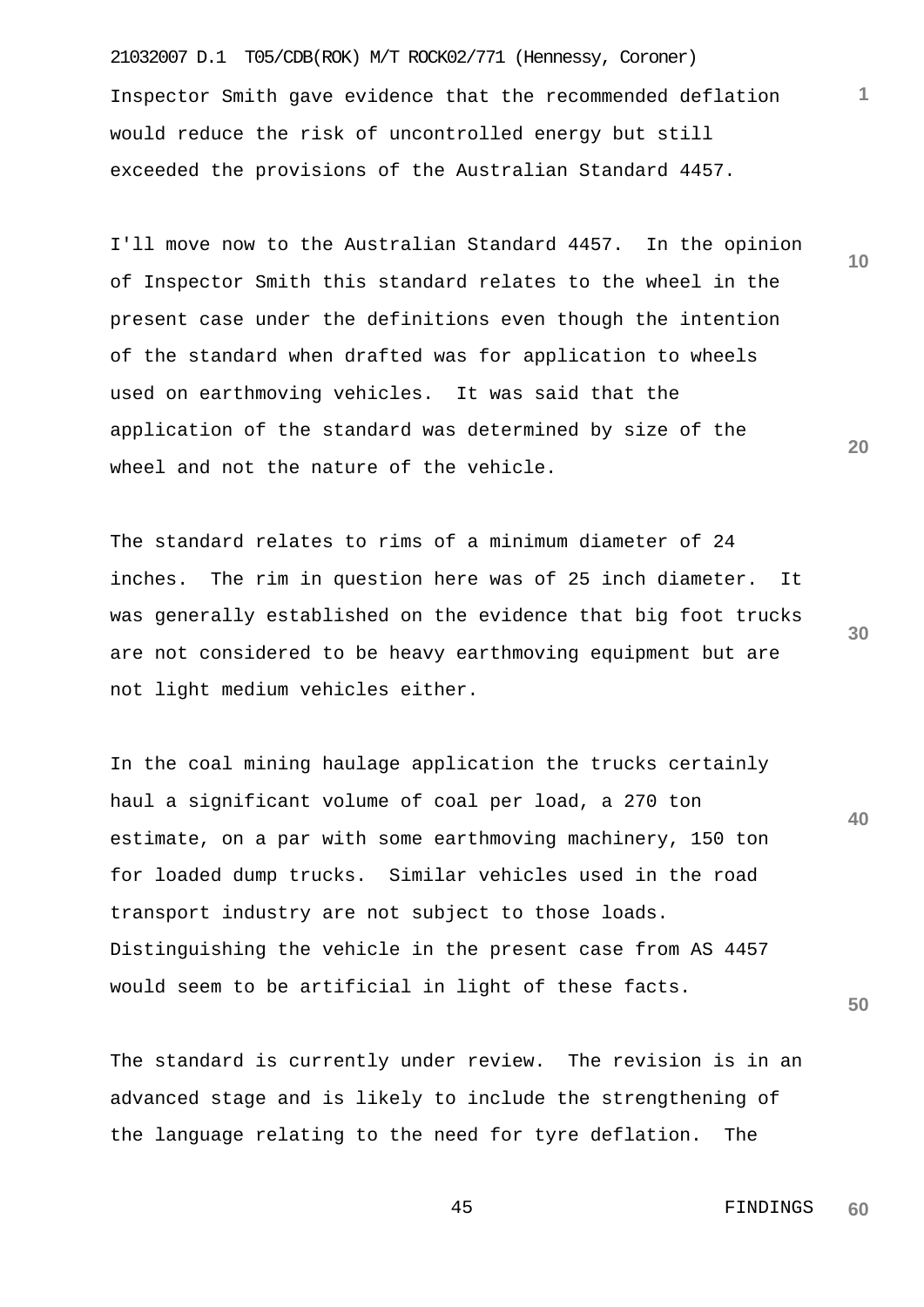21032007 D.1 T05/CDB(ROK) M/T ROCK02/771 (Hennessy, Coroner) Inspector Smith gave evidence that the recommended deflation would reduce the risk of uncontrolled energy but still exceeded the provisions of the Australian Standard 4457.

I'll move now to the Australian Standard 4457. In the opinion of Inspector Smith this standard relates to the wheel in the present case under the definitions even though the intention of the standard when drafted was for application to wheels used on earthmoving vehicles. It was said that the application of the standard was determined by size of the wheel and not the nature of the vehicle.

The standard relates to rims of a minimum diameter of 24 inches. The rim in question here was of 25 inch diameter. It was generally established on the evidence that big foot trucks are not considered to be heavy earthmoving equipment but are not light medium vehicles either.

**40** In the coal mining haulage application the trucks certainly haul a significant volume of coal per load, a 270 ton estimate, on a par with some earthmoving machinery, 150 ton for loaded dump trucks. Similar vehicles used in the road transport industry are not subject to those loads. Distinguishing the vehicle in the present case from AS 4457 would seem to be artificial in light of these facts.

The standard is currently under review. The revision is in an advanced stage and is likely to include the strengthening of the language relating to the need for tyre deflation. The

> 45 FINDINGS **60**

**30**

**50**

**20**

**10**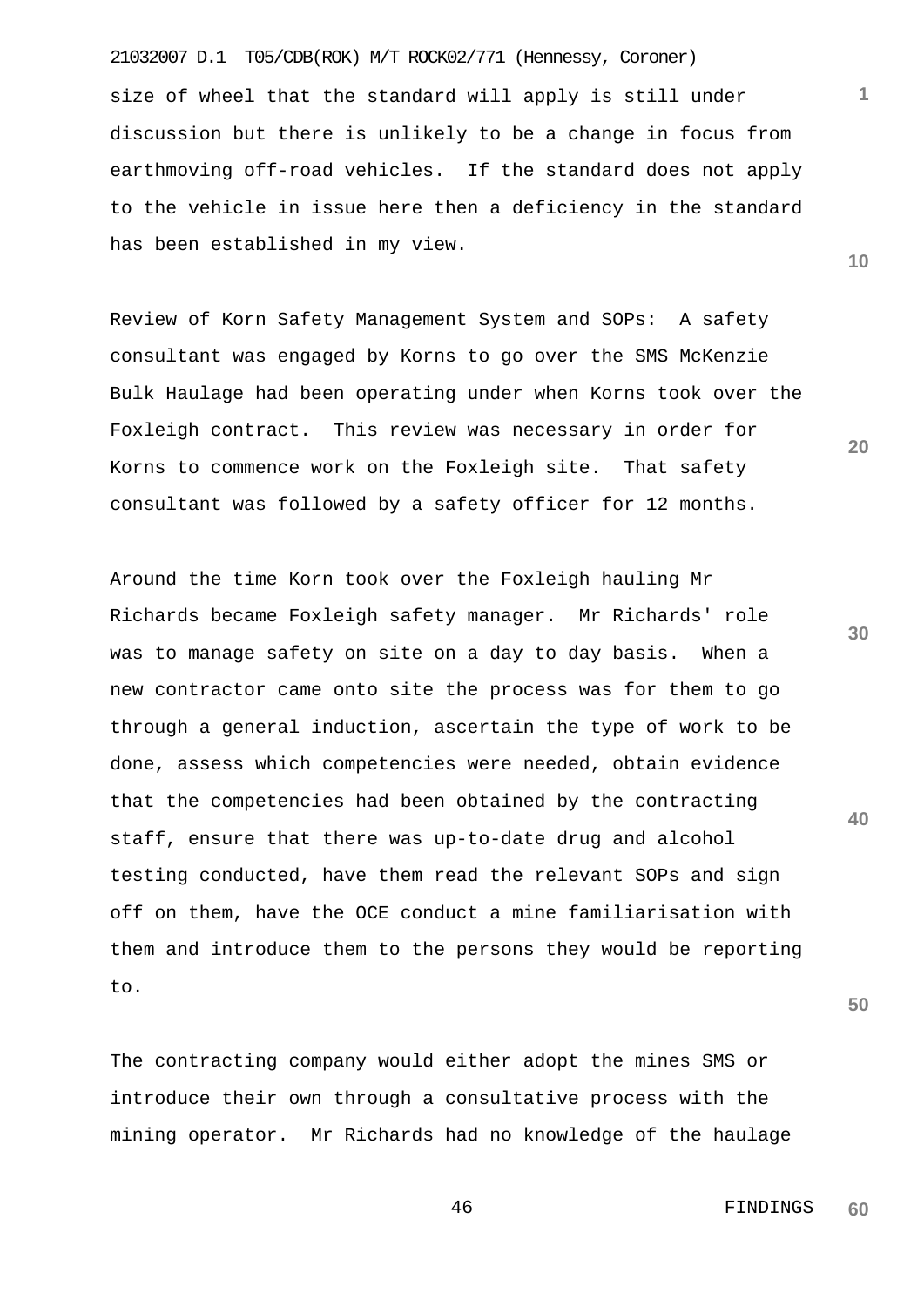size of wheel that the standard will apply is still under discussion but there is unlikely to be a change in focus from earthmoving off-road vehicles. If the standard does not apply to the vehicle in issue here then a deficiency in the standard has been established in my view.

Review of Korn Safety Management System and SOPs: A safety consultant was engaged by Korns to go over the SMS McKenzie Bulk Haulage had been operating under when Korns took over the Foxleigh contract. This review was necessary in order for Korns to commence work on the Foxleigh site. That safety consultant was followed by a safety officer for 12 months.

Around the time Korn took over the Foxleigh hauling Mr Richards became Foxleigh safety manager. Mr Richards' role was to manage safety on site on a day to day basis. When a new contractor came onto site the process was for them to go through a general induction, ascertain the type of work to be done, assess which competencies were needed, obtain evidence that the competencies had been obtained by the contracting staff, ensure that there was up-to-date drug and alcohol testing conducted, have them read the relevant SOPs and sign off on them, have the OCE conduct a mine familiarisation with them and introduce them to the persons they would be reporting to.

The contracting company would either adopt the mines SMS or introduce their own through a consultative process with the mining operator. Mr Richards had no knowledge of the haulage **30**

**20**

**50**

**40**

21032007 D.1 T05/CDB(ROK) M/T ROCK02/771 (Hennessy, Coroner)

**1**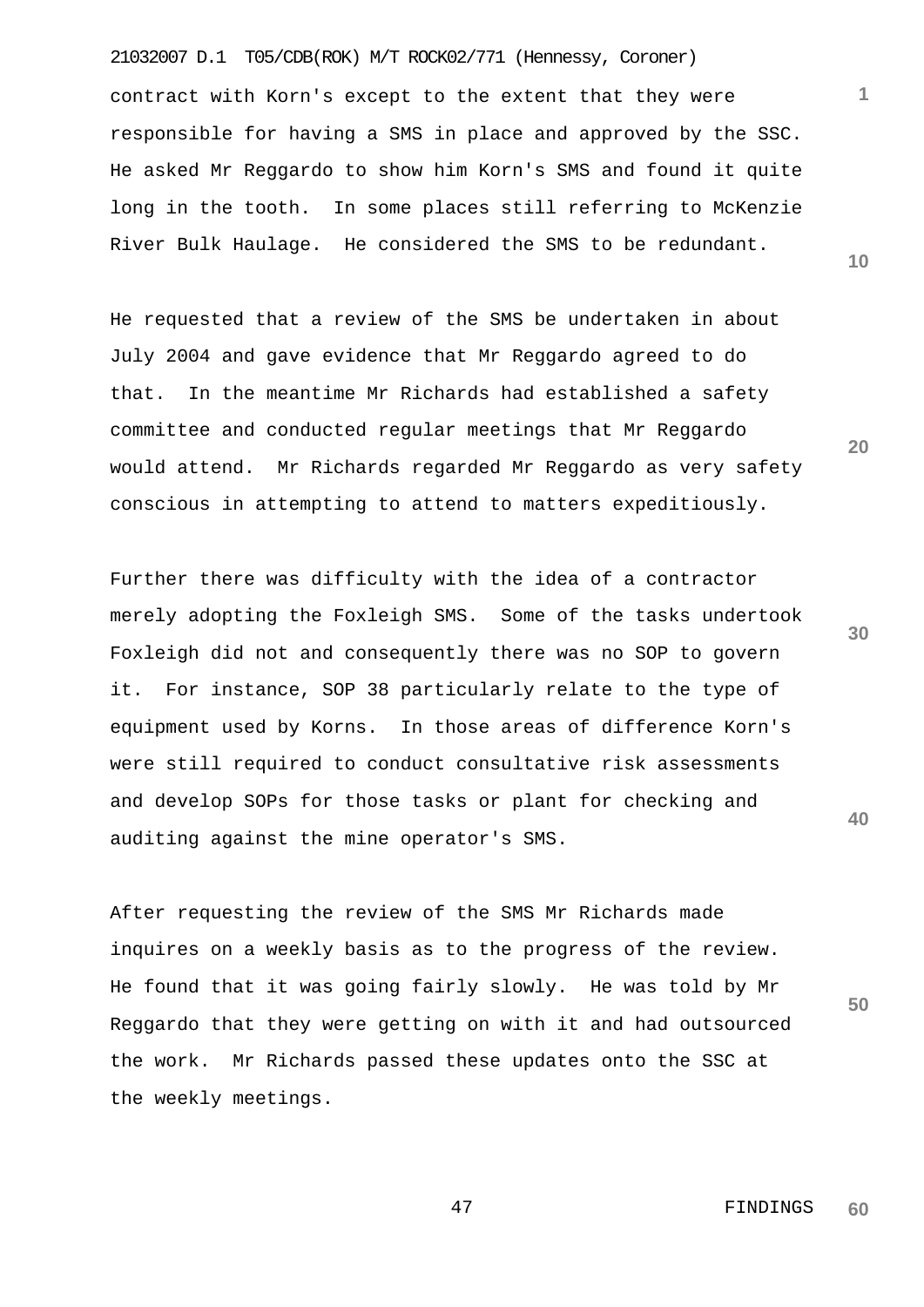21032007 D.1 T05/CDB(ROK) M/T ROCK02/771 (Hennessy, Coroner) contract with Korn's except to the extent that they were responsible for having a SMS in place and approved by the SSC. He asked Mr Reggardo to show him Korn's SMS and found it quite long in the tooth. In some places still referring to McKenzie River Bulk Haulage. He considered the SMS to be redundant.

He requested that a review of the SMS be undertaken in about July 2004 and gave evidence that Mr Reggardo agreed to do that. In the meantime Mr Richards had established a safety committee and conducted regular meetings that Mr Reggardo would attend. Mr Richards regarded Mr Reggardo as very safety conscious in attempting to attend to matters expeditiously.

Further there was difficulty with the idea of a contractor merely adopting the Foxleigh SMS. Some of the tasks undertook Foxleigh did not and consequently there was no SOP to govern it. For instance, SOP 38 particularly relate to the type of equipment used by Korns. In those areas of difference Korn's were still required to conduct consultative risk assessments and develop SOPs for those tasks or plant for checking and auditing against the mine operator's SMS.

After requesting the review of the SMS Mr Richards made inquires on a weekly basis as to the progress of the review. He found that it was going fairly slowly. He was told by Mr Reggardo that they were getting on with it and had outsourced the work. Mr Richards passed these updates onto the SSC at the weekly meetings.

**10**

**1**

**20**

**40**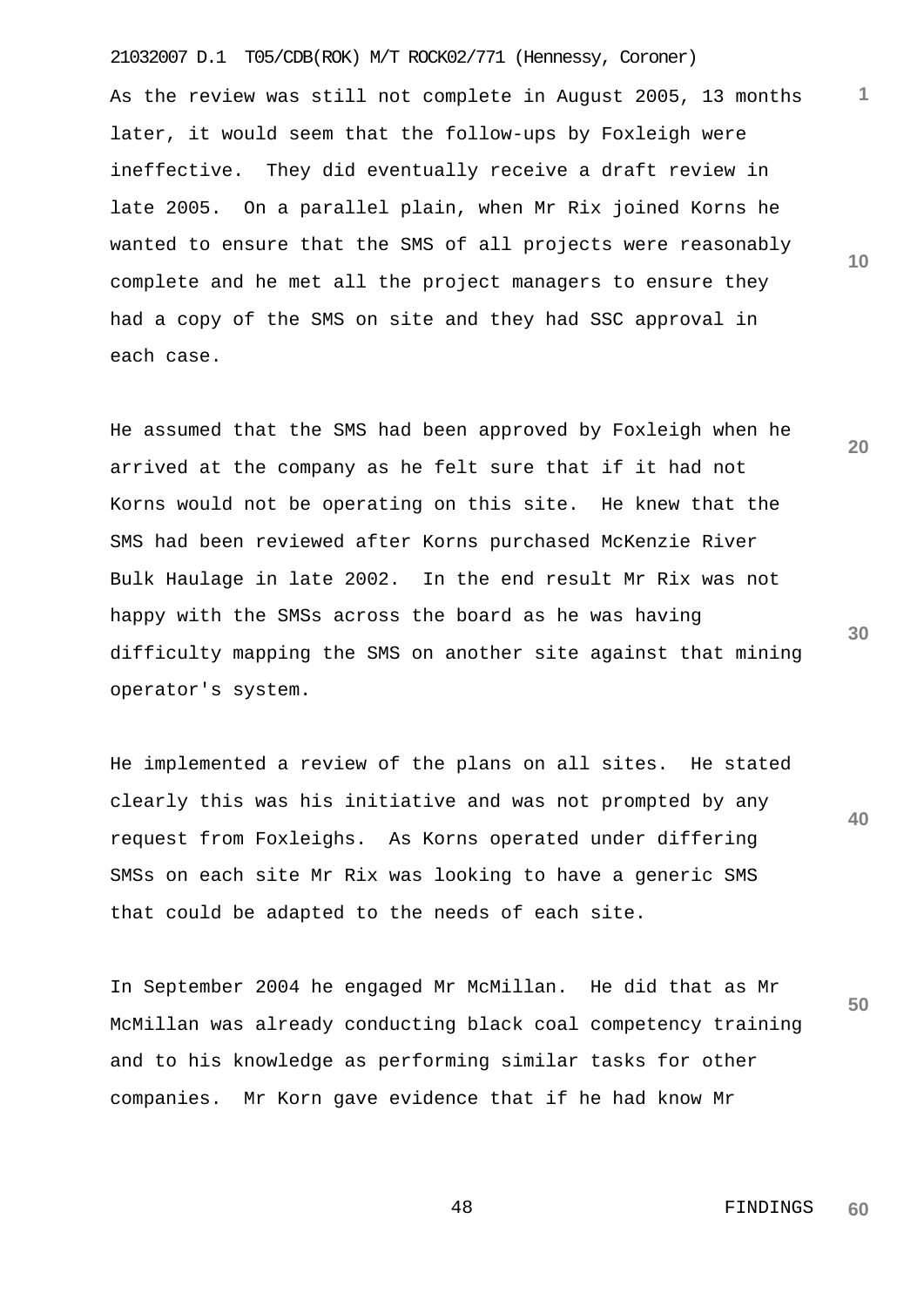21032007 D.1 T05/CDB(ROK) M/T ROCK02/771 (Hennessy, Coroner) As the review was still not complete in August 2005, 13 months later, it would seem that the follow-ups by Foxleigh were ineffective. They did eventually receive a draft review in late 2005. On a parallel plain, when Mr Rix joined Korns he wanted to ensure that the SMS of all projects were reasonably complete and he met all the project managers to ensure they had a copy of the SMS on site and they had SSC approval in each case.

**20 30** He assumed that the SMS had been approved by Foxleigh when he arrived at the company as he felt sure that if it had not Korns would not be operating on this site. He knew that the SMS had been reviewed after Korns purchased McKenzie River Bulk Haulage in late 2002. In the end result Mr Rix was not happy with the SMSs across the board as he was having difficulty mapping the SMS on another site against that mining operator's system.

He implemented a review of the plans on all sites. He stated clearly this was his initiative and was not prompted by any request from Foxleighs. As Korns operated under differing SMSs on each site Mr Rix was looking to have a generic SMS that could be adapted to the needs of each site.

**50** In September 2004 he engaged Mr McMillan. He did that as Mr McMillan was already conducting black coal competency training and to his knowledge as performing similar tasks for other companies. Mr Korn gave evidence that if he had know Mr

> 48 FINDINGS **60**

**1**

**10**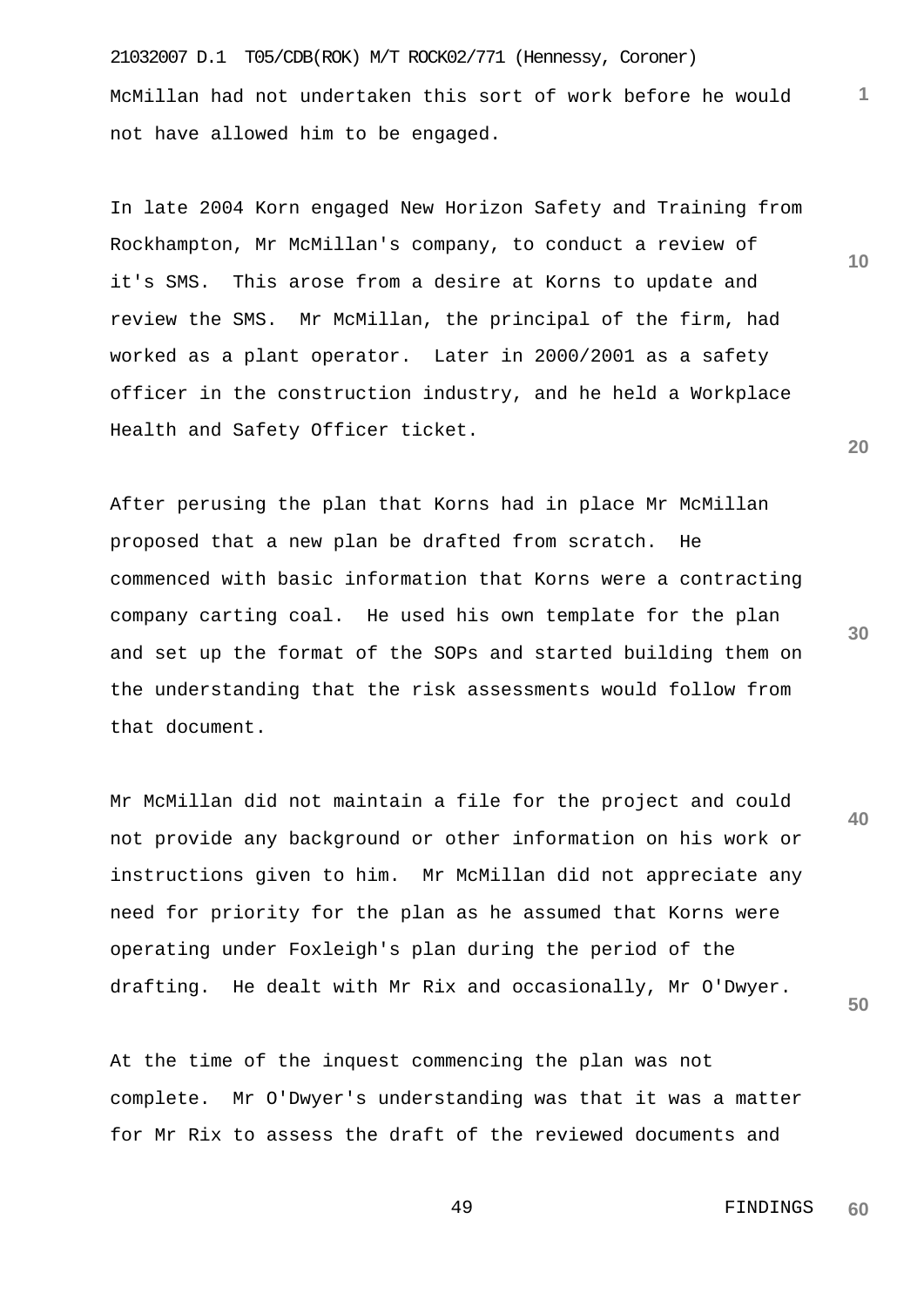21032007 D.1 T05/CDB(ROK) M/T ROCK02/771 (Hennessy, Coroner) McMillan had not undertaken this sort of work before he would not have allowed him to be engaged.

In late 2004 Korn engaged New Horizon Safety and Training from Rockhampton, Mr McMillan's company, to conduct a review of it's SMS. This arose from a desire at Korns to update and review the SMS. Mr McMillan, the principal of the firm, had worked as a plant operator. Later in 2000/2001 as a safety officer in the construction industry, and he held a Workplace Health and Safety Officer ticket.

After perusing the plan that Korns had in place Mr McMillan proposed that a new plan be drafted from scratch. He commenced with basic information that Korns were a contracting company carting coal. He used his own template for the plan and set up the format of the SOPs and started building them on the understanding that the risk assessments would follow from that document.

**40** Mr McMillan did not maintain a file for the project and could not provide any background or other information on his work or instructions given to him. Mr McMillan did not appreciate any need for priority for the plan as he assumed that Korns were operating under Foxleigh's plan during the period of the drafting. He dealt with Mr Rix and occasionally, Mr O'Dwyer.

**50**

**1**

**10**

**20**

**30**

At the time of the inquest commencing the plan was not complete. Mr O'Dwyer's understanding was that it was a matter for Mr Rix to assess the draft of the reviewed documents and

> 49 FINDINGS **60**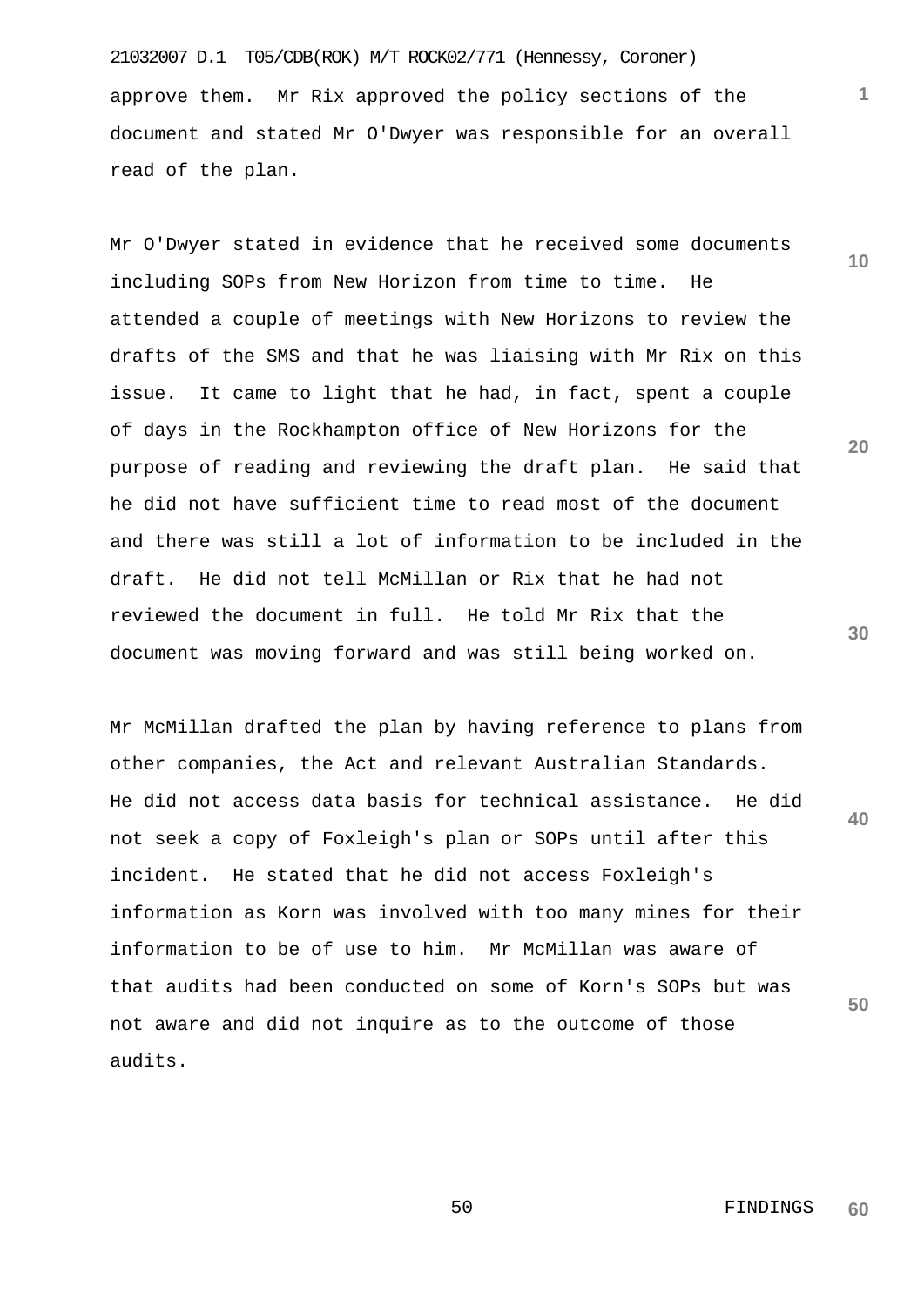21032007 D.1 T05/CDB(ROK) M/T ROCK02/771 (Hennessy, Coroner) approve them. Mr Rix approved the policy sections of the document and stated Mr O'Dwyer was responsible for an overall read of the plan.

Mr O'Dwyer stated in evidence that he received some documents including SOPs from New Horizon from time to time. He attended a couple of meetings with New Horizons to review the drafts of the SMS and that he was liaising with Mr Rix on this issue. It came to light that he had, in fact, spent a couple of days in the Rockhampton office of New Horizons for the purpose of reading and reviewing the draft plan. He said that he did not have sufficient time to read most of the document and there was still a lot of information to be included in the draft. He did not tell McMillan or Rix that he had not reviewed the document in full. He told Mr Rix that the document was moving forward and was still being worked on.

**40 50** Mr McMillan drafted the plan by having reference to plans from other companies, the Act and relevant Australian Standards. He did not access data basis for technical assistance. He did not seek a copy of Foxleigh's plan or SOPs until after this incident. He stated that he did not access Foxleigh's information as Korn was involved with too many mines for their information to be of use to him. Mr McMillan was aware of that audits had been conducted on some of Korn's SOPs but was not aware and did not inquire as to the outcome of those audits.

**20**

**10**

**1**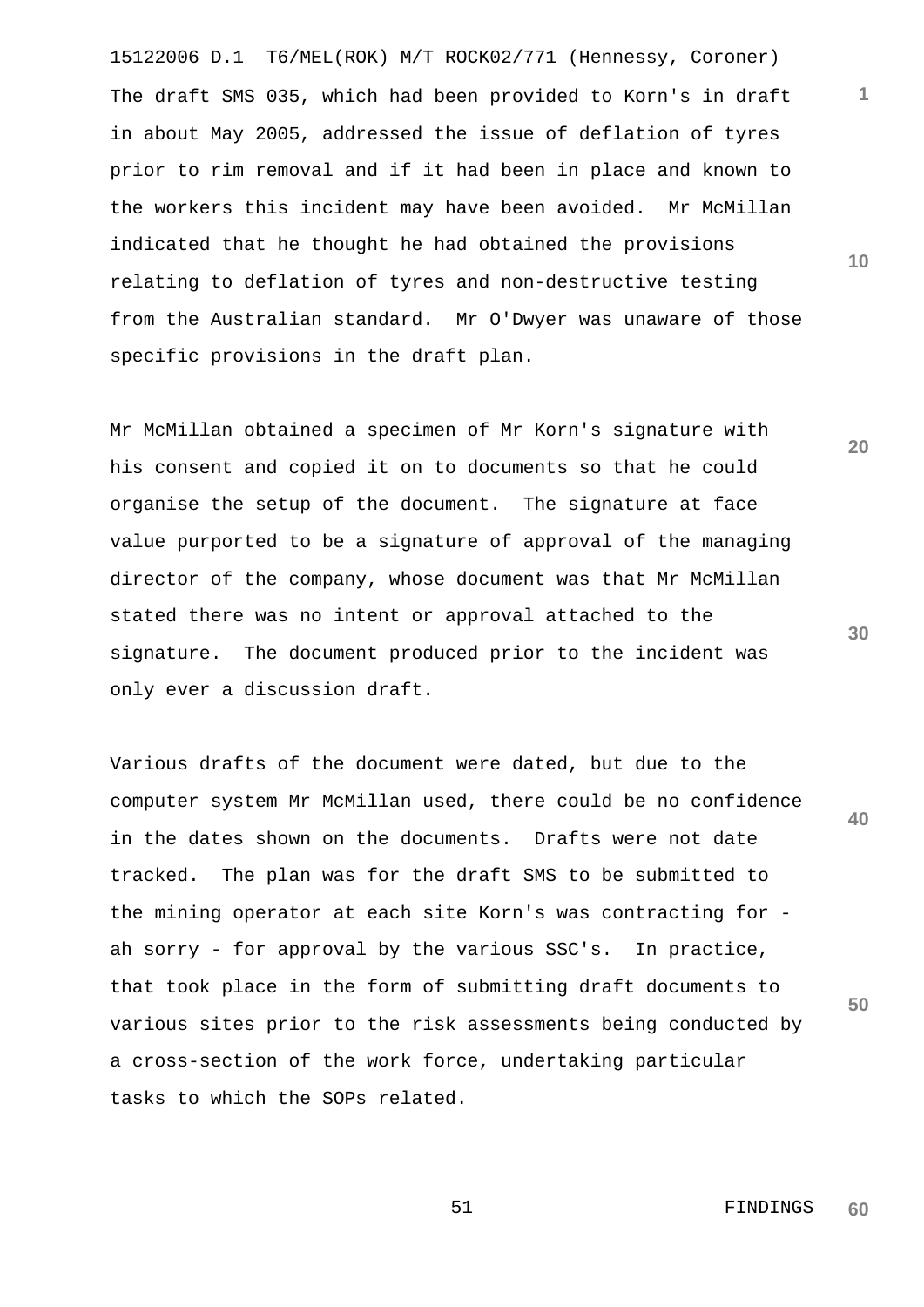15122006 D.1 T6/MEL(ROK) M/T ROCK02/771 (Hennessy, Coroner) The draft SMS 035, which had been provided to Korn's in draft in about May 2005, addressed the issue of deflation of tyres prior to rim removal and if it had been in place and known to the workers this incident may have been avoided. Mr McMillan indicated that he thought he had obtained the provisions relating to deflation of tyres and non-destructive testing from the Australian standard. Mr O'Dwyer was unaware of those specific provisions in the draft plan.

Mr McMillan obtained a specimen of Mr Korn's signature with his consent and copied it on to documents so that he could organise the setup of the document. The signature at face value purported to be a signature of approval of the managing director of the company, whose document was that Mr McMillan stated there was no intent or approval attached to the signature. The document produced prior to the incident was only ever a discussion draft.

**40 50** Various drafts of the document were dated, but due to the computer system Mr McMillan used, there could be no confidence in the dates shown on the documents. Drafts were not date tracked. The plan was for the draft SMS to be submitted to the mining operator at each site Korn's was contracting for ah sorry - for approval by the various SSC's. In practice, that took place in the form of submitting draft documents to various sites prior to the risk assessments being conducted by a cross-section of the work force, undertaking particular tasks to which the SOPs related.

**10**

**1**

**20**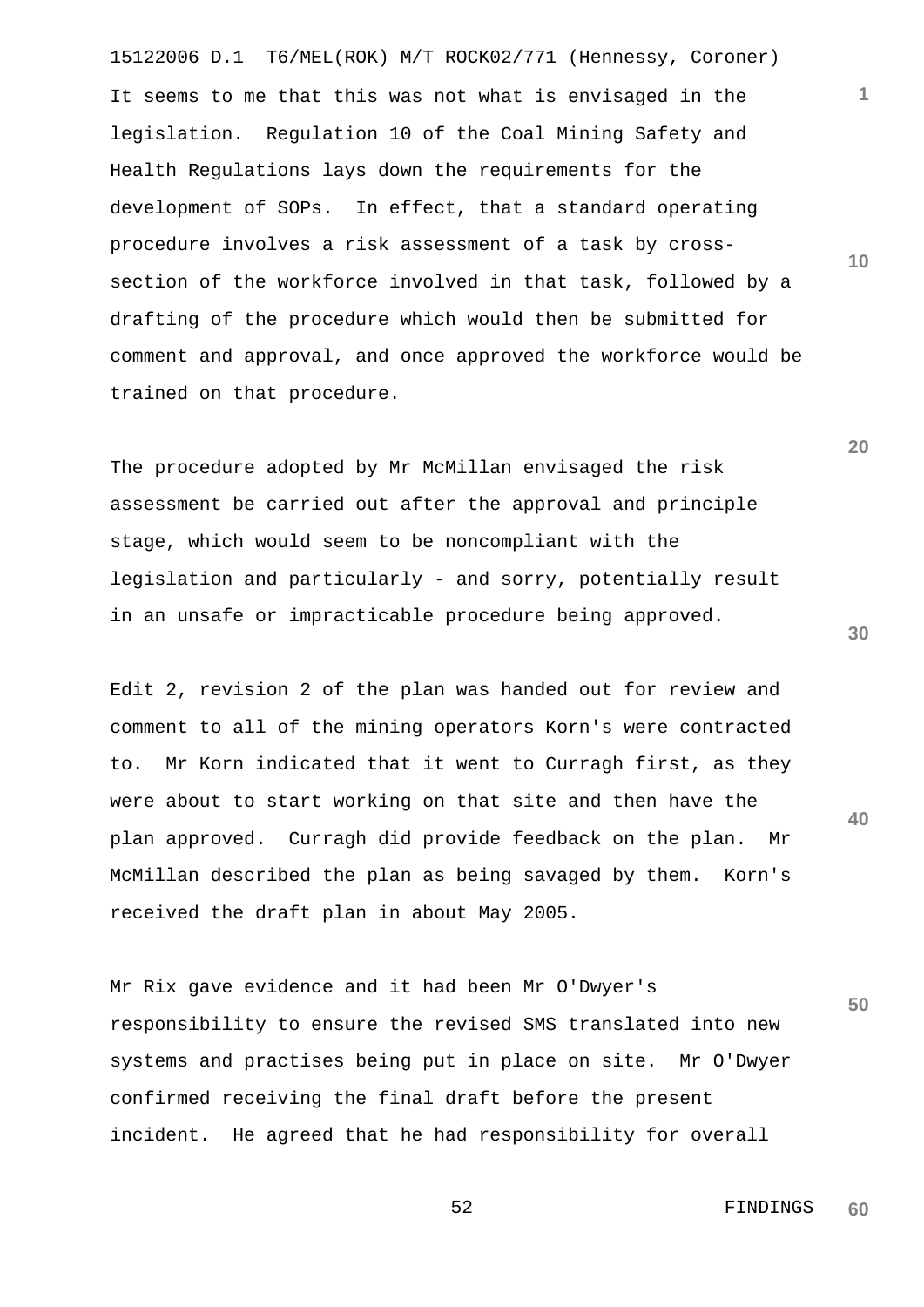15122006 D.1 T6/MEL(ROK) M/T ROCK02/771 (Hennessy, Coroner) It seems to me that this was not what is envisaged in the legislation. Regulation 10 of the Coal Mining Safety and Health Regulations lays down the requirements for the development of SOPs. In effect, that a standard operating procedure involves a risk assessment of a task by crosssection of the workforce involved in that task, followed by a drafting of the procedure which would then be submitted for comment and approval, and once approved the workforce would be trained on that procedure.

The procedure adopted by Mr McMillan envisaged the risk assessment be carried out after the approval and principle stage, which would seem to be noncompliant with the legislation and particularly - and sorry, potentially result in an unsafe or impracticable procedure being approved.

Edit 2, revision 2 of the plan was handed out for review and comment to all of the mining operators Korn's were contracted to. Mr Korn indicated that it went to Curragh first, as they were about to start working on that site and then have the plan approved. Curragh did provide feedback on the plan. Mr McMillan described the plan as being savaged by them. Korn's received the draft plan in about May 2005.

**50** Mr Rix gave evidence and it had been Mr O'Dwyer's responsibility to ensure the revised SMS translated into new systems and practises being put in place on site. Mr O'Dwyer confirmed receiving the final draft before the present incident. He agreed that he had responsibility for overall

**20**

**10**

**1**

**30**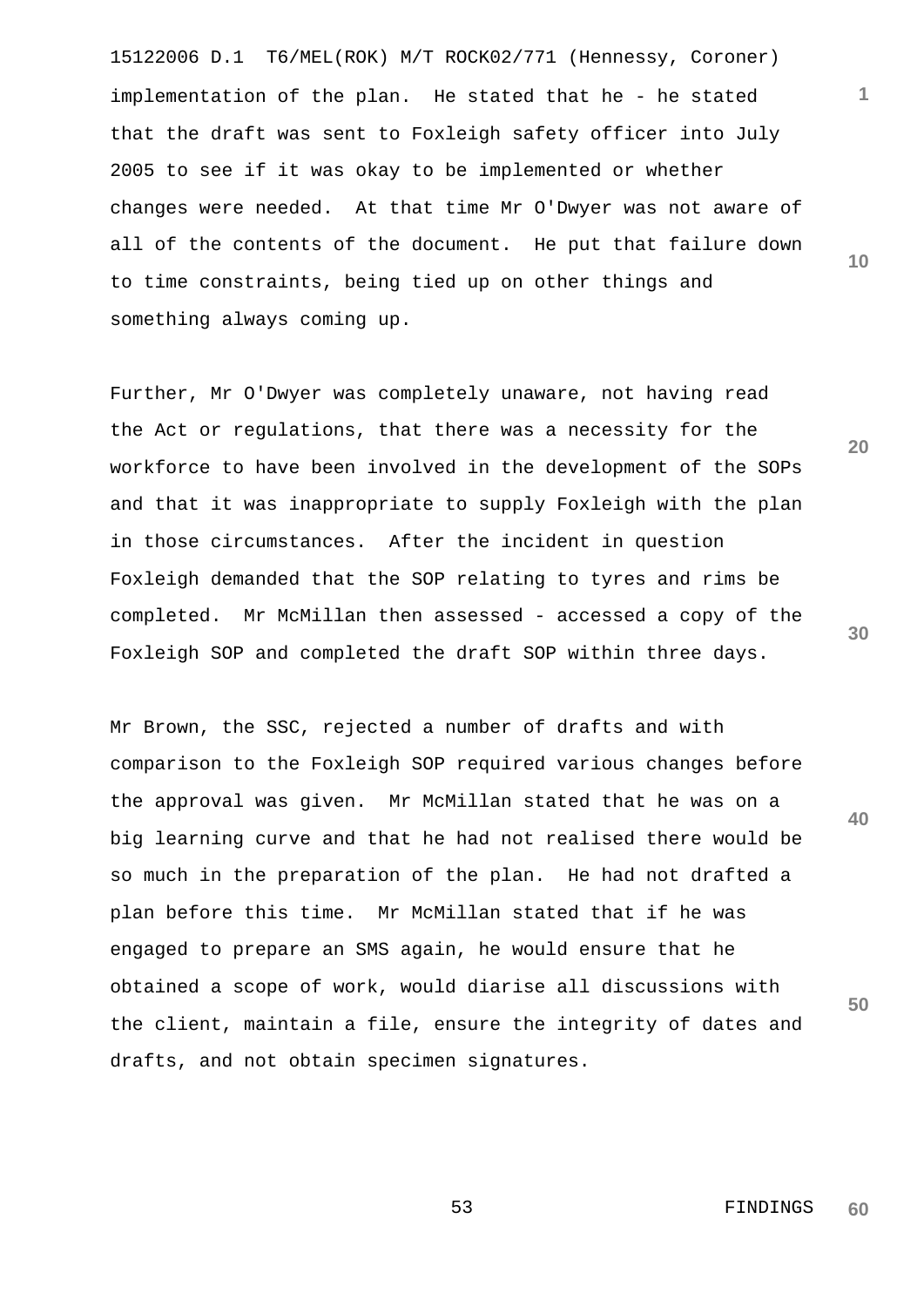15122006 D.1 T6/MEL(ROK) M/T ROCK02/771 (Hennessy, Coroner) implementation of the plan. He stated that he - he stated that the draft was sent to Foxleigh safety officer into July 2005 to see if it was okay to be implemented or whether changes were needed. At that time Mr O'Dwyer was not aware of all of the contents of the document. He put that failure down to time constraints, being tied up on other things and something always coming up.

Further, Mr O'Dwyer was completely unaware, not having read the Act or regulations, that there was a necessity for the workforce to have been involved in the development of the SOPs and that it was inappropriate to supply Foxleigh with the plan in those circumstances. After the incident in question Foxleigh demanded that the SOP relating to tyres and rims be completed. Mr McMillan then assessed - accessed a copy of the Foxleigh SOP and completed the draft SOP within three days.

Mr Brown, the SSC, rejected a number of drafts and with comparison to the Foxleigh SOP required various changes before the approval was given. Mr McMillan stated that he was on a big learning curve and that he had not realised there would be so much in the preparation of the plan. He had not drafted a plan before this time. Mr McMillan stated that if he was engaged to prepare an SMS again, he would ensure that he obtained a scope of work, would diarise all discussions with the client, maintain a file, ensure the integrity of dates and drafts, and not obtain specimen signatures.

**20**

**1**

**10**

**30**

**40**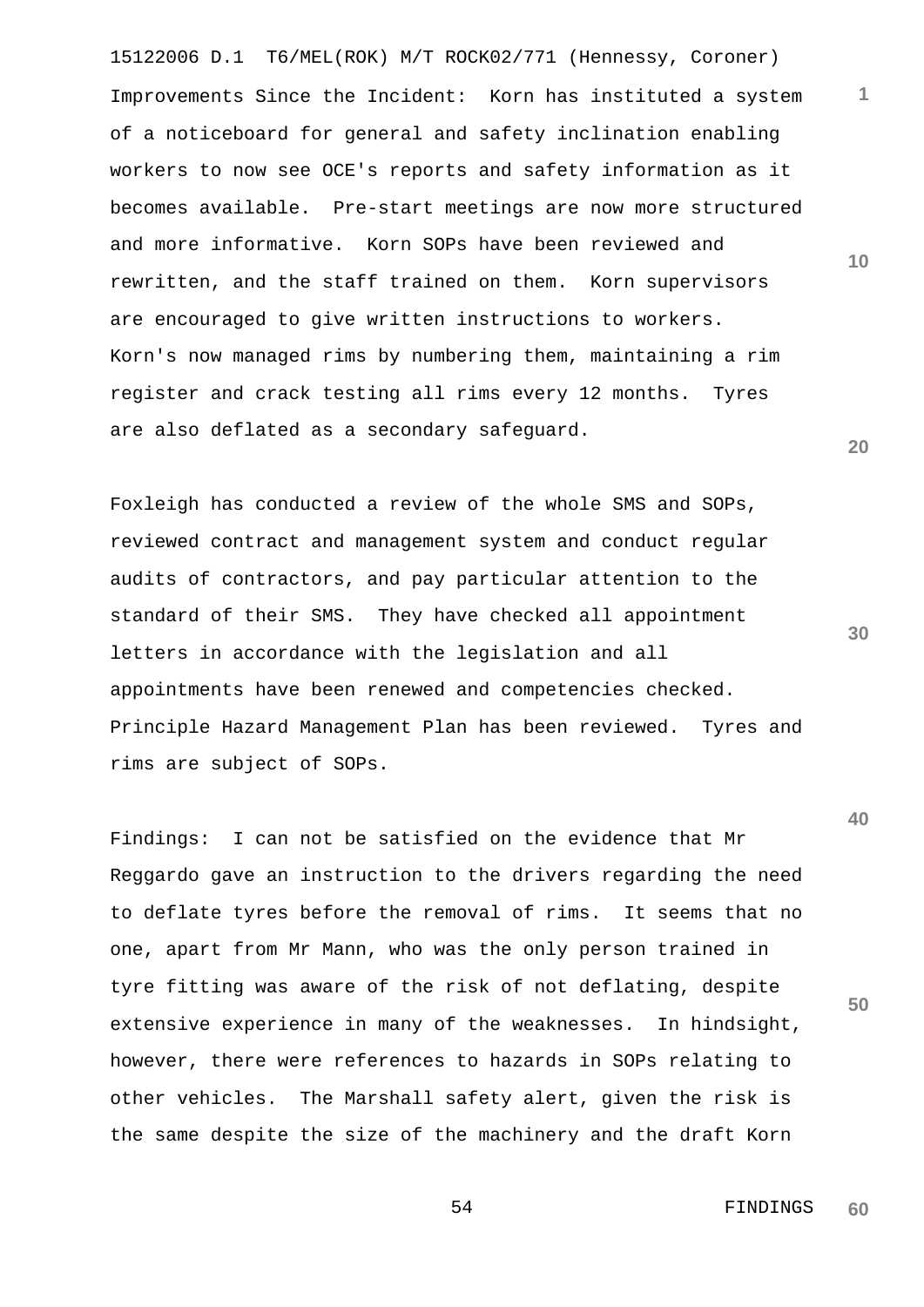15122006 D.1 T6/MEL(ROK) M/T ROCK02/771 (Hennessy, Coroner) **10 20** Improvements Since the Incident: Korn has instituted a system of a noticeboard for general and safety inclination enabling workers to now see OCE's reports and safety information as it becomes available. Pre-start meetings are now more structured and more informative. Korn SOPs have been reviewed and rewritten, and the staff trained on them. Korn supervisors are encouraged to give written instructions to workers. Korn's now managed rims by numbering them, maintaining a rim register and crack testing all rims every 12 months. Tyres are also deflated as a secondary safeguard.

Foxleigh has conducted a review of the whole SMS and SOPs, reviewed contract and management system and conduct regular audits of contractors, and pay particular attention to the standard of their SMS. They have checked all appointment letters in accordance with the legislation and all appointments have been renewed and competencies checked. Principle Hazard Management Plan has been reviewed. Tyres and rims are subject of SOPs.

Findings: I can not be satisfied on the evidence that Mr Reggardo gave an instruction to the drivers regarding the need to deflate tyres before the removal of rims. It seems that no one, apart from Mr Mann, who was the only person trained in tyre fitting was aware of the risk of not deflating, despite extensive experience in many of the weaknesses. In hindsight, however, there were references to hazards in SOPs relating to other vehicles. The Marshall safety alert, given the risk is the same despite the size of the machinery and the draft Korn

> 54 FINDINGS **60**

**1**

**30**

**40**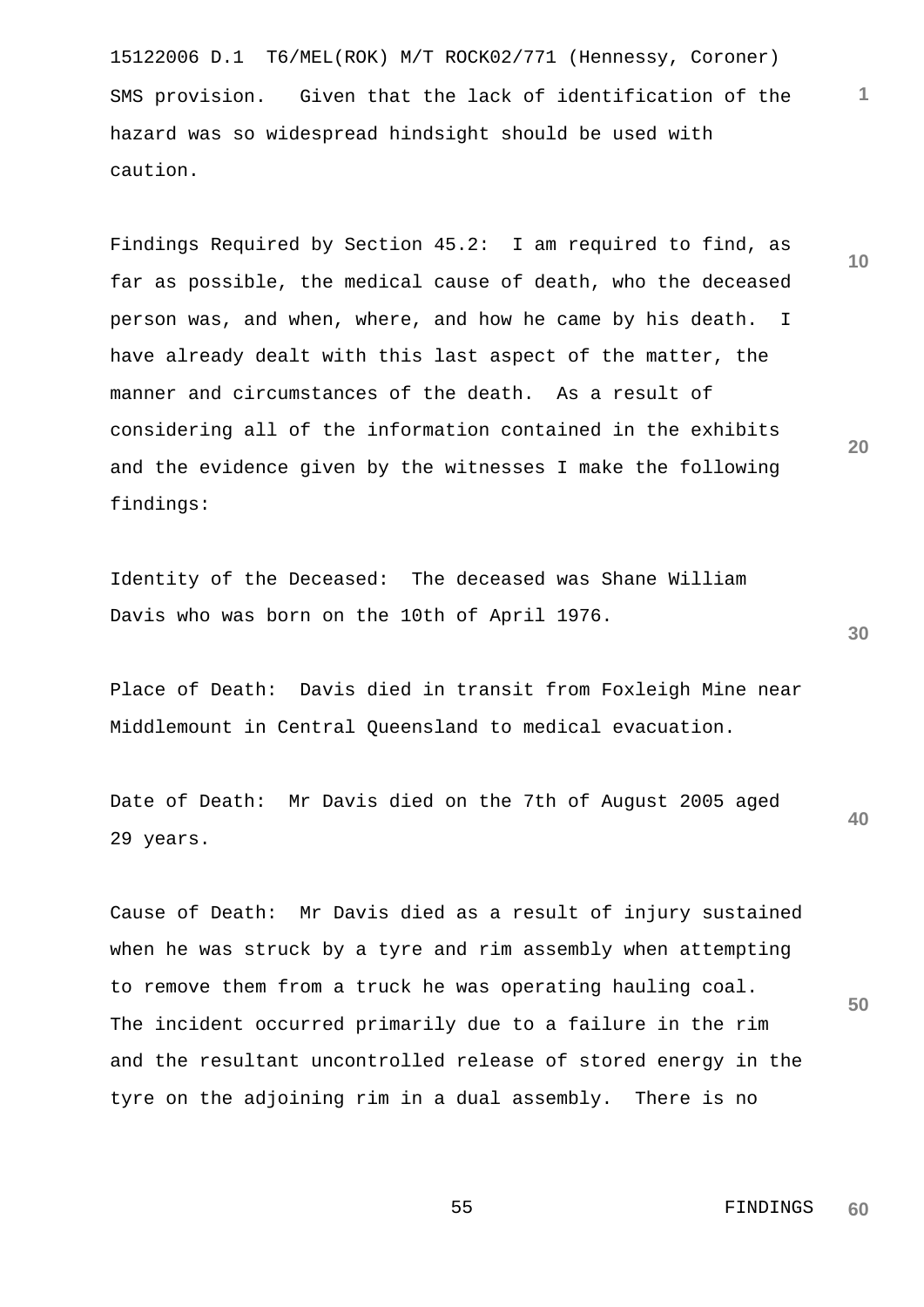15122006 D.1 T6/MEL(ROK) M/T ROCK02/771 (Hennessy, Coroner) SMS provision. Given that the lack of identification of the hazard was so widespread hindsight should be used with caution.

Findings Required by Section 45.2: I am required to find, as far as possible, the medical cause of death, who the deceased person was, and when, where, and how he came by his death. I have already dealt with this last aspect of the matter, the manner and circumstances of the death. As a result of considering all of the information contained in the exhibits and the evidence given by the witnesses I make the following findings:

Identity of the Deceased: The deceased was Shane William Davis who was born on the 10th of April 1976.

Place of Death: Davis died in transit from Foxleigh Mine near Middlemount in Central Queensland to medical evacuation.

**40** Date of Death: Mr Davis died on the 7th of August 2005 aged 29 years.

Cause of Death: Mr Davis died as a result of injury sustained when he was struck by a tyre and rim assembly when attempting to remove them from a truck he was operating hauling coal. The incident occurred primarily due to a failure in the rim and the resultant uncontrolled release of stored energy in the tyre on the adjoining rim in a dual assembly. There is no

> 55 FINDINGS **60**

**30**

**50**

**1**

**10**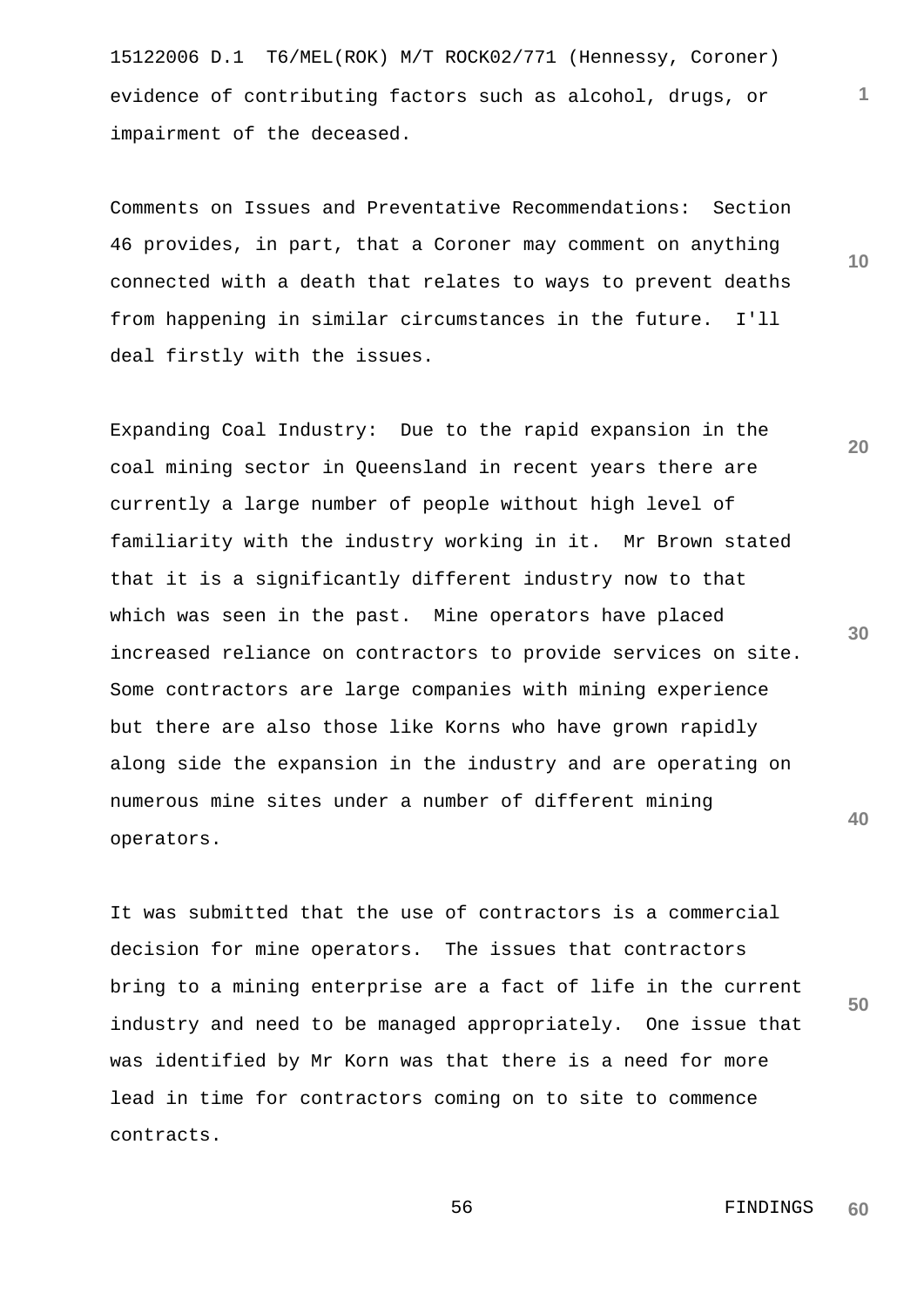15122006 D.1 T6/MEL(ROK) M/T ROCK02/771 (Hennessy, Coroner) evidence of contributing factors such as alcohol, drugs, or impairment of the deceased.

Comments on Issues and Preventative Recommendations: Section 46 provides, in part, that a Coroner may comment on anything connected with a death that relates to ways to prevent deaths from happening in similar circumstances in the future. I'll deal firstly with the issues.

Expanding Coal Industry: Due to the rapid expansion in the coal mining sector in Queensland in recent years there are currently a large number of people without high level of familiarity with the industry working in it. Mr Brown stated that it is a significantly different industry now to that which was seen in the past. Mine operators have placed increased reliance on contractors to provide services on site. Some contractors are large companies with mining experience but there are also those like Korns who have grown rapidly along side the expansion in the industry and are operating on numerous mine sites under a number of different mining operators.

It was submitted that the use of contractors is a commercial decision for mine operators. The issues that contractors bring to a mining enterprise are a fact of life in the current industry and need to be managed appropriately. One issue that was identified by Mr Korn was that there is a need for more lead in time for contractors coming on to site to commence contracts.

**20**

**10**

**1**

**30**

**50**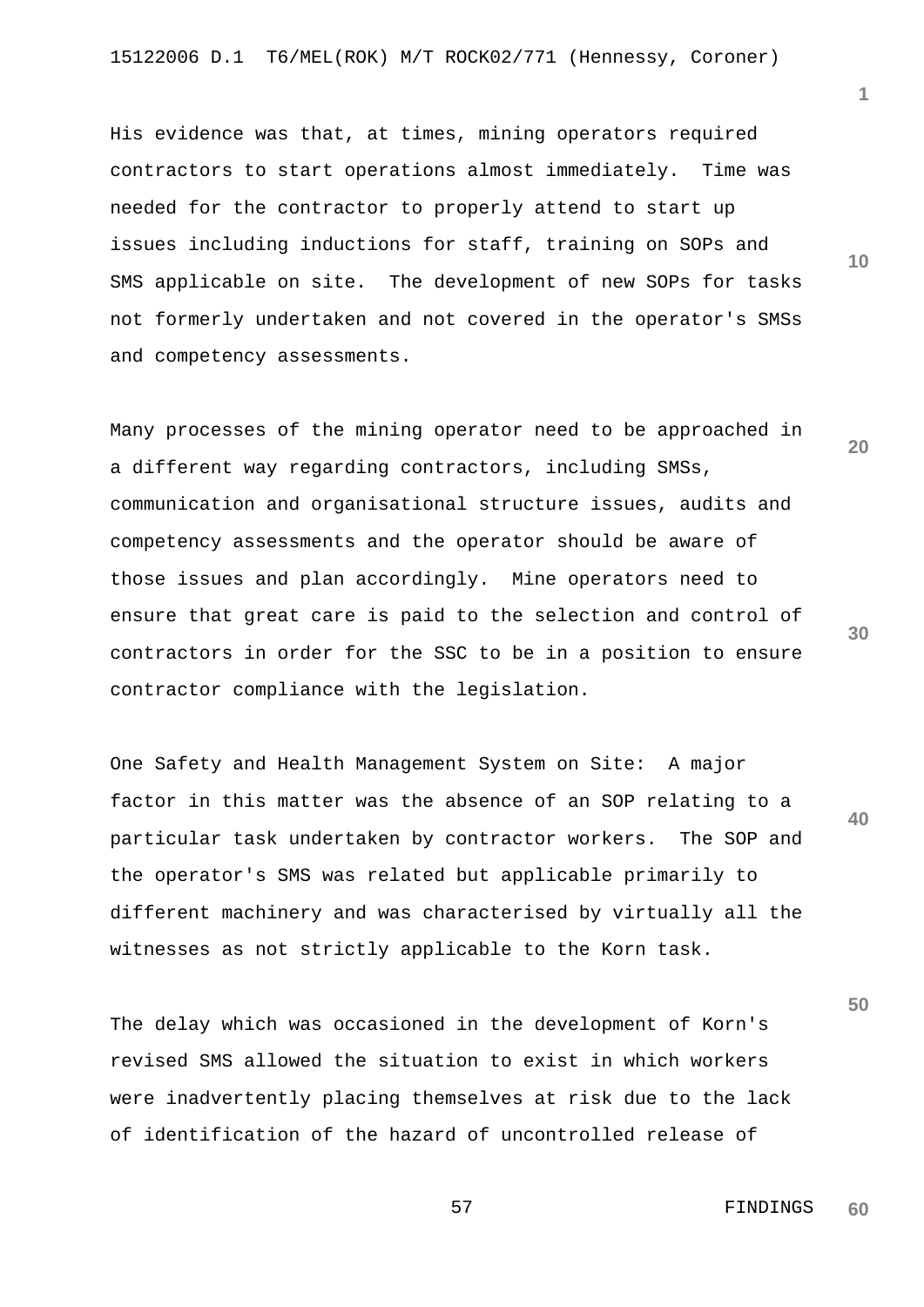His evidence was that, at times, mining operators required contractors to start operations almost immediately. Time was needed for the contractor to properly attend to start up issues including inductions for staff, training on SOPs and SMS applicable on site. The development of new SOPs for tasks not formerly undertaken and not covered in the operator's SMSs and competency assessments.

Many processes of the mining operator need to be approached in a different way regarding contractors, including SMSs, communication and organisational structure issues, audits and competency assessments and the operator should be aware of those issues and plan accordingly. Mine operators need to ensure that great care is paid to the selection and control of contractors in order for the SSC to be in a position to ensure contractor compliance with the legislation.

One Safety and Health Management System on Site: A major factor in this matter was the absence of an SOP relating to a particular task undertaken by contractor workers. The SOP and the operator's SMS was related but applicable primarily to different machinery and was characterised by virtually all the witnesses as not strictly applicable to the Korn task.

The delay which was occasioned in the development of Korn's revised SMS allowed the situation to exist in which workers were inadvertently placing themselves at risk due to the lack of identification of the hazard of uncontrolled release of

**1**

**10**

**20**

**30**

**40**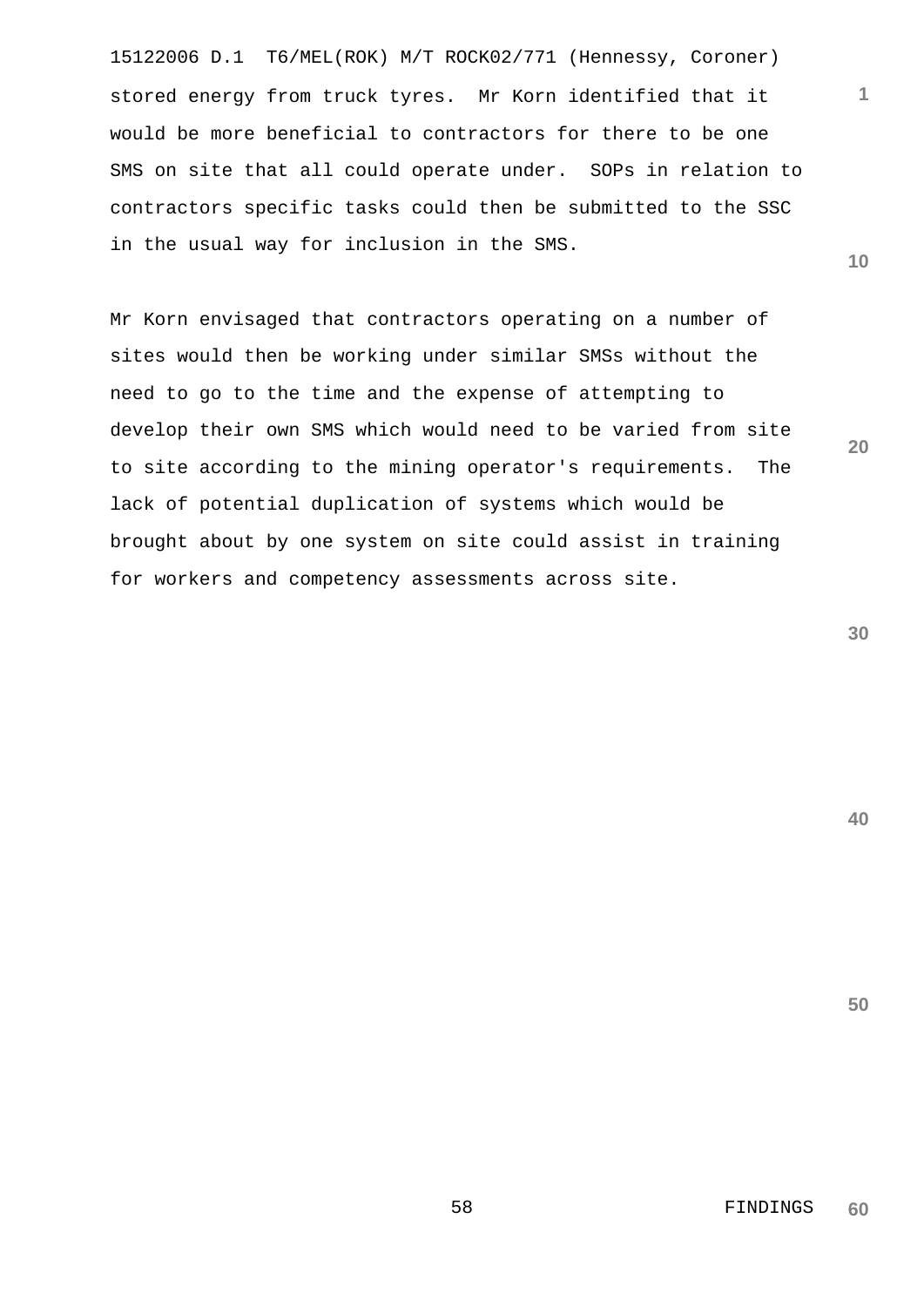15122006 D.1 T6/MEL(ROK) M/T ROCK02/771 (Hennessy, Coroner) stored energy from truck tyres. Mr Korn identified that it would be more beneficial to contractors for there to be one SMS on site that all could operate under. SOPs in relation to contractors specific tasks could then be submitted to the SSC in the usual way for inclusion in the SMS.

Mr Korn envisaged that contractors operating on a number of sites would then be working under similar SMSs without the need to go to the time and the expense of attempting to develop their own SMS which would need to be varied from site to site according to the mining operator's requirements. The lack of potential duplication of systems which would be brought about by one system on site could assist in training for workers and competency assessments across site.

**30**

**1**

**10**

**20**

**40**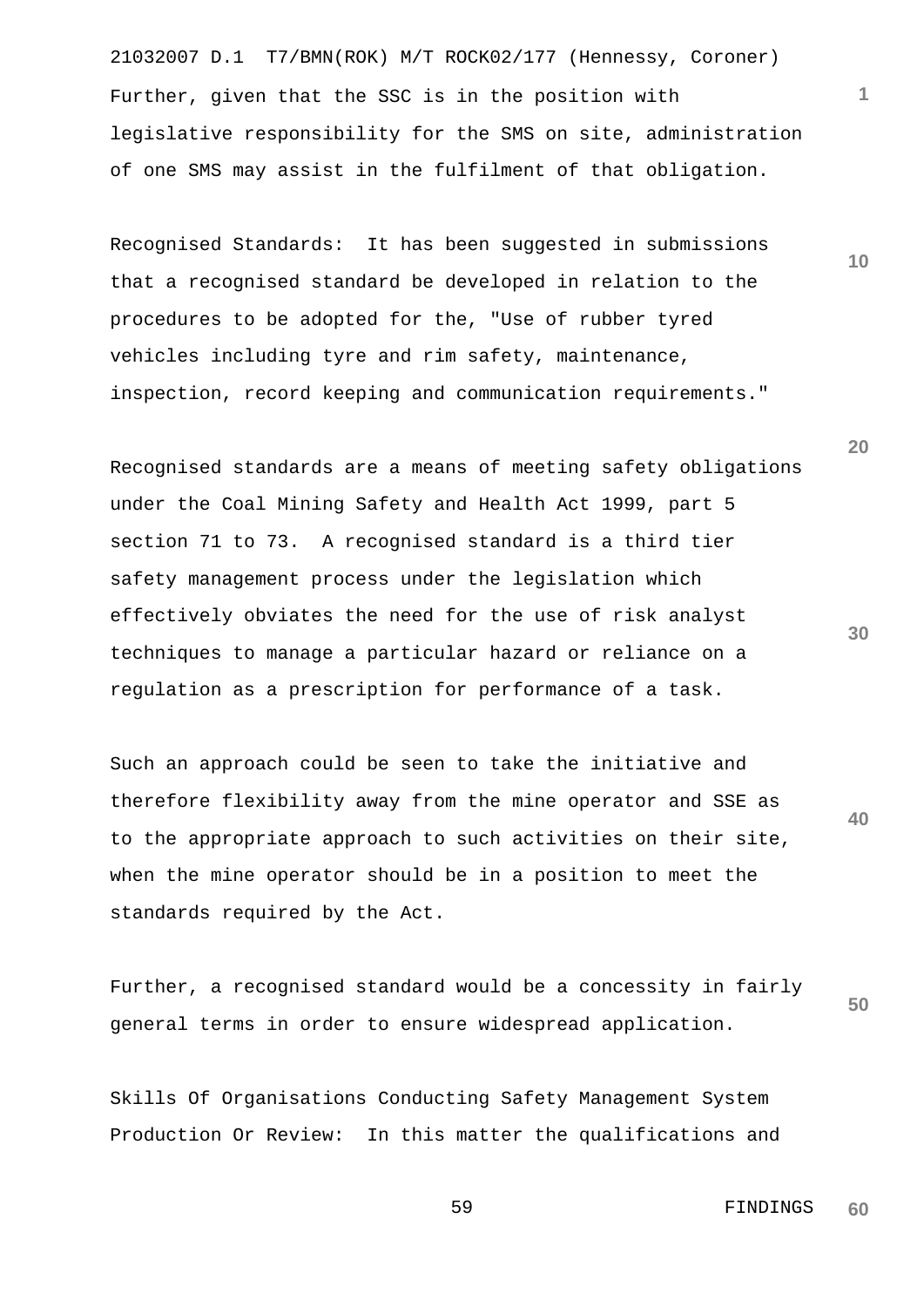21032007 D.1 T7/BMN(ROK) M/T ROCK02/177 (Hennessy, Coroner) Further, given that the SSC is in the position with legislative responsibility for the SMS on site, administration of one SMS may assist in the fulfilment of that obligation.

Recognised Standards: It has been suggested in submissions that a recognised standard be developed in relation to the procedures to be adopted for the, "Use of rubber tyred vehicles including tyre and rim safety, maintenance, inspection, record keeping and communication requirements."

Recognised standards are a means of meeting safety obligations under the Coal Mining Safety and Health Act 1999, part 5 section 71 to 73. A recognised standard is a third tier safety management process under the legislation which effectively obviates the need for the use of risk analyst techniques to manage a particular hazard or reliance on a regulation as a prescription for performance of a task.

**40** Such an approach could be seen to take the initiative and therefore flexibility away from the mine operator and SSE as to the appropriate approach to such activities on their site, when the mine operator should be in a position to meet the standards required by the Act.

**50** Further, a recognised standard would be a concessity in fairly general terms in order to ensure widespread application.

Skills Of Organisations Conducting Safety Management System Production Or Review: In this matter the qualifications and

> 59 FINDINGS **60**

**30**

**20**

**10**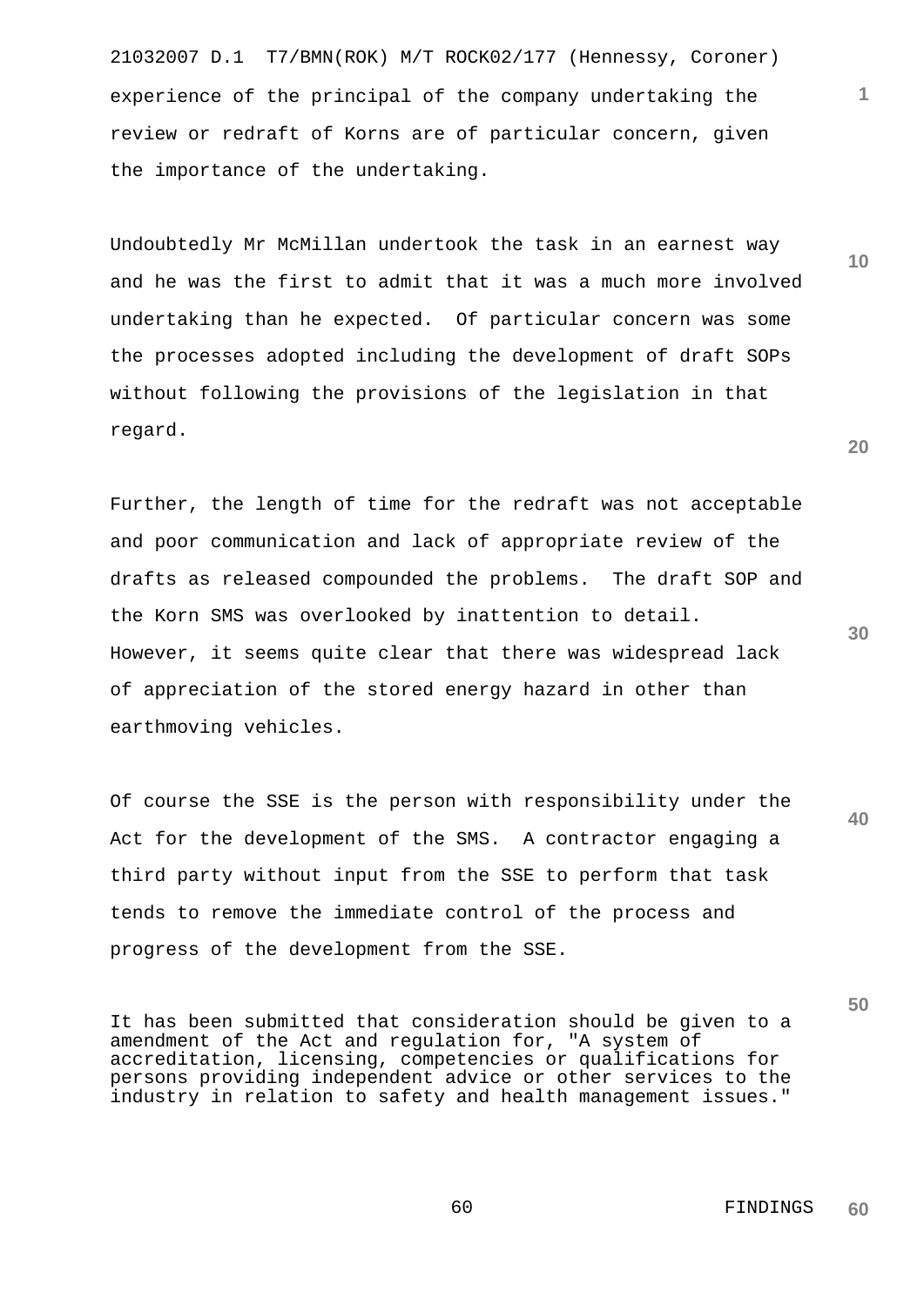21032007 D.1 T7/BMN(ROK) M/T ROCK02/177 (Hennessy, Coroner) experience of the principal of the company undertaking the review or redraft of Korns are of particular concern, given the importance of the undertaking.

Undoubtedly Mr McMillan undertook the task in an earnest way and he was the first to admit that it was a much more involved undertaking than he expected. Of particular concern was some the processes adopted including the development of draft SOPs without following the provisions of the legislation in that regard.

Further, the length of time for the redraft was not acceptable and poor communication and lack of appropriate review of the drafts as released compounded the problems. The draft SOP and the Korn SMS was overlooked by inattention to detail. However, it seems quite clear that there was widespread lack of appreciation of the stored energy hazard in other than earthmoving vehicles.

Of course the SSE is the person with responsibility under the Act for the development of the SMS. A contractor engaging a third party without input from the SSE to perform that task tends to remove the immediate control of the process and progress of the development from the SSE.

It has been submitted that consideration should be given to a amendment of the Act and regulation for, "A system of accreditation, licensing, competencies or qualifications for persons providing independent advice or other services to the industry in relation to safety and health management issues."

**20**

**1**

**10**

**30**

**40**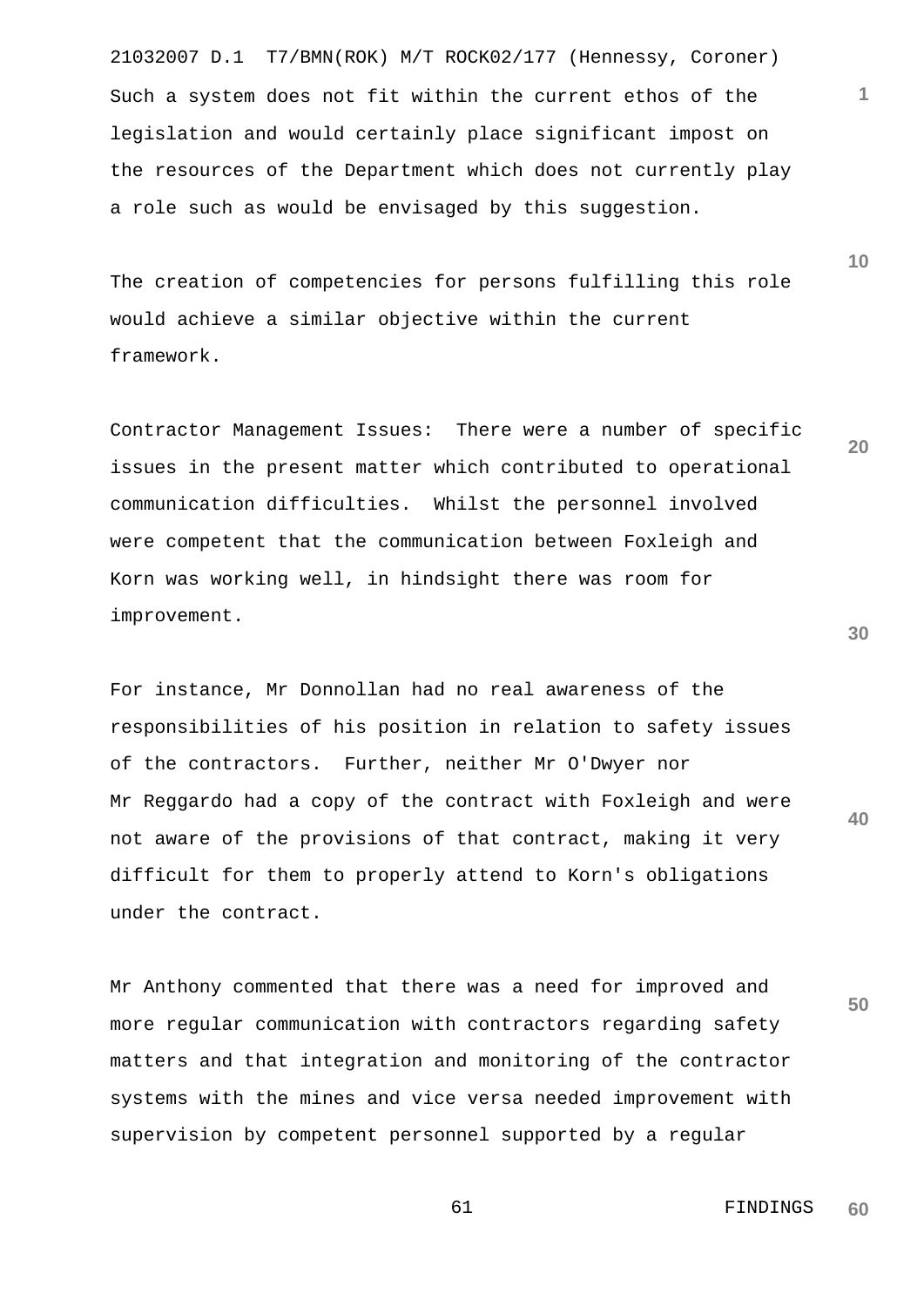21032007 D.1 T7/BMN(ROK) M/T ROCK02/177 (Hennessy, Coroner) Such a system does not fit within the current ethos of the legislation and would certainly place significant impost on the resources of the Department which does not currently play a role such as would be envisaged by this suggestion.

The creation of competencies for persons fulfilling this role would achieve a similar objective within the current framework.

Contractor Management Issues: There were a number of specific issues in the present matter which contributed to operational communication difficulties. Whilst the personnel involved were competent that the communication between Foxleigh and Korn was working well, in hindsight there was room for improvement.

For instance, Mr Donnollan had no real awareness of the responsibilities of his position in relation to safety issues of the contractors. Further, neither Mr O'Dwyer nor Mr Reggardo had a copy of the contract with Foxleigh and were not aware of the provisions of that contract, making it very difficult for them to properly attend to Korn's obligations under the contract.

Mr Anthony commented that there was a need for improved and more regular communication with contractors regarding safety matters and that integration and monitoring of the contractor systems with the mines and vice versa needed improvement with supervision by competent personnel supported by a regular

**30**

**40**

**50**

**1**

**10**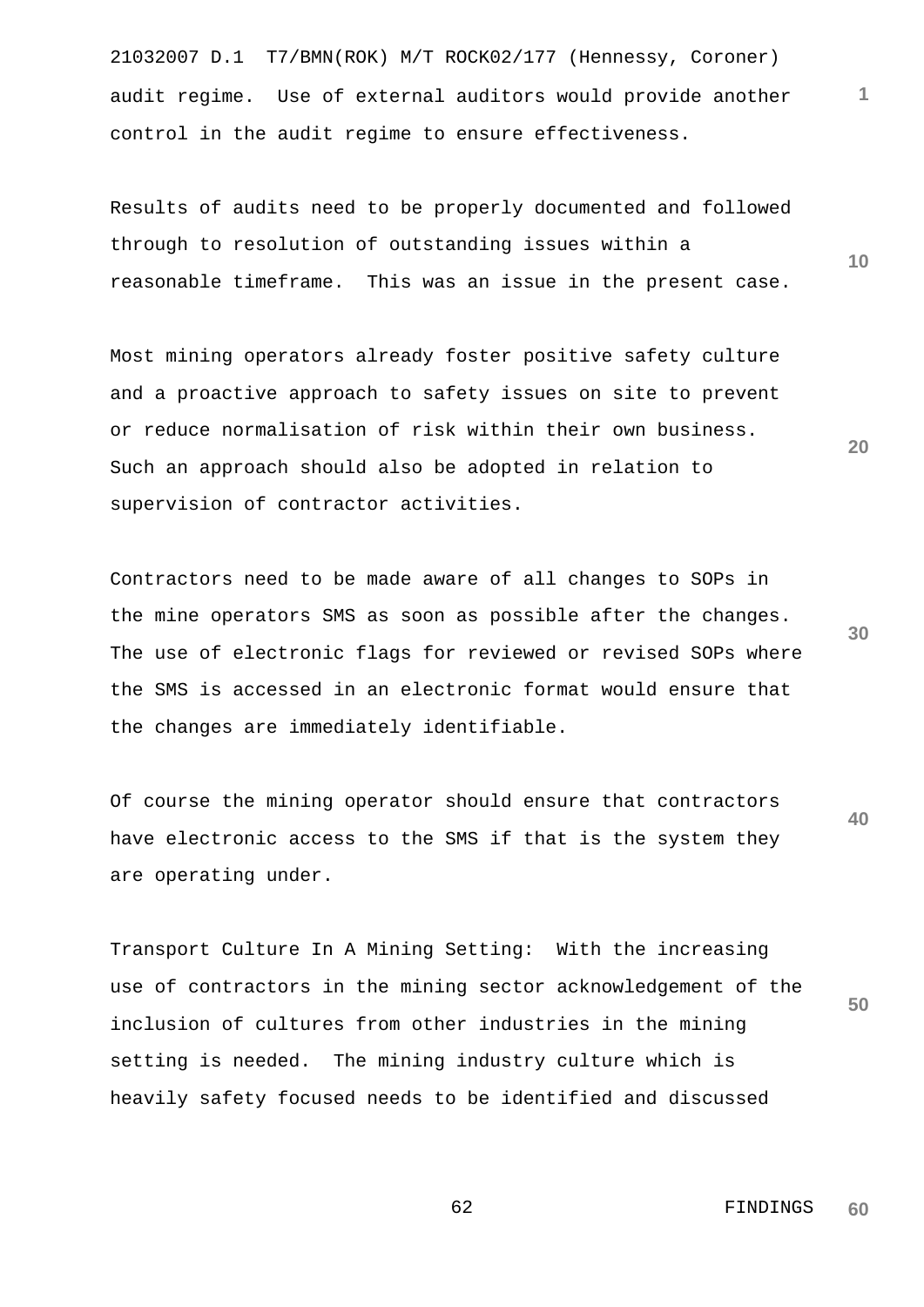21032007 D.1 T7/BMN(ROK) M/T ROCK02/177 (Hennessy, Coroner) audit regime. Use of external auditors would provide another control in the audit regime to ensure effectiveness.

Results of audits need to be properly documented and followed through to resolution of outstanding issues within a reasonable timeframe. This was an issue in the present case.

Most mining operators already foster positive safety culture and a proactive approach to safety issues on site to prevent or reduce normalisation of risk within their own business. Such an approach should also be adopted in relation to supervision of contractor activities.

**30** Contractors need to be made aware of all changes to SOPs in the mine operators SMS as soon as possible after the changes. The use of electronic flags for reviewed or revised SOPs where the SMS is accessed in an electronic format would ensure that the changes are immediately identifiable.

**40** Of course the mining operator should ensure that contractors have electronic access to the SMS if that is the system they are operating under.

**50** Transport Culture In A Mining Setting: With the increasing use of contractors in the mining sector acknowledgement of the inclusion of cultures from other industries in the mining setting is needed. The mining industry culture which is heavily safety focused needs to be identified and discussed

**1**

**10**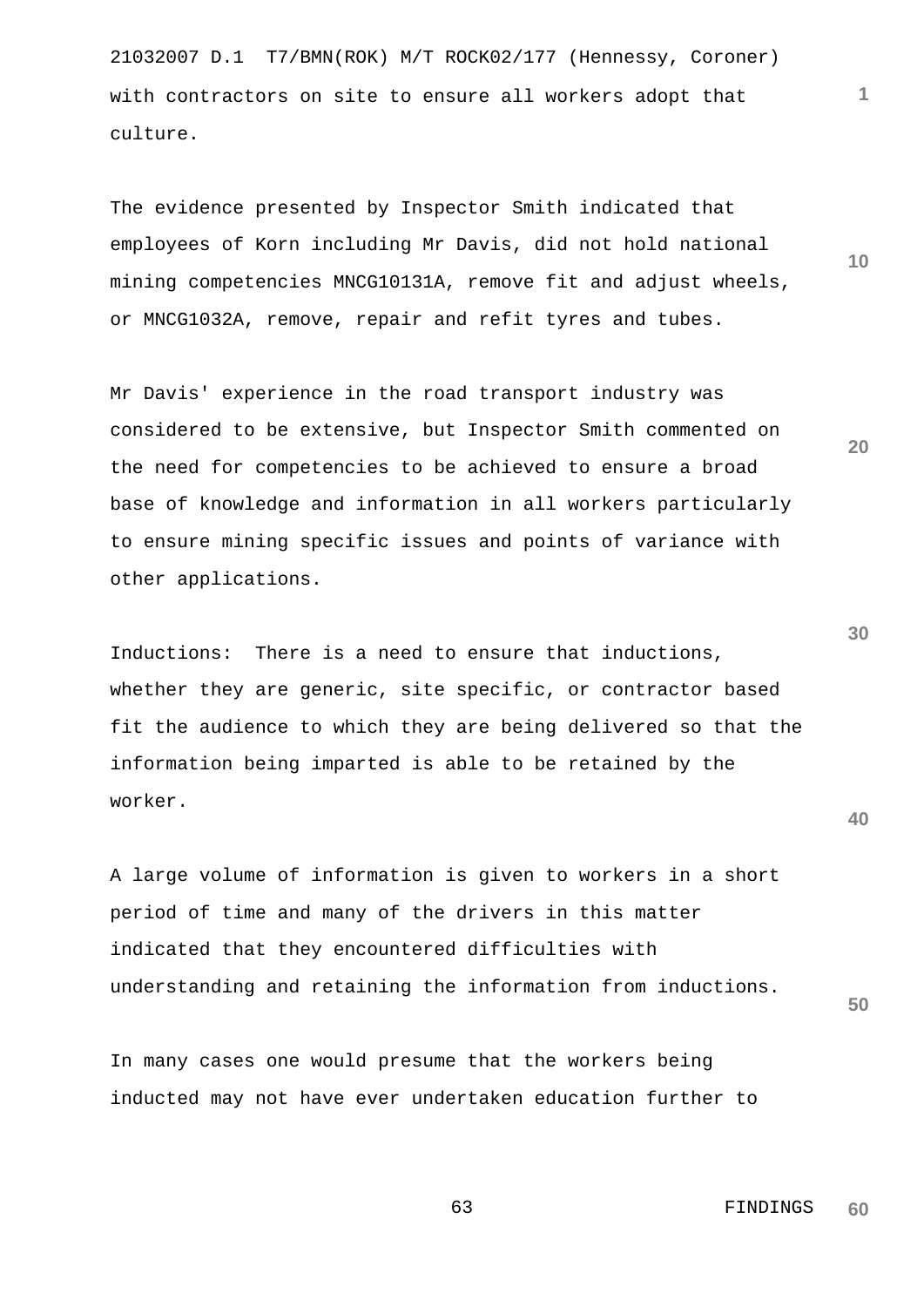21032007 D.1 T7/BMN(ROK) M/T ROCK02/177 (Hennessy, Coroner) with contractors on site to ensure all workers adopt that culture.

The evidence presented by Inspector Smith indicated that employees of Korn including Mr Davis, did not hold national mining competencies MNCG10131A, remove fit and adjust wheels, or MNCG1032A, remove, repair and refit tyres and tubes.

Mr Davis' experience in the road transport industry was considered to be extensive, but Inspector Smith commented on the need for competencies to be achieved to ensure a broad base of knowledge and information in all workers particularly to ensure mining specific issues and points of variance with other applications.

Inductions: There is a need to ensure that inductions, whether they are generic, site specific, or contractor based fit the audience to which they are being delivered so that the information being imparted is able to be retained by the worker.

A large volume of information is given to workers in a short period of time and many of the drivers in this matter indicated that they encountered difficulties with understanding and retaining the information from inductions.

In many cases one would presume that the workers being inducted may not have ever undertaken education further to

> 63 FINDINGS **60**

**30**

**20**

**10**

**1**

**40**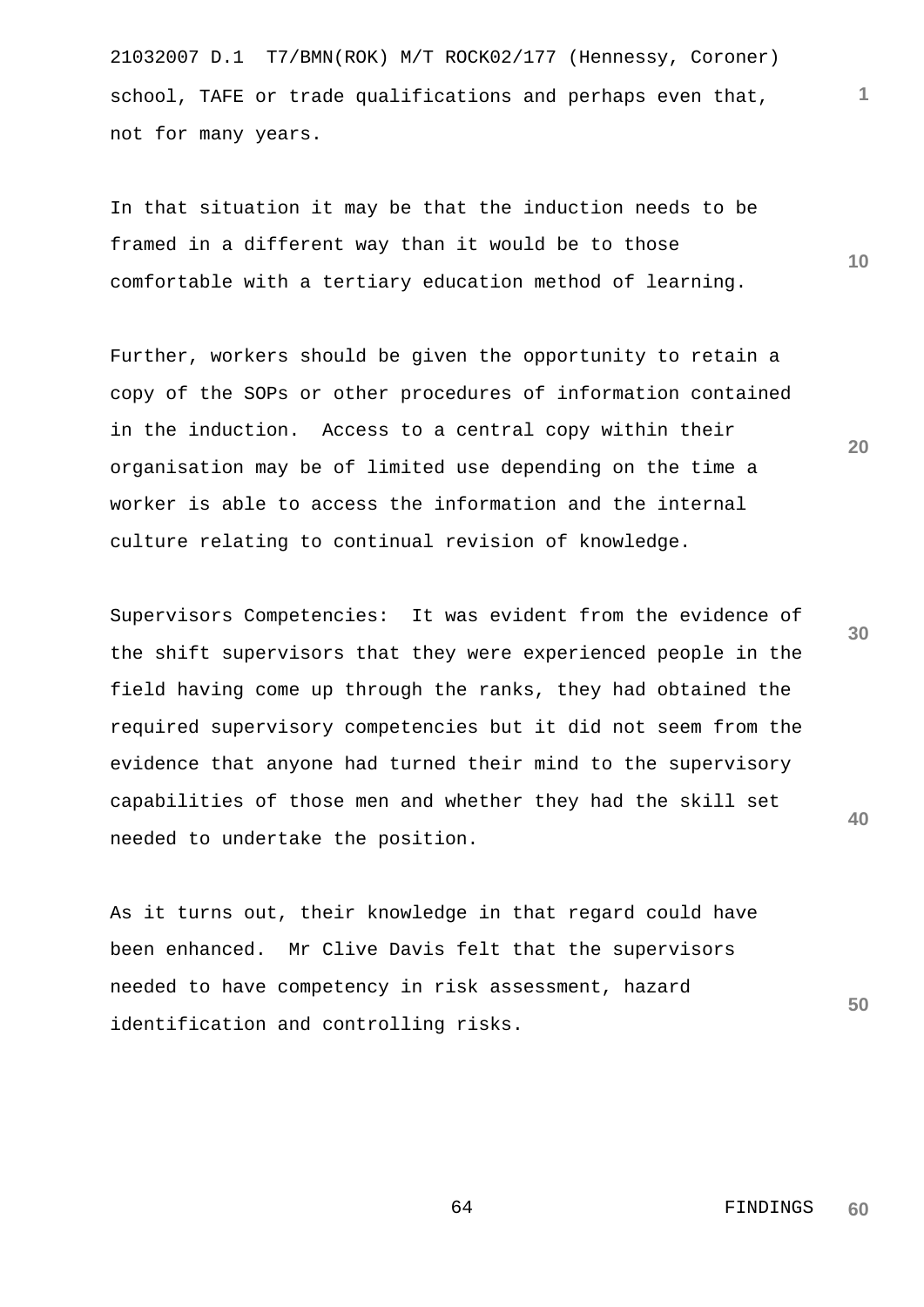21032007 D.1 T7/BMN(ROK) M/T ROCK02/177 (Hennessy, Coroner) school, TAFE or trade qualifications and perhaps even that, not for many years.

In that situation it may be that the induction needs to be framed in a different way than it would be to those comfortable with a tertiary education method of learning.

Further, workers should be given the opportunity to retain a copy of the SOPs or other procedures of information contained in the induction. Access to a central copy within their organisation may be of limited use depending on the time a worker is able to access the information and the internal culture relating to continual revision of knowledge.

Supervisors Competencies: It was evident from the evidence of the shift supervisors that they were experienced people in the field having come up through the ranks, they had obtained the required supervisory competencies but it did not seem from the evidence that anyone had turned their mind to the supervisory capabilities of those men and whether they had the skill set needed to undertake the position.

As it turns out, their knowledge in that regard could have been enhanced. Mr Clive Davis felt that the supervisors needed to have competency in risk assessment, hazard identification and controlling risks.

> 64 FINDINGS **60**

**30**

**20**

**40**

**50**

**10**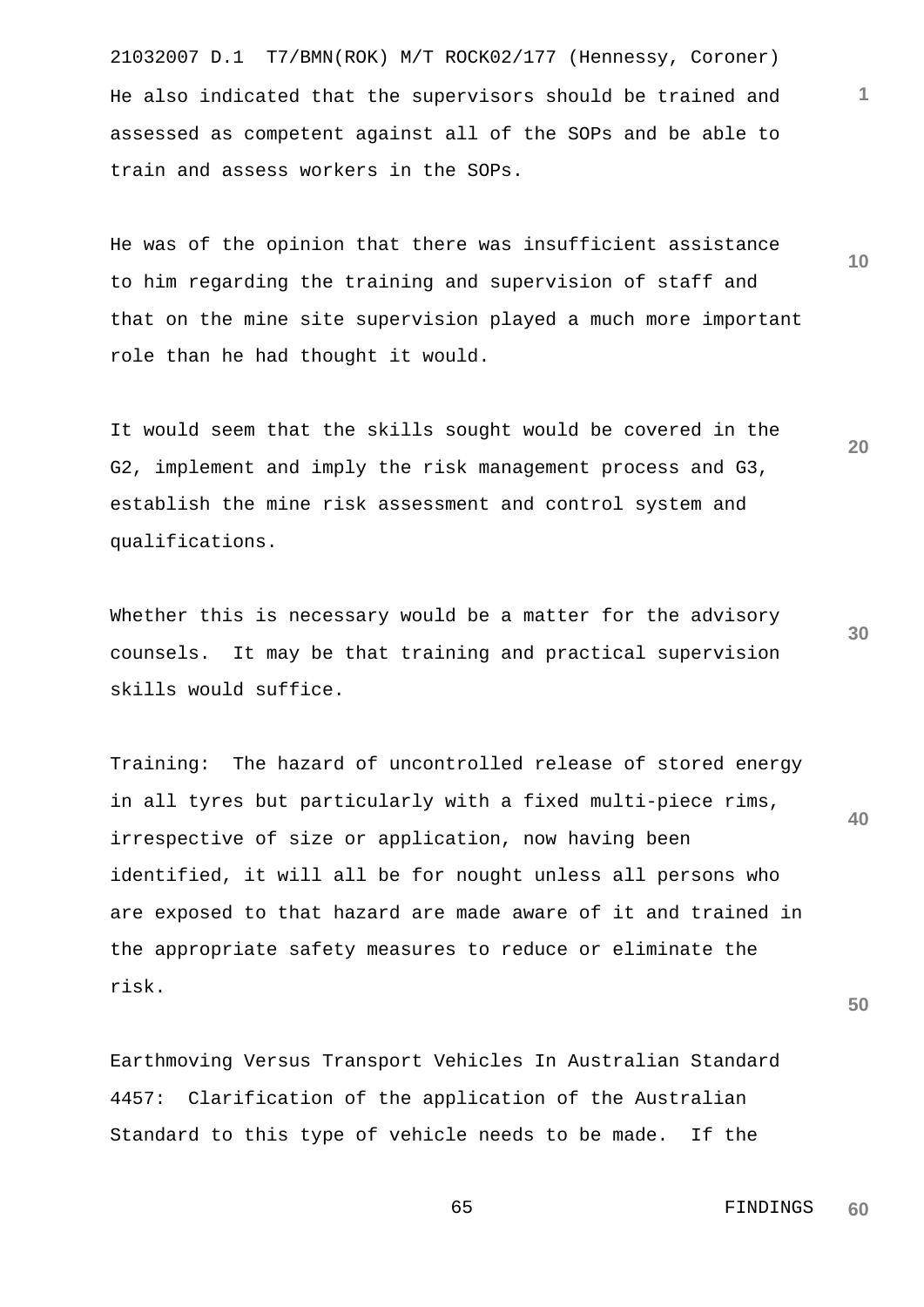21032007 D.1 T7/BMN(ROK) M/T ROCK02/177 (Hennessy, Coroner) He also indicated that the supervisors should be trained and assessed as competent against all of the SOPs and be able to train and assess workers in the SOPs.

He was of the opinion that there was insufficient assistance to him regarding the training and supervision of staff and that on the mine site supervision played a much more important role than he had thought it would.

It would seem that the skills sought would be covered in the G2, implement and imply the risk management process and G3, establish the mine risk assessment and control system and qualifications.

Whether this is necessary would be a matter for the advisory counsels. It may be that training and practical supervision skills would suffice.

**40** Training: The hazard of uncontrolled release of stored energy in all tyres but particularly with a fixed multi-piece rims, irrespective of size or application, now having been identified, it will all be for nought unless all persons who are exposed to that hazard are made aware of it and trained in the appropriate safety measures to reduce or eliminate the risk.

Earthmoving Versus Transport Vehicles In Australian Standard 4457: Clarification of the application of the Australian Standard to this type of vehicle needs to be made. If the

**60**

65 FINDINGS

**30**

**50**

**20**

**10**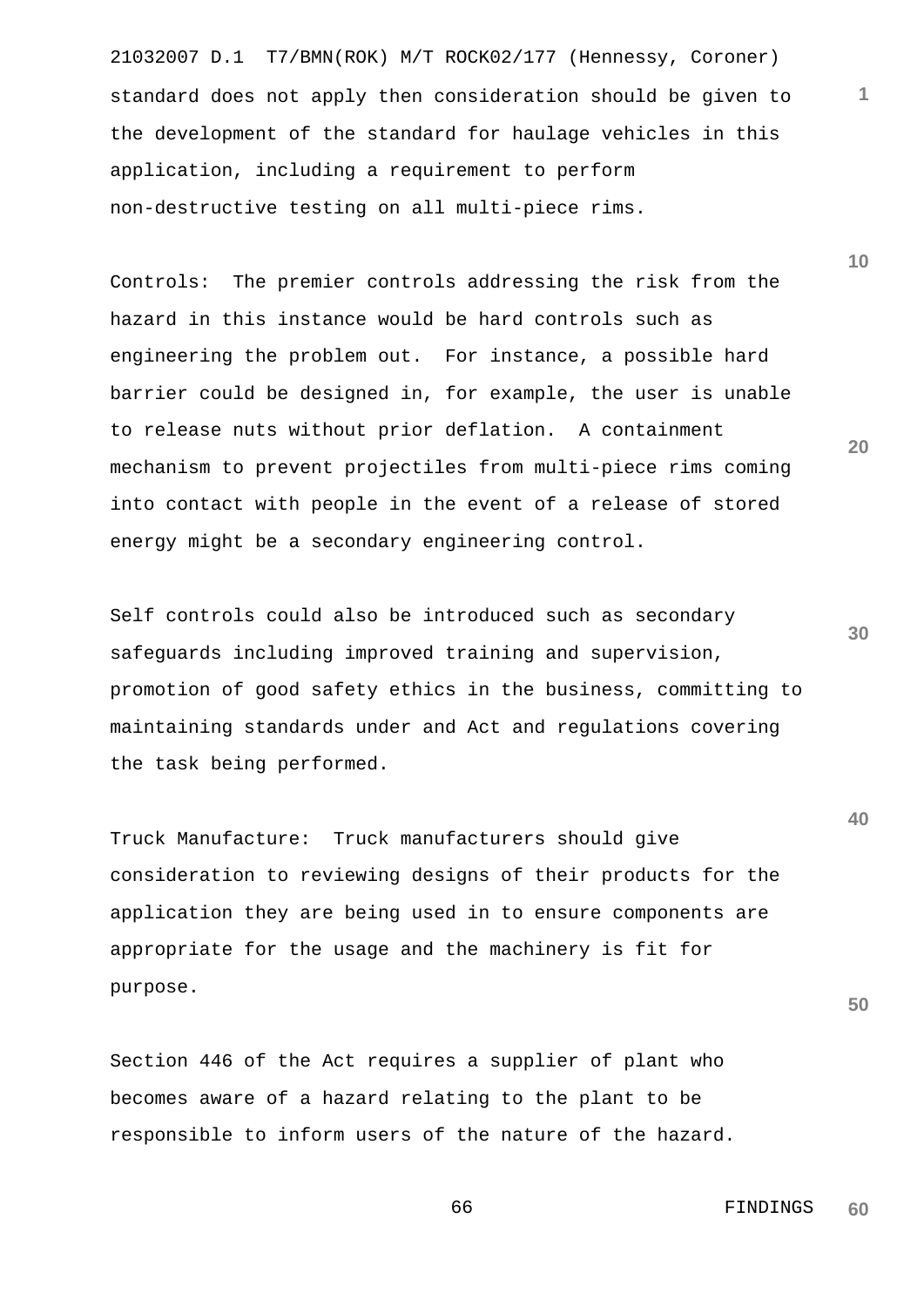21032007 D.1 T7/BMN(ROK) M/T ROCK02/177 (Hennessy, Coroner) standard does not apply then consideration should be given to the development of the standard for haulage vehicles in this application, including a requirement to perform non-destructive testing on all multi-piece rims.

Controls: The premier controls addressing the risk from the hazard in this instance would be hard controls such as engineering the problem out. For instance, a possible hard barrier could be designed in, for example, the user is unable to release nuts without prior deflation. A containment mechanism to prevent projectiles from multi-piece rims coming into contact with people in the event of a release of stored energy might be a secondary engineering control.

Self controls could also be introduced such as secondary safeguards including improved training and supervision, promotion of good safety ethics in the business, committing to maintaining standards under and Act and regulations covering the task being performed.

Truck Manufacture: Truck manufacturers should give consideration to reviewing designs of their products for the application they are being used in to ensure components are appropriate for the usage and the machinery is fit for purpose.

Section 446 of the Act requires a supplier of plant who becomes aware of a hazard relating to the plant to be responsible to inform users of the nature of the hazard. **30**

**1**

**10**

**20**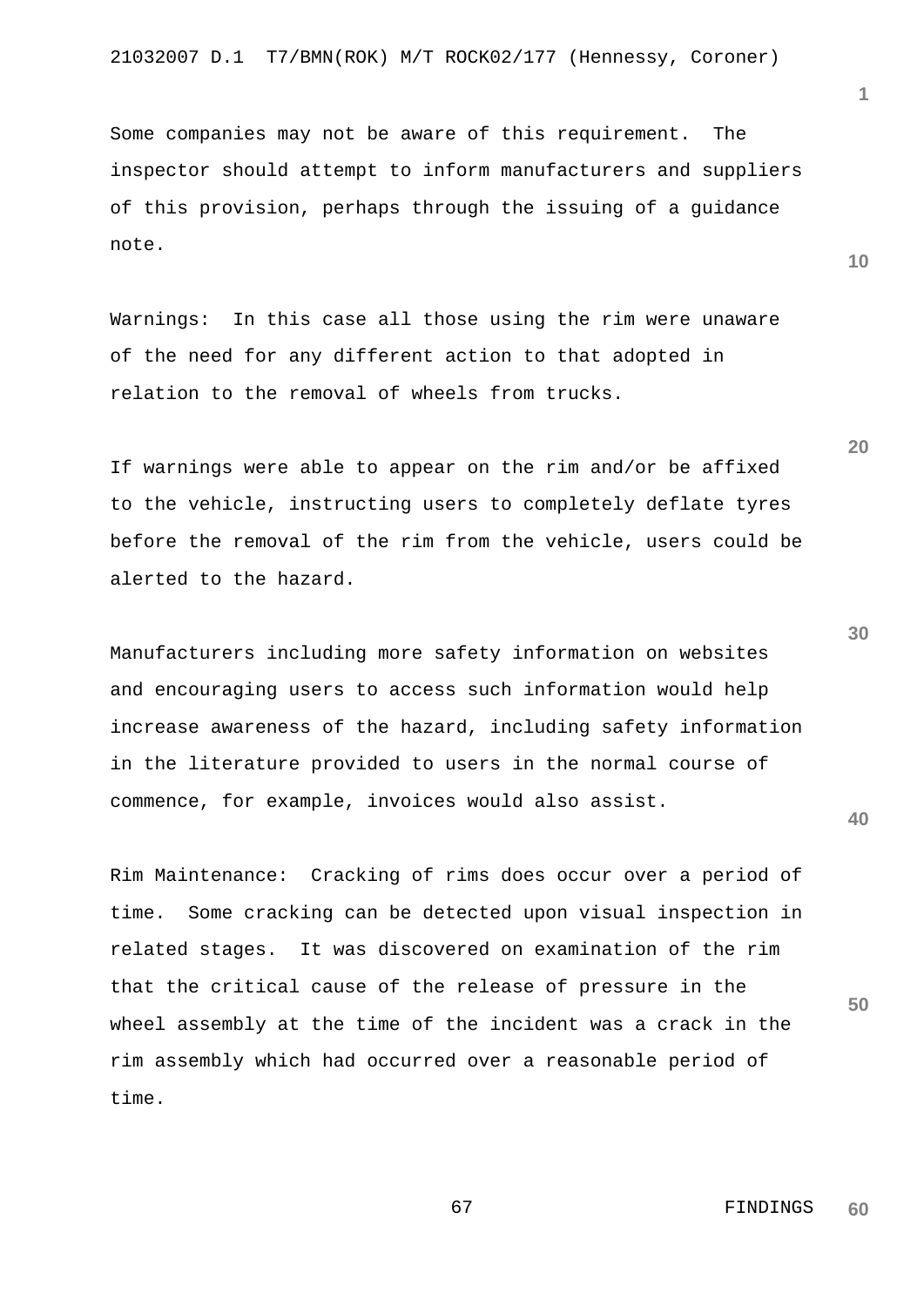Some companies may not be aware of this requirement. The inspector should attempt to inform manufacturers and suppliers of this provision, perhaps through the issuing of a guidance note.

Warnings: In this case all those using the rim were unaware of the need for any different action to that adopted in relation to the removal of wheels from trucks.

If warnings were able to appear on the rim and/or be affixed to the vehicle, instructing users to completely deflate tyres before the removal of the rim from the vehicle, users could be alerted to the hazard.

Manufacturers including more safety information on websites and encouraging users to access such information would help increase awareness of the hazard, including safety information in the literature provided to users in the normal course of commence, for example, invoices would also assist.

Rim Maintenance: Cracking of rims does occur over a period of time. Some cracking can be detected upon visual inspection in related stages. It was discovered on examination of the rim that the critical cause of the release of pressure in the wheel assembly at the time of the incident was a crack in the rim assembly which had occurred over a reasonable period of time.

**1**

**10**

**20**

**30**

**40**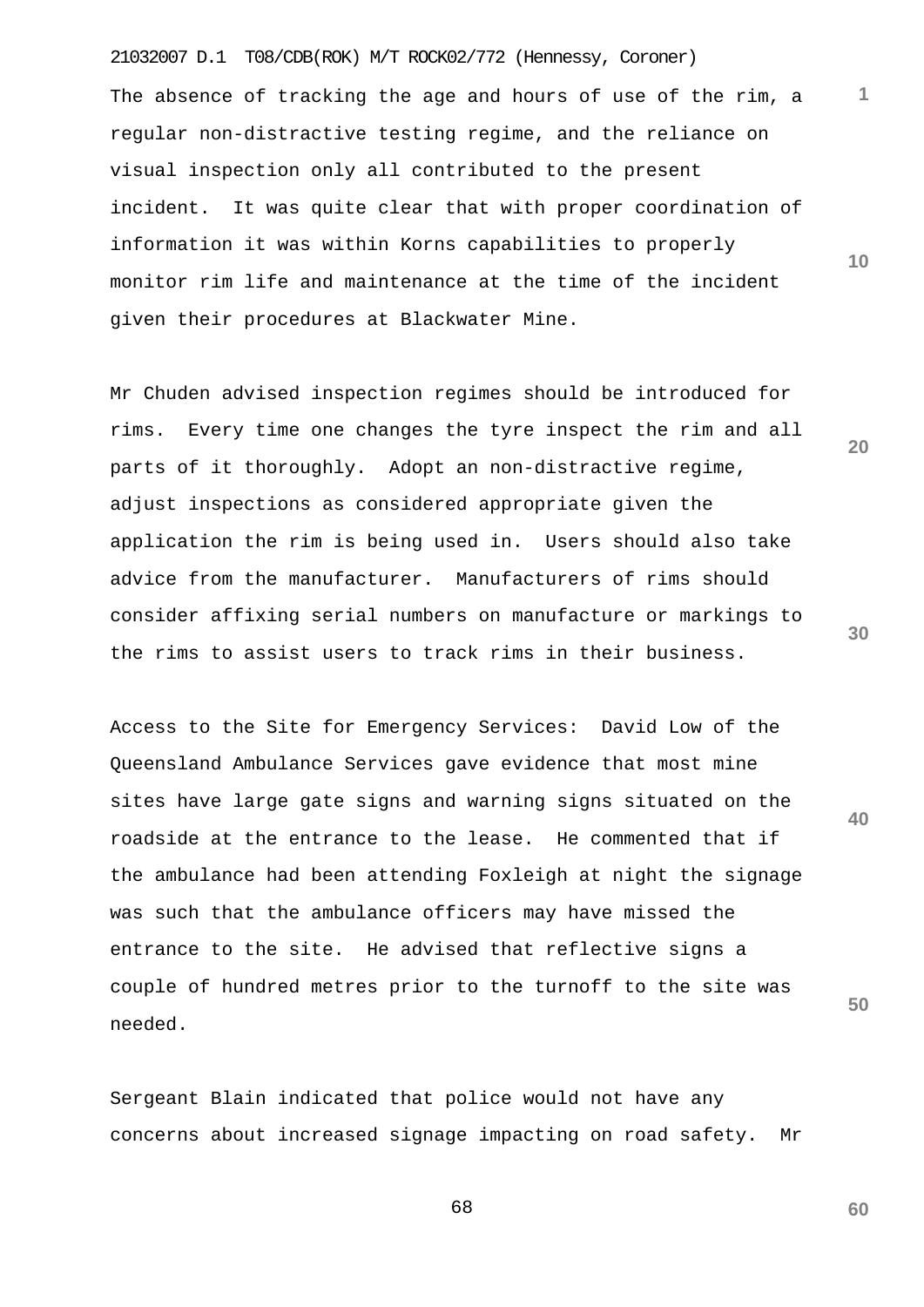21032007 D.1 T08/CDB(ROK) M/T ROCK02/772 (Hennessy, Coroner) **10** The absence of tracking the age and hours of use of the rim, a regular non-distractive testing regime, and the reliance on visual inspection only all contributed to the present incident. It was quite clear that with proper coordination of information it was within Korns capabilities to properly monitor rim life and maintenance at the time of the incident given their procedures at Blackwater Mine.

**1**

**20**

**30**

**40**

**50**

**60**

Mr Chuden advised inspection regimes should be introduced for rims. Every time one changes the tyre inspect the rim and all parts of it thoroughly. Adopt an non-distractive regime, adjust inspections as considered appropriate given the application the rim is being used in. Users should also take advice from the manufacturer. Manufacturers of rims should consider affixing serial numbers on manufacture or markings to the rims to assist users to track rims in their business.

Access to the Site for Emergency Services: David Low of the Queensland Ambulance Services gave evidence that most mine sites have large gate signs and warning signs situated on the roadside at the entrance to the lease. He commented that if the ambulance had been attending Foxleigh at night the signage was such that the ambulance officers may have missed the entrance to the site. He advised that reflective signs a couple of hundred metres prior to the turnoff to the site was needed.

Sergeant Blain indicated that police would not have any concerns about increased signage impacting on road safety. Mr

<u>68</u>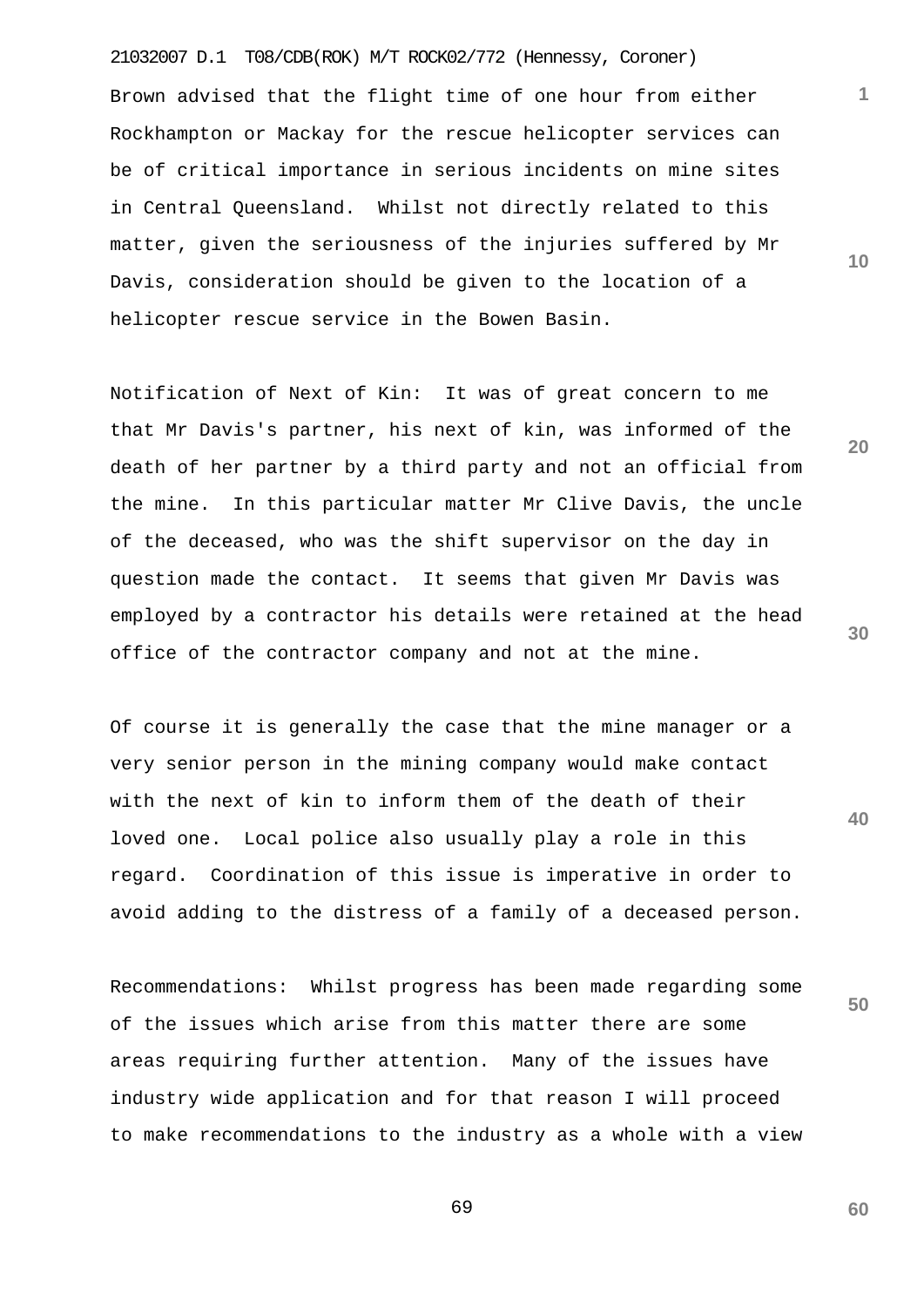21032007 D.1 T08/CDB(ROK) M/T ROCK02/772 (Hennessy, Coroner) Brown advised that the flight time of one hour from either Rockhampton or Mackay for the rescue helicopter services can be of critical importance in serious incidents on mine sites in Central Queensland. Whilst not directly related to this matter, given the seriousness of the injuries suffered by Mr Davis, consideration should be given to the location of a helicopter rescue service in the Bowen Basin.

Notification of Next of Kin: It was of great concern to me that Mr Davis's partner, his next of kin, was informed of the death of her partner by a third party and not an official from the mine. In this particular matter Mr Clive Davis, the uncle of the deceased, who was the shift supervisor on the day in question made the contact. It seems that given Mr Davis was employed by a contractor his details were retained at the head office of the contractor company and not at the mine.

Of course it is generally the case that the mine manager or a very senior person in the mining company would make contact with the next of kin to inform them of the death of their loved one. Local police also usually play a role in this regard. Coordination of this issue is imperative in order to avoid adding to the distress of a family of a deceased person.

Recommendations: Whilst progress has been made regarding some of the issues which arise from this matter there are some areas requiring further attention. Many of the issues have industry wide application and for that reason I will proceed to make recommendations to the industry as a whole with a view

69

**30**

**1**

**10**

**20**

**50**

**40**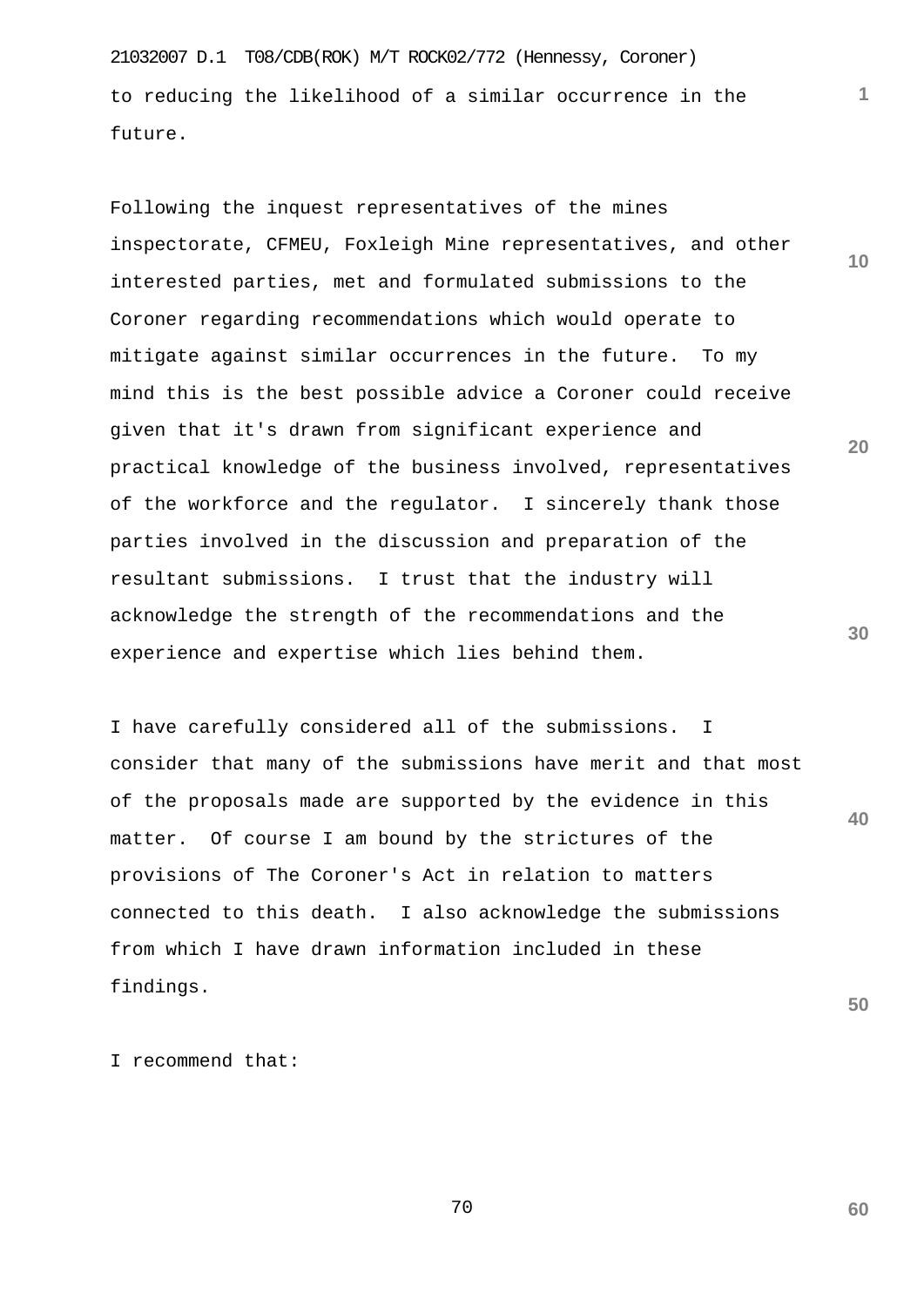21032007 D.1 T08/CDB(ROK) M/T ROCK02/772 (Hennessy, Coroner) to reducing the likelihood of a similar occurrence in the future.

**10 20 30** Following the inquest representatives of the mines inspectorate, CFMEU, Foxleigh Mine representatives, and other interested parties, met and formulated submissions to the Coroner regarding recommendations which would operate to mitigate against similar occurrences in the future. To my mind this is the best possible advice a Coroner could receive given that it's drawn from significant experience and practical knowledge of the business involved, representatives of the workforce and the regulator. I sincerely thank those parties involved in the discussion and preparation of the resultant submissions. I trust that the industry will acknowledge the strength of the recommendations and the experience and expertise which lies behind them.

**40** I have carefully considered all of the submissions. I consider that many of the submissions have merit and that most of the proposals made are supported by the evidence in this matter. Of course I am bound by the strictures of the provisions of The Coroner's Act in relation to matters connected to this death. I also acknowledge the submissions from which I have drawn information included in these findings.

I recommend that:

70

**50**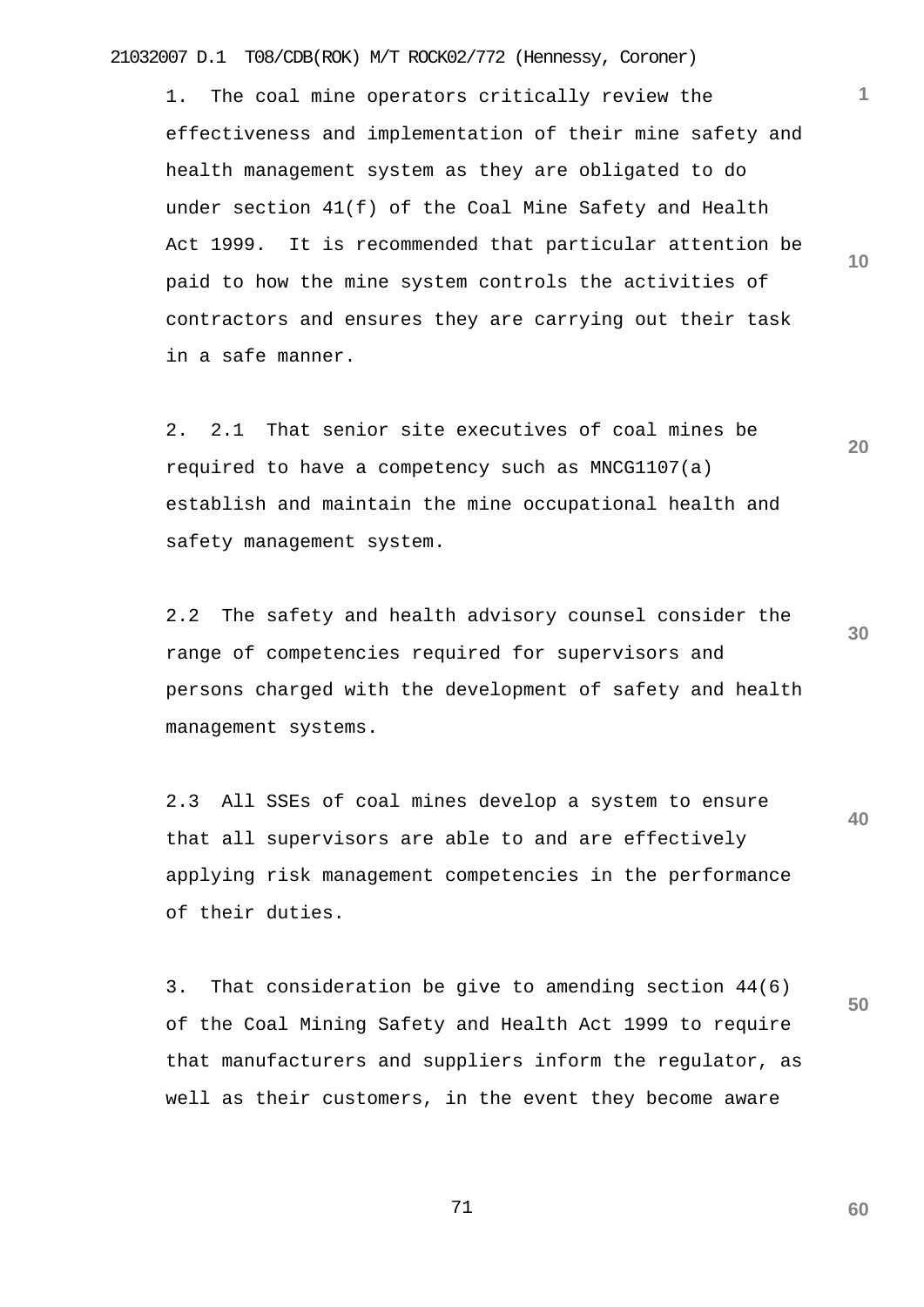21032007 D.1 T08/CDB(ROK) M/T ROCK02/772 (Hennessy, Coroner)

1. The coal mine operators critically review the effectiveness and implementation of their mine safety and health management system as they are obligated to do under section 41(f) of the Coal Mine Safety and Health Act 1999. It is recommended that particular attention be paid to how the mine system controls the activities of contractors and ensures they are carrying out their task in a safe manner.

2. 2.1 That senior site executives of coal mines be required to have a competency such as MNCG1107(a) establish and maintain the mine occupational health and safety management system.

2.2 The safety and health advisory counsel consider the range of competencies required for supervisors and persons charged with the development of safety and health management systems.

**40** 2.3 All SSEs of coal mines develop a system to ensure that all supervisors are able to and are effectively applying risk management competencies in the performance of their duties.

3. That consideration be give to amending section 44(6) of the Coal Mining Safety and Health Act 1999 to require that manufacturers and suppliers inform the regulator, as well as their customers, in the event they become aware

71

**60**

**50**

**1**

**10**

**20**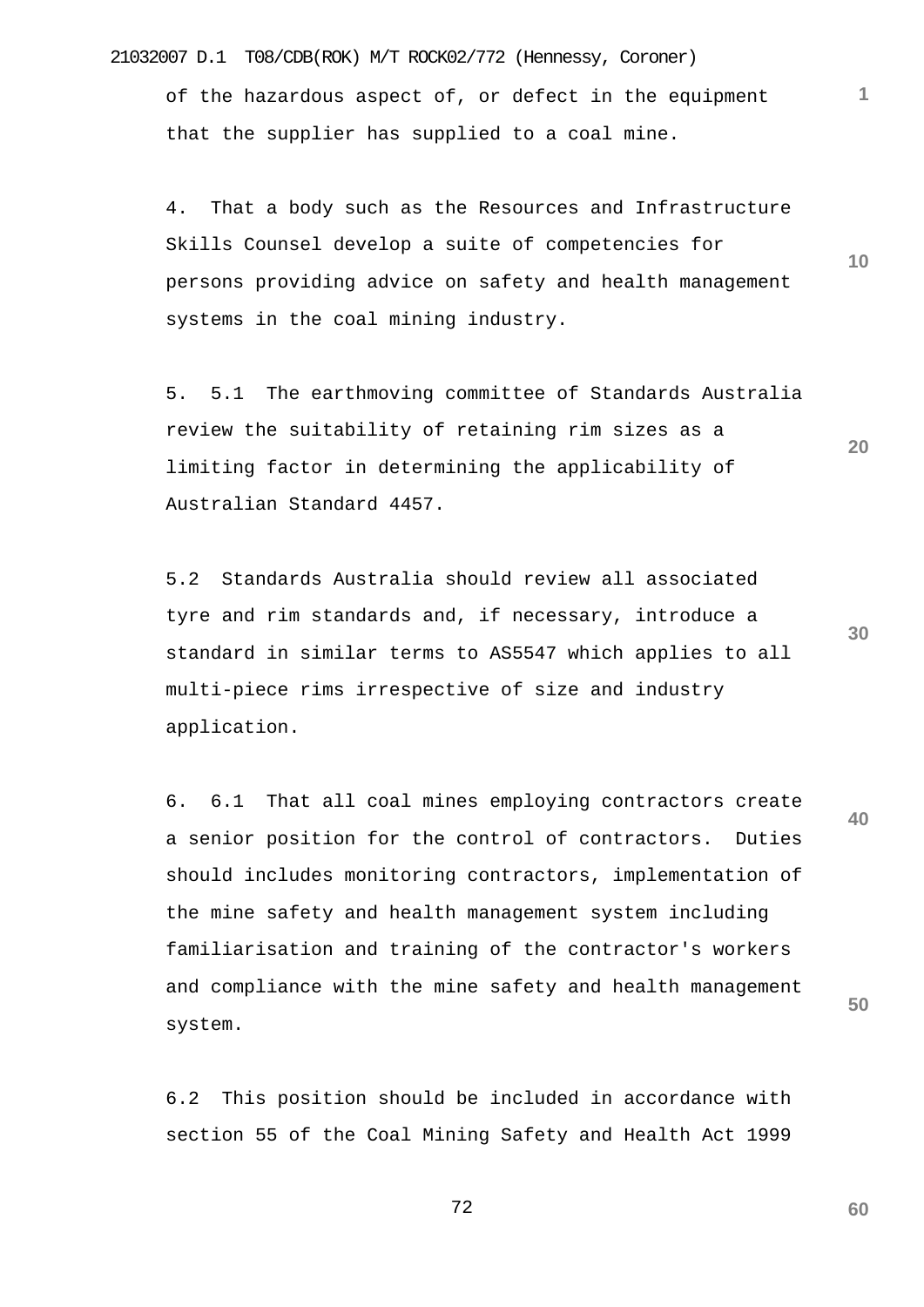21032007 D.1 T08/CDB(ROK) M/T ROCK02/772 (Hennessy, Coroner)

of the hazardous aspect of, or defect in the equipment that the supplier has supplied to a coal mine.

**10** 4. That a body such as the Resources and Infrastructure Skills Counsel develop a suite of competencies for persons providing advice on safety and health management systems in the coal mining industry.

**1**

**20**

**60**

5. 5.1 The earthmoving committee of Standards Australia review the suitability of retaining rim sizes as a limiting factor in determining the applicability of Australian Standard 4457.

**30** 5.2 Standards Australia should review all associated tyre and rim standards and, if necessary, introduce a standard in similar terms to AS5547 which applies to all multi-piece rims irrespective of size and industry application.

**40 50** 6. 6.1 That all coal mines employing contractors create a senior position for the control of contractors. Duties should includes monitoring contractors, implementation of the mine safety and health management system including familiarisation and training of the contractor's workers and compliance with the mine safety and health management system.

6.2 This position should be included in accordance with section 55 of the Coal Mining Safety and Health Act 1999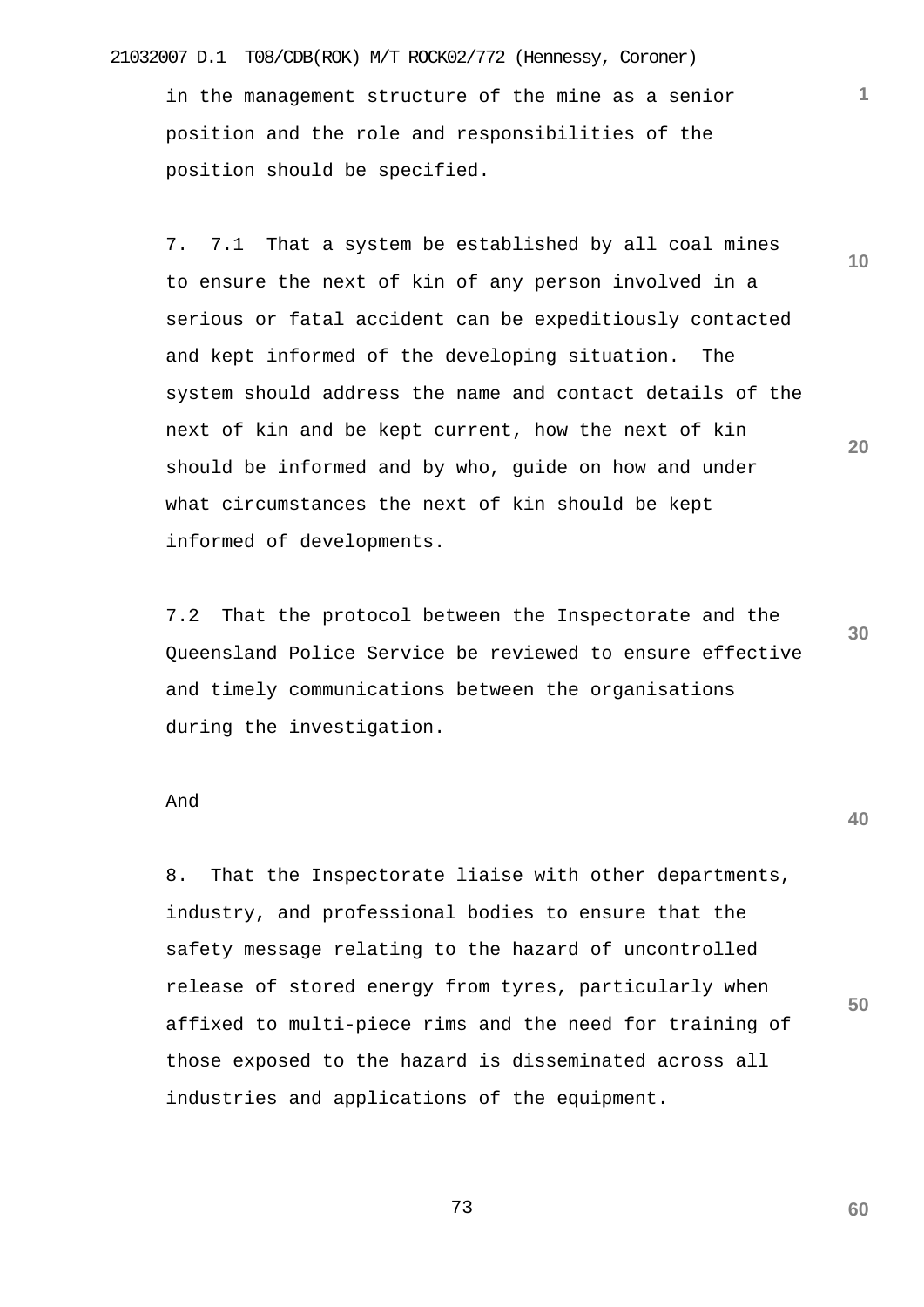## 21032007 D.1 T08/CDB(ROK) M/T ROCK02/772 (Hennessy, Coroner)

in the management structure of the mine as a senior position and the role and responsibilities of the position should be specified.

7. 7.1 That a system be established by all coal mines to ensure the next of kin of any person involved in a serious or fatal accident can be expeditiously contacted and kept informed of the developing situation. The system should address the name and contact details of the next of kin and be kept current, how the next of kin should be informed and by who, guide on how and under what circumstances the next of kin should be kept informed of developments.

**30** 7.2 That the protocol between the Inspectorate and the Queensland Police Service be reviewed to ensure effective and timely communications between the organisations during the investigation.

## And

8. That the Inspectorate liaise with other departments, industry, and professional bodies to ensure that the safety message relating to the hazard of uncontrolled release of stored energy from tyres, particularly when affixed to multi-piece rims and the need for training of those exposed to the hazard is disseminated across all industries and applications of the equipment.

73

**40**

**50**

**60**

**10**

**1**

**20**